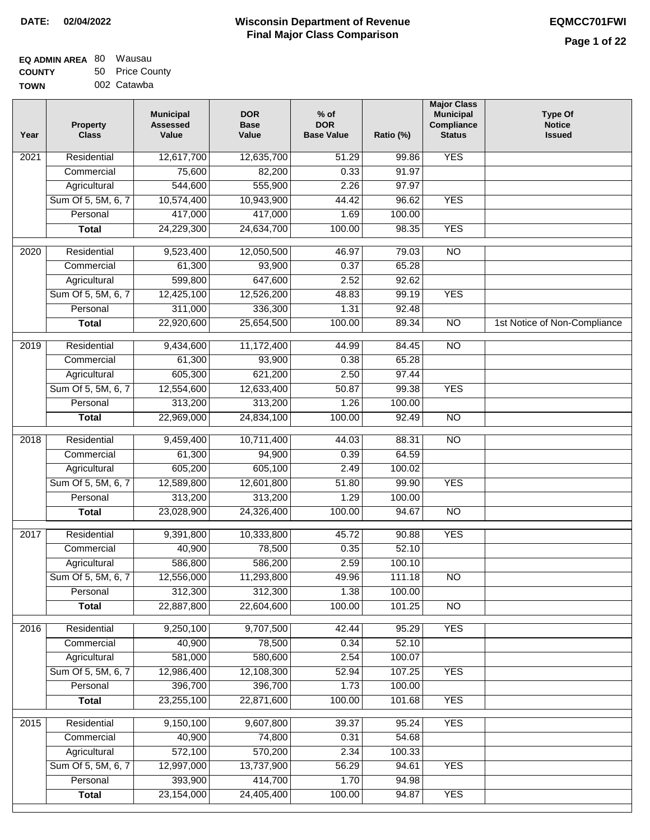| EQ ADMIN AREA 80 Wausau |                 |
|-------------------------|-----------------|
| <b>COUNTY</b>           | 50 Price County |

**TOWN** 002 Catawba

| Year | <b>Property</b><br><b>Class</b> | <b>Municipal</b><br><b>Assessed</b><br>Value | <b>DOR</b><br><b>Base</b><br>Value | $%$ of<br><b>DOR</b><br><b>Base Value</b> | Ratio (%) | <b>Major Class</b><br><b>Municipal</b><br>Compliance<br><b>Status</b> | <b>Type Of</b><br><b>Notice</b><br><b>Issued</b> |
|------|---------------------------------|----------------------------------------------|------------------------------------|-------------------------------------------|-----------|-----------------------------------------------------------------------|--------------------------------------------------|
| 2021 | Residential                     | 12,617,700                                   | 12,635,700                         | 51.29                                     | 99.86     | <b>YES</b>                                                            |                                                  |
|      | Commercial                      | 75,600                                       | 82,200                             | 0.33                                      | 91.97     |                                                                       |                                                  |
|      | Agricultural                    | 544,600                                      | 555,900                            | 2.26                                      | 97.97     |                                                                       |                                                  |
|      | Sum Of 5, 5M, 6, 7              | 10,574,400                                   | 10,943,900                         | 44.42                                     | 96.62     | <b>YES</b>                                                            |                                                  |
|      | Personal                        | 417,000                                      | 417,000                            | 1.69                                      | 100.00    |                                                                       |                                                  |
|      | <b>Total</b>                    | 24,229,300                                   | 24,634,700                         | 100.00                                    | 98.35     | <b>YES</b>                                                            |                                                  |
| 2020 | Residential                     | 9,523,400                                    | 12,050,500                         | 46.97                                     | 79.03     | $\overline{NO}$                                                       |                                                  |
|      | Commercial                      | 61,300                                       | 93,900                             | 0.37                                      | 65.28     |                                                                       |                                                  |
|      | Agricultural                    | 599,800                                      | 647,600                            | 2.52                                      | 92.62     |                                                                       |                                                  |
|      | Sum Of 5, 5M, 6, 7              | 12,425,100                                   | 12,526,200                         | 48.83                                     | 99.19     | <b>YES</b>                                                            |                                                  |
|      | Personal                        | 311,000                                      | 336,300                            | 1.31                                      | 92.48     |                                                                       |                                                  |
|      | <b>Total</b>                    | 22,920,600                                   | 25,654,500                         | 100.00                                    | 89.34     | $\overline{NO}$                                                       | 1st Notice of Non-Compliance                     |
| 2019 | Residential                     | 9,434,600                                    | 11,172,400                         | 44.99                                     | 84.45     | <b>NO</b>                                                             |                                                  |
|      | Commercial                      | 61,300                                       | 93,900                             | 0.38                                      | 65.28     |                                                                       |                                                  |
|      | Agricultural                    | 605,300                                      | 621,200                            | 2.50                                      | 97.44     |                                                                       |                                                  |
|      | Sum Of 5, 5M, 6, 7              | 12,554,600                                   | 12,633,400                         | 50.87                                     | 99.38     | <b>YES</b>                                                            |                                                  |
|      | Personal                        | 313,200                                      | 313,200                            | 1.26                                      | 100.00    |                                                                       |                                                  |
|      | <b>Total</b>                    | 22,969,000                                   | 24,834,100                         | 100.00                                    | 92.49     | $\overline{NO}$                                                       |                                                  |
|      |                                 |                                              |                                    |                                           |           |                                                                       |                                                  |
| 2018 | Residential                     | 9,459,400                                    | 10,711,400                         | 44.03                                     | 88.31     | $\overline{NO}$                                                       |                                                  |
|      | Commercial                      | 61,300                                       | 94,900                             | 0.39                                      | 64.59     |                                                                       |                                                  |
|      | Agricultural                    | 605,200                                      | 605,100                            | 2.49                                      | 100.02    |                                                                       |                                                  |
|      | Sum Of 5, 5M, 6, 7              | 12,589,800                                   | 12,601,800                         | 51.80                                     | 99.90     | <b>YES</b>                                                            |                                                  |
|      | Personal                        | 313,200                                      | 313,200                            | 1.29                                      | 100.00    |                                                                       |                                                  |
|      | <b>Total</b>                    | 23,028,900                                   | 24,326,400                         | 100.00                                    | 94.67     | $\overline{NO}$                                                       |                                                  |
| 2017 | Residential                     | 9,391,800                                    | 10,333,800                         | 45.72                                     | 90.88     | <b>YES</b>                                                            |                                                  |
|      | Commercial                      | 40,900                                       | 78,500                             | 0.35                                      | 52.10     |                                                                       |                                                  |
|      | Agricultural                    | 586,800                                      | 586,200                            | 2.59                                      | 100.10    |                                                                       |                                                  |
|      | Sum Of 5, 5M, 6, 7              | 12,556,000                                   | 11,293,800                         | 49.96                                     | 111.18    | N <sub>O</sub>                                                        |                                                  |
|      | Personal                        | 312,300                                      | 312,300                            | 1.38                                      | 100.00    |                                                                       |                                                  |
|      | <b>Total</b>                    | 22,887,800                                   | 22,604,600                         | 100.00                                    | 101.25    | <b>NO</b>                                                             |                                                  |
| 2016 | Residential                     | 9,250,100                                    | 9,707,500                          | 42.44                                     | 95.29     | <b>YES</b>                                                            |                                                  |
|      | Commercial                      | 40,900                                       | 78,500                             | 0.34                                      | 52.10     |                                                                       |                                                  |
|      | Agricultural                    | 581,000                                      | 580,600                            | 2.54                                      | 100.07    |                                                                       |                                                  |
|      | Sum Of 5, 5M, 6, 7              | 12,986,400                                   | 12,108,300                         | 52.94                                     | 107.25    | <b>YES</b>                                                            |                                                  |
|      | Personal                        | 396,700                                      | 396,700                            | 1.73                                      | 100.00    |                                                                       |                                                  |
|      | <b>Total</b>                    | 23,255,100                                   | 22,871,600                         | 100.00                                    | 101.68    | <b>YES</b>                                                            |                                                  |
| 2015 | Residential                     | 9,150,100                                    | 9,607,800                          | 39.37                                     | 95.24     | <b>YES</b>                                                            |                                                  |
|      | Commercial                      | 40,900                                       | 74,800                             | 0.31                                      | 54.68     |                                                                       |                                                  |
|      | Agricultural                    | 572,100                                      | 570,200                            | 2.34                                      | 100.33    |                                                                       |                                                  |
|      | Sum Of 5, 5M, 6, 7              | 12,997,000                                   | 13,737,900                         | 56.29                                     | 94.61     | <b>YES</b>                                                            |                                                  |
|      | Personal                        | 393,900                                      | 414,700                            | 1.70                                      | 94.98     |                                                                       |                                                  |
|      | <b>Total</b>                    | 23,154,000                                   | 24,405,400                         | 100.00                                    | 94.87     | <b>YES</b>                                                            |                                                  |
|      |                                 |                                              |                                    |                                           |           |                                                                       |                                                  |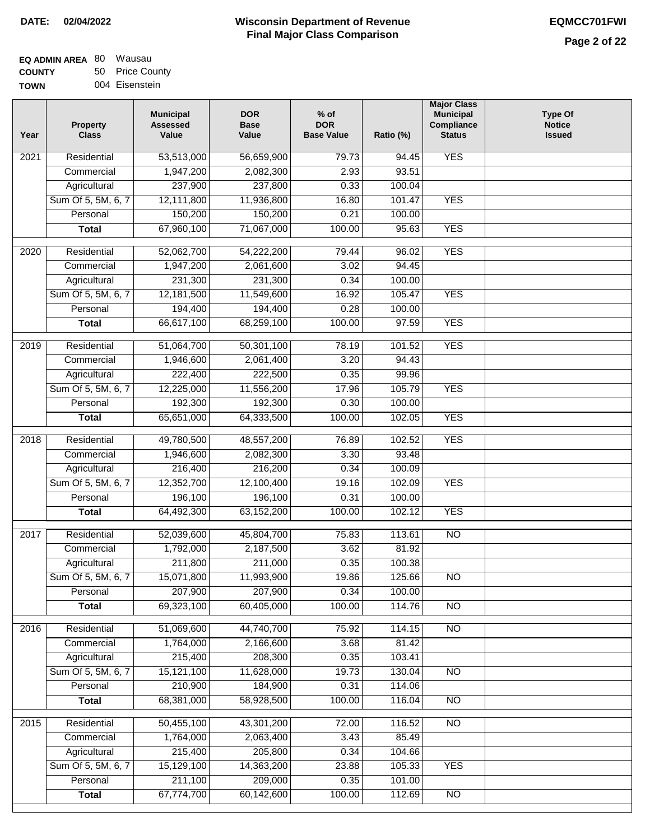| EQ ADMIN AREA 80 Wausau |                 |
|-------------------------|-----------------|
| <b>COUNTY</b>           | 50 Price County |

**TOWN** 004 Eisenstein

| Year              | <b>Property</b><br><b>Class</b> | <b>Municipal</b><br><b>Assessed</b><br>Value | <b>DOR</b><br><b>Base</b><br>Value | $%$ of<br><b>DOR</b><br><b>Base Value</b> | Ratio (%)       | <b>Major Class</b><br><b>Municipal</b><br>Compliance<br><b>Status</b> | <b>Type Of</b><br><b>Notice</b><br><b>Issued</b> |
|-------------------|---------------------------------|----------------------------------------------|------------------------------------|-------------------------------------------|-----------------|-----------------------------------------------------------------------|--------------------------------------------------|
| $\overline{202}1$ | Residential                     | 53,513,000                                   | 56,659,900                         | 79.73                                     | 94.45           | <b>YES</b>                                                            |                                                  |
|                   | Commercial                      | 1,947,200                                    | 2,082,300                          | 2.93                                      | 93.51           |                                                                       |                                                  |
|                   | Agricultural                    | 237,900                                      | 237,800                            | 0.33                                      | 100.04          |                                                                       |                                                  |
|                   | Sum Of 5, 5M, 6, 7              | 12,111,800                                   | 11,936,800                         | 16.80                                     | 101.47          | <b>YES</b>                                                            |                                                  |
|                   | Personal                        | 150,200                                      | 150,200                            | 0.21                                      | 100.00          |                                                                       |                                                  |
|                   | <b>Total</b>                    | 67,960,100                                   | 71,067,000                         | 100.00                                    | 95.63           | <b>YES</b>                                                            |                                                  |
| $\overline{2020}$ | Residential                     | 52,062,700                                   | 54,222,200                         | 79.44                                     | 96.02           | <b>YES</b>                                                            |                                                  |
|                   | Commercial                      | 1,947,200                                    | 2,061,600                          | 3.02                                      | 94.45           |                                                                       |                                                  |
|                   | Agricultural                    | 231,300                                      | 231,300                            | 0.34                                      | 100.00          |                                                                       |                                                  |
|                   | Sum Of 5, 5M, 6, 7              | 12,181,500                                   | 11,549,600                         | 16.92                                     | 105.47          | <b>YES</b>                                                            |                                                  |
|                   | Personal                        | 194,400                                      | 194,400                            | 0.28                                      | 100.00          |                                                                       |                                                  |
|                   | <b>Total</b>                    | 66,617,100                                   | 68,259,100                         | 100.00                                    | 97.59           | <b>YES</b>                                                            |                                                  |
|                   |                                 |                                              |                                    |                                           |                 |                                                                       |                                                  |
| 2019              | Residential                     | 51,064,700                                   | 50,301,100                         | 78.19<br>3.20                             | 101.52<br>94.43 | <b>YES</b>                                                            |                                                  |
|                   | Commercial                      | 1,946,600<br>222,400                         | 2,061,400<br>222,500               | 0.35                                      | 99.96           |                                                                       |                                                  |
|                   | Agricultural                    |                                              |                                    | 17.96                                     | 105.79          | <b>YES</b>                                                            |                                                  |
|                   | Sum Of 5, 5M, 6, 7<br>Personal  | 12,225,000<br>192,300                        | 11,556,200<br>192,300              | 0.30                                      | 100.00          |                                                                       |                                                  |
|                   | <b>Total</b>                    | 65,651,000                                   |                                    | 100.00                                    | 102.05          | <b>YES</b>                                                            |                                                  |
|                   |                                 |                                              | 64,333,500                         |                                           |                 |                                                                       |                                                  |
| 2018              | Residential                     | 49,780,500                                   | 48,557,200                         | 76.89                                     | 102.52          | <b>YES</b>                                                            |                                                  |
|                   | Commercial                      | 1,946,600                                    | 2,082,300                          | 3.30                                      | 93.48           |                                                                       |                                                  |
|                   | Agricultural                    | 216,400                                      | 216,200                            | 0.34                                      | 100.09          |                                                                       |                                                  |
|                   | Sum Of 5, 5M, 6, 7              | 12,352,700                                   | 12,100,400                         | 19.16                                     | 102.09          | <b>YES</b>                                                            |                                                  |
|                   | Personal                        | 196,100                                      | 196,100                            | 0.31                                      | 100.00          |                                                                       |                                                  |
|                   | <b>Total</b>                    | 64,492,300                                   | 63,152,200                         | 100.00                                    | 102.12          | <b>YES</b>                                                            |                                                  |
| 2017              | Residential                     | 52,039,600                                   | 45,804,700                         | 75.83                                     | 113.61          | <b>NO</b>                                                             |                                                  |
|                   | Commercial                      | 1,792,000                                    | 2,187,500                          | 3.62                                      | 81.92           |                                                                       |                                                  |
|                   | Agricultural                    | 211,800                                      | 211,000                            | 0.35                                      | 100.38          |                                                                       |                                                  |
|                   | Sum Of 5, 5M, 6, 7              | 15,071,800                                   | 11,993,900                         | 19.86                                     | 125.66          | <b>NO</b>                                                             |                                                  |
|                   | Personal                        | 207,900                                      | 207,900                            | 0.34                                      | 100.00          |                                                                       |                                                  |
|                   | <b>Total</b>                    | 69,323,100                                   | 60,405,000                         | 100.00                                    | 114.76          | <b>NO</b>                                                             |                                                  |
| 2016              | Residential                     | 51,069,600                                   | 44,740,700                         | 75.92                                     | 114.15          | $\overline{NO}$                                                       |                                                  |
|                   | Commercial                      | 1,764,000                                    | 2,166,600                          | 3.68                                      | 81.42           |                                                                       |                                                  |
|                   | Agricultural                    | 215,400                                      | 208,300                            | 0.35                                      | 103.41          |                                                                       |                                                  |
|                   | Sum Of 5, 5M, 6, 7              | 15,121,100                                   | 11,628,000                         | 19.73                                     | 130.04          | $\overline{NO}$                                                       |                                                  |
|                   | Personal                        | 210,900                                      | 184,900                            | 0.31                                      | 114.06          |                                                                       |                                                  |
|                   | <b>Total</b>                    | 68,381,000                                   | 58,928,500                         | 100.00                                    | 116.04          | $\overline{NO}$                                                       |                                                  |
| 2015              | Residential                     | 50,455,100                                   | 43,301,200                         | 72.00                                     | 116.52          | $\overline{NO}$                                                       |                                                  |
|                   | Commercial                      | 1,764,000                                    | 2,063,400                          | 3.43                                      | 85.49           |                                                                       |                                                  |
|                   | Agricultural                    | 215,400                                      | 205,800                            | 0.34                                      | 104.66          |                                                                       |                                                  |
|                   | Sum Of 5, 5M, 6, 7              | 15,129,100                                   | 14,363,200                         | 23.88                                     | 105.33          | <b>YES</b>                                                            |                                                  |
|                   | Personal                        | 211,100                                      | 209,000                            | 0.35                                      | 101.00          |                                                                       |                                                  |
|                   | <b>Total</b>                    | 67,774,700                                   | 60,142,600                         | 100.00                                    | 112.69          | NO                                                                    |                                                  |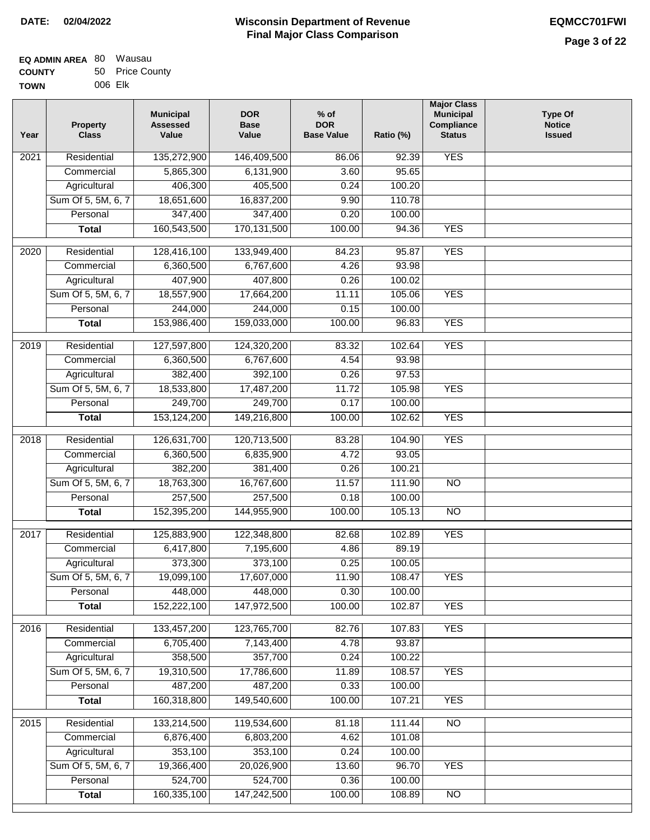| EQ ADMIN AREA 80 Wausau |                 |
|-------------------------|-----------------|
| <b>COUNTY</b>           | 50 Price County |

**TOWN** 006 Elk

| Year              | <b>Property</b><br><b>Class</b>    | <b>Municipal</b><br><b>Assessed</b><br>Value | <b>DOR</b><br><b>Base</b><br>Value | % of<br><b>DOR</b><br><b>Base Value</b> | Ratio (%) | <b>Major Class</b><br><b>Municipal</b><br>Compliance<br><b>Status</b> | <b>Type Of</b><br><b>Notice</b><br><b>Issued</b> |
|-------------------|------------------------------------|----------------------------------------------|------------------------------------|-----------------------------------------|-----------|-----------------------------------------------------------------------|--------------------------------------------------|
| $\overline{202}1$ | Residential                        | 135,272,900                                  | 146,409,500                        | 86.06                                   | 92.39     | <b>YES</b>                                                            |                                                  |
|                   | Commercial                         | 5,865,300                                    | 6,131,900                          | 3.60                                    | 95.65     |                                                                       |                                                  |
|                   | Agricultural                       | 406,300                                      | 405,500                            | 0.24                                    | 100.20    |                                                                       |                                                  |
|                   | Sum Of 5, 5M, 6, 7                 | 18,651,600                                   | 16,837,200                         | 9.90                                    | 110.78    |                                                                       |                                                  |
|                   | Personal                           | 347,400                                      | 347,400                            | 0.20                                    | 100.00    |                                                                       |                                                  |
|                   | <b>Total</b>                       | 160,543,500                                  | 170, 131, 500                      | 100.00                                  | 94.36     | <b>YES</b>                                                            |                                                  |
| $\overline{2020}$ | Residential                        | 128,416,100                                  | 133,949,400                        | 84.23                                   | 95.87     | <b>YES</b>                                                            |                                                  |
|                   | Commercial                         | 6,360,500                                    | 6,767,600                          | 4.26                                    | 93.98     |                                                                       |                                                  |
|                   | Agricultural                       | 407,900                                      | 407,800                            | 0.26                                    | 100.02    |                                                                       |                                                  |
|                   | Sum Of 5, 5M, 6, 7                 | 18,557,900                                   | 17,664,200                         | 11.11                                   | 105.06    | <b>YES</b>                                                            |                                                  |
|                   | Personal                           | 244,000                                      | 244,000                            | 0.15                                    | 100.00    |                                                                       |                                                  |
|                   | <b>Total</b>                       | 153,986,400                                  | 159,033,000                        | 100.00                                  | 96.83     | <b>YES</b>                                                            |                                                  |
| 2019              | Residential                        | 127,597,800                                  | 124,320,200                        | 83.32                                   | 102.64    | <b>YES</b>                                                            |                                                  |
|                   | Commercial                         | 6,360,500                                    | 6,767,600                          | 4.54                                    | 93.98     |                                                                       |                                                  |
|                   |                                    | 382,400                                      | 392,100                            | 0.26                                    | 97.53     |                                                                       |                                                  |
|                   | Agricultural<br>Sum Of 5, 5M, 6, 7 | 18,533,800                                   | 17,487,200                         | 11.72                                   | 105.98    | <b>YES</b>                                                            |                                                  |
|                   | Personal                           | 249,700                                      | 249,700                            | 0.17                                    | 100.00    |                                                                       |                                                  |
|                   |                                    |                                              |                                    | 100.00                                  |           | <b>YES</b>                                                            |                                                  |
|                   | <b>Total</b>                       | 153,124,200                                  | 149,216,800                        |                                         | 102.62    |                                                                       |                                                  |
| 2018              | Residential                        | 126,631,700                                  | 120,713,500                        | 83.28                                   | 104.90    | <b>YES</b>                                                            |                                                  |
|                   | Commercial                         | 6,360,500                                    | 6,835,900                          | 4.72                                    | 93.05     |                                                                       |                                                  |
|                   | Agricultural                       | 382,200                                      | 381,400                            | 0.26                                    | 100.21    |                                                                       |                                                  |
|                   | Sum Of 5, 5M, 6, 7                 | 18,763,300                                   | 16,767,600                         | 11.57                                   | 111.90    | $\overline{N}$                                                        |                                                  |
|                   | Personal                           | 257,500                                      | 257,500                            | 0.18                                    | 100.00    |                                                                       |                                                  |
|                   | <b>Total</b>                       | 152,395,200                                  | 144,955,900                        | 100.00                                  | 105.13    | <b>NO</b>                                                             |                                                  |
| 2017              | Residential                        | 125,883,900                                  | 122,348,800                        | 82.68                                   | 102.89    | <b>YES</b>                                                            |                                                  |
|                   | Commercial                         | 6,417,800                                    | 7,195,600                          | 4.86                                    | 89.19     |                                                                       |                                                  |
|                   | Agricultural                       | 373,300                                      | 373,100                            | 0.25                                    | 100.05    |                                                                       |                                                  |
|                   | Sum Of 5, 5M, 6, 7                 | 19,099,100                                   | 17,607,000                         | 11.90                                   | 108.47    | <b>YES</b>                                                            |                                                  |
|                   | Personal                           | 448,000                                      | 448,000                            | 0.30                                    | 100.00    |                                                                       |                                                  |
|                   | <b>Total</b>                       | 152,222,100                                  | 147,972,500                        | 100.00                                  | 102.87    | <b>YES</b>                                                            |                                                  |
| 2016              | Residential                        | 133,457,200                                  | 123,765,700                        | 82.76                                   | 107.83    | <b>YES</b>                                                            |                                                  |
|                   | Commercial                         | 6,705,400                                    | 7,143,400                          | 4.78                                    | 93.87     |                                                                       |                                                  |
|                   | Agricultural                       | 358,500                                      | 357,700                            | 0.24                                    | 100.22    |                                                                       |                                                  |
|                   | Sum Of 5, 5M, 6, 7                 | 19,310,500                                   | 17,786,600                         | 11.89                                   | 108.57    | <b>YES</b>                                                            |                                                  |
|                   | Personal                           | 487,200                                      | 487,200                            | 0.33                                    | 100.00    |                                                                       |                                                  |
|                   | <b>Total</b>                       | 160,318,800                                  | 149,540,600                        | 100.00                                  | 107.21    | <b>YES</b>                                                            |                                                  |
| 2015              | Residential                        | 133,214,500                                  | 119,534,600                        | 81.18                                   | 111.44    | <b>NO</b>                                                             |                                                  |
|                   | Commercial                         | 6,876,400                                    | 6,803,200                          | 4.62                                    | 101.08    |                                                                       |                                                  |
|                   | Agricultural                       | 353,100                                      | 353,100                            | 0.24                                    | 100.00    |                                                                       |                                                  |
|                   | Sum Of 5, 5M, 6, 7                 | 19,366,400                                   | 20,026,900                         | 13.60                                   | 96.70     | <b>YES</b>                                                            |                                                  |
|                   | Personal                           | 524,700                                      | 524,700                            | 0.36                                    | 100.00    |                                                                       |                                                  |
|                   | <b>Total</b>                       | 160,335,100                                  | 147,242,500                        | 100.00                                  | 108.89    | N <sub>O</sub>                                                        |                                                  |
|                   |                                    |                                              |                                    |                                         |           |                                                                       |                                                  |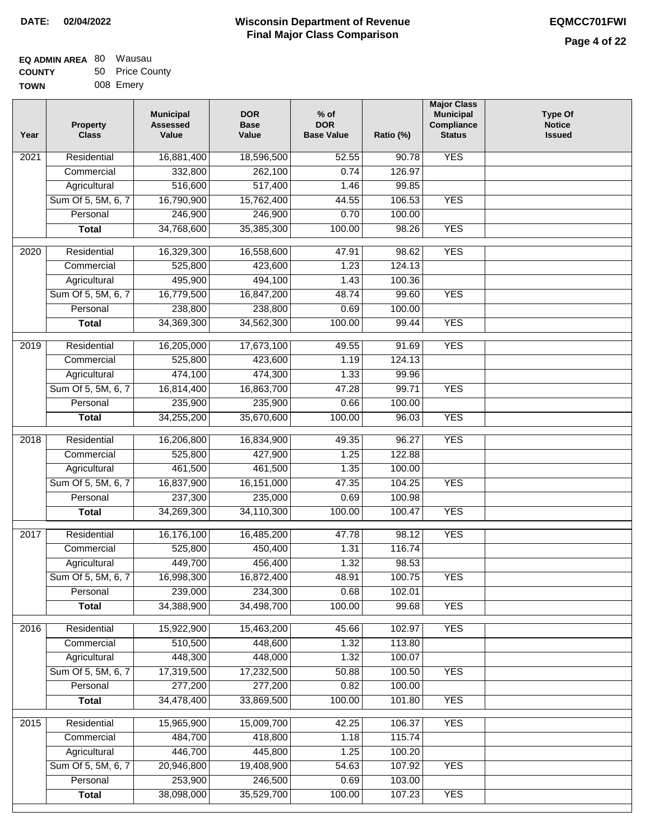| EQ ADMIN AREA 80 | Wausau          |
|------------------|-----------------|
| <b>COUNTY</b>    | 50 Price County |
| <b>TOWN</b>      | 008 Emery       |

| Year              | <b>Property</b><br><b>Class</b> | <b>Municipal</b><br><b>Assessed</b><br>Value | <b>DOR</b><br><b>Base</b><br>Value | $%$ of<br><b>DOR</b><br><b>Base Value</b> | Ratio (%) | <b>Major Class</b><br><b>Municipal</b><br>Compliance<br><b>Status</b> | <b>Type Of</b><br><b>Notice</b><br><b>Issued</b> |
|-------------------|---------------------------------|----------------------------------------------|------------------------------------|-------------------------------------------|-----------|-----------------------------------------------------------------------|--------------------------------------------------|
| 2021              | Residential                     | 16,881,400                                   | 18,596,500                         | 52.55                                     | 90.78     | <b>YES</b>                                                            |                                                  |
|                   | Commercial                      | 332,800                                      | 262,100                            | 0.74                                      | 126.97    |                                                                       |                                                  |
|                   | Agricultural                    | 516,600                                      | 517,400                            | 1.46                                      | 99.85     |                                                                       |                                                  |
|                   | Sum Of 5, 5M, 6, 7              | 16,790,900                                   | 15,762,400                         | 44.55                                     | 106.53    | <b>YES</b>                                                            |                                                  |
|                   | Personal                        | 246,900                                      | 246,900                            | 0.70                                      | 100.00    |                                                                       |                                                  |
|                   | <b>Total</b>                    | 34,768,600                                   | 35,385,300                         | 100.00                                    | 98.26     | <b>YES</b>                                                            |                                                  |
| $\overline{2020}$ | Residential                     | 16,329,300                                   | 16,558,600                         | 47.91                                     | 98.62     | <b>YES</b>                                                            |                                                  |
|                   | Commercial                      | 525,800                                      | 423,600                            | 1.23                                      | 124.13    |                                                                       |                                                  |
|                   | Agricultural                    | 495,900                                      | 494,100                            | 1.43                                      | 100.36    |                                                                       |                                                  |
|                   | Sum Of 5, 5M, 6, 7              | 16,779,500                                   | 16,847,200                         | 48.74                                     | 99.60     | <b>YES</b>                                                            |                                                  |
|                   | Personal                        | 238,800                                      | 238,800                            | 0.69                                      | 100.00    |                                                                       |                                                  |
|                   | <b>Total</b>                    | 34,369,300                                   | 34,562,300                         | 100.00                                    | 99.44     | <b>YES</b>                                                            |                                                  |
|                   |                                 |                                              |                                    |                                           |           |                                                                       |                                                  |
| $\frac{1}{2019}$  | Residential                     | 16,205,000                                   | 17,673,100                         | 49.55                                     | 91.69     | <b>YES</b>                                                            |                                                  |
|                   | Commercial                      | 525,800                                      | 423,600                            | 1.19                                      | 124.13    |                                                                       |                                                  |
|                   | Agricultural                    | 474,100                                      | 474,300                            | 1.33                                      | 99.96     |                                                                       |                                                  |
|                   | Sum Of 5, 5M, 6, 7              | 16,814,400                                   | 16,863,700                         | 47.28                                     | 99.71     | <b>YES</b>                                                            |                                                  |
|                   | Personal                        | 235,900                                      | 235,900                            | 0.66                                      | 100.00    |                                                                       |                                                  |
|                   | <b>Total</b>                    | 34,255,200                                   | 35,670,600                         | 100.00                                    | 96.03     | <b>YES</b>                                                            |                                                  |
| 2018              | Residential                     | 16,206,800                                   | 16,834,900                         | 49.35                                     | 96.27     | <b>YES</b>                                                            |                                                  |
|                   | Commercial                      | 525,800                                      | 427,900                            | 1.25                                      | 122.88    |                                                                       |                                                  |
|                   | Agricultural                    | 461,500                                      | 461,500                            | 1.35                                      | 100.00    |                                                                       |                                                  |
|                   | Sum Of 5, 5M, 6, 7              | 16,837,900                                   | 16,151,000                         | 47.35                                     | 104.25    | <b>YES</b>                                                            |                                                  |
|                   | Personal                        | 237,300                                      | 235,000                            | 0.69                                      | 100.98    |                                                                       |                                                  |
|                   |                                 |                                              |                                    |                                           |           |                                                                       |                                                  |
|                   | <b>Total</b>                    | 34,269,300                                   | 34,110,300                         | 100.00                                    | 100.47    | <b>YES</b>                                                            |                                                  |
| 2017              | Residential                     | 16,176,100                                   | 16,485,200                         | 47.78                                     | 98.12     | <b>YES</b>                                                            |                                                  |
|                   | Commercial                      | 525,800                                      | 450,400                            | 1.31                                      | 116.74    |                                                                       |                                                  |
|                   | Agricultural                    | 449,700                                      | 456,400                            | 1.32                                      | 98.53     |                                                                       |                                                  |
|                   | Sum Of 5, 5M, 6, 7              | 16,998,300                                   | 16,872,400                         | 48.91                                     | 100.75    | YES                                                                   |                                                  |
|                   | Personal                        | 239,000                                      | 234,300                            | 0.68                                      | 102.01    |                                                                       |                                                  |
|                   | <b>Total</b>                    | 34,388,900                                   | 34,498,700                         | 100.00                                    | 99.68     | <b>YES</b>                                                            |                                                  |
| 2016              | Residential                     | 15,922,900                                   | 15,463,200                         | 45.66                                     | 102.97    | <b>YES</b>                                                            |                                                  |
|                   | Commercial                      | 510,500                                      | 448,600                            | 1.32                                      | 113.80    |                                                                       |                                                  |
|                   | Agricultural                    | 448,300                                      | 448,000                            | 1.32                                      | 100.07    |                                                                       |                                                  |
|                   | Sum Of 5, 5M, 6, 7              | 17,319,500                                   | 17,232,500                         | 50.88                                     | 100.50    | <b>YES</b>                                                            |                                                  |
|                   | Personal                        | 277,200                                      | 277,200                            | 0.82                                      | 100.00    |                                                                       |                                                  |
|                   | <b>Total</b>                    | 34,478,400                                   | 33,869,500                         | 100.00                                    | 101.80    | <b>YES</b>                                                            |                                                  |
|                   |                                 |                                              |                                    |                                           |           |                                                                       |                                                  |
| $\overline{2015}$ | Residential                     | 15,965,900                                   | 15,009,700                         | 42.25                                     | 106.37    | <b>YES</b>                                                            |                                                  |
|                   | Commercial                      | 484,700                                      | 418,800                            | 1.18                                      | 115.74    |                                                                       |                                                  |
|                   | Agricultural                    | 446,700                                      | 445,800                            | 1.25                                      | 100.20    |                                                                       |                                                  |
|                   | Sum Of 5, 5M, 6, 7              | 20,946,800                                   | 19,408,900                         | 54.63                                     | 107.92    | <b>YES</b>                                                            |                                                  |
|                   | Personal                        | 253,900                                      | 246,500                            | 0.69                                      | 103.00    |                                                                       |                                                  |
|                   | <b>Total</b>                    | 38,098,000                                   | 35,529,700                         | 100.00                                    | 107.23    | <b>YES</b>                                                            |                                                  |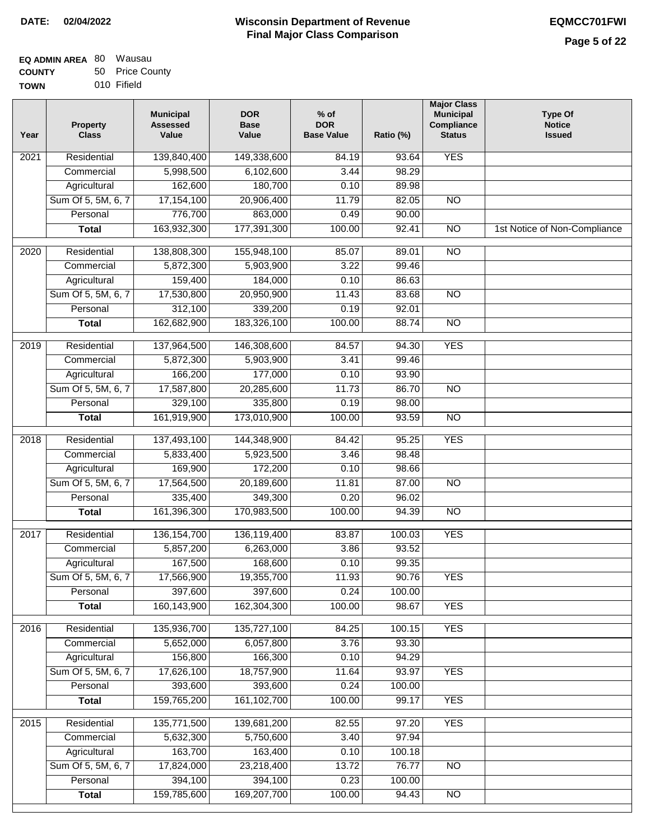| EQ ADMIN AREA 80 Wausau |                 |
|-------------------------|-----------------|
| <b>COUNTY</b>           | 50 Price County |

**TOWN** 010 Fifield

| Year              | <b>Property</b><br><b>Class</b> | <b>Municipal</b><br><b>Assessed</b><br>Value | <b>DOR</b><br><b>Base</b><br>Value | % of<br><b>DOR</b><br><b>Base Value</b> | Ratio (%) | <b>Major Class</b><br><b>Municipal</b><br>Compliance<br><b>Status</b> | <b>Type Of</b><br><b>Notice</b><br><b>Issued</b> |
|-------------------|---------------------------------|----------------------------------------------|------------------------------------|-----------------------------------------|-----------|-----------------------------------------------------------------------|--------------------------------------------------|
| $\overline{202}1$ | Residential                     | 139,840,400                                  | 149,338,600                        | 84.19                                   | 93.64     | <b>YES</b>                                                            |                                                  |
|                   | Commercial                      | 5,998,500                                    | 6,102,600                          | 3.44                                    | 98.29     |                                                                       |                                                  |
|                   | Agricultural                    | 162,600                                      | 180,700                            | 0.10                                    | 89.98     |                                                                       |                                                  |
|                   | Sum Of 5, 5M, 6, 7              | 17,154,100                                   | 20,906,400                         | 11.79                                   | 82.05     | $\overline{NO}$                                                       |                                                  |
|                   | Personal                        | 776,700                                      | 863,000                            | 0.49                                    | 90.00     |                                                                       |                                                  |
|                   | <b>Total</b>                    | 163,932,300                                  | 177,391,300                        | 100.00                                  | 92.41     | $\overline{NO}$                                                       | 1st Notice of Non-Compliance                     |
| $\overline{2020}$ | Residential                     | 138,808,300                                  | 155,948,100                        | 85.07                                   | 89.01     | $\overline{NO}$                                                       |                                                  |
|                   | Commercial                      | 5,872,300                                    | 5,903,900                          | 3.22                                    | 99.46     |                                                                       |                                                  |
|                   | Agricultural                    | 159,400                                      | 184,000                            | 0.10                                    | 86.63     |                                                                       |                                                  |
|                   | Sum Of 5, 5M, 6, 7              | 17,530,800                                   | 20,950,900                         | 11.43                                   | 83.68     | $\overline{NO}$                                                       |                                                  |
|                   | Personal                        | 312,100                                      | 339,200                            | 0.19                                    | 92.01     |                                                                       |                                                  |
|                   | <b>Total</b>                    | 162,682,900                                  | 183,326,100                        | 100.00                                  | 88.74     | $\overline{NO}$                                                       |                                                  |
| 2019              | Residential                     | 137,964,500                                  | 146,308,600                        | 84.57                                   | 94.30     | <b>YES</b>                                                            |                                                  |
|                   | Commercial                      | 5,872,300                                    | 5,903,900                          | 3.41                                    | 99.46     |                                                                       |                                                  |
|                   | Agricultural                    | 166,200                                      | 177,000                            | 0.10                                    | 93.90     |                                                                       |                                                  |
|                   | Sum Of 5, 5M, 6, 7              | 17,587,800                                   | 20,285,600                         | 11.73                                   | 86.70     | $\overline{NO}$                                                       |                                                  |
|                   | Personal                        | 329,100                                      | 335,800                            | 0.19                                    | 98.00     |                                                                       |                                                  |
|                   | <b>Total</b>                    | 161,919,900                                  | 173,010,900                        | 100.00                                  | 93.59     | $\overline{NO}$                                                       |                                                  |
| 2018              | Residential                     | 137,493,100                                  | 144,348,900                        | 84.42                                   | 95.25     | <b>YES</b>                                                            |                                                  |
|                   | Commercial                      | 5,833,400                                    | 5,923,500                          | 3.46                                    | 98.48     |                                                                       |                                                  |
|                   | Agricultural                    | 169,900                                      | 172,200                            | 0.10                                    | 98.66     |                                                                       |                                                  |
|                   | Sum Of 5, 5M, 6, 7              | 17,564,500                                   | 20,189,600                         | 11.81                                   | 87.00     | $\overline{3}$                                                        |                                                  |
|                   | Personal                        | 335,400                                      | 349,300                            | 0.20                                    | 96.02     |                                                                       |                                                  |
|                   | <b>Total</b>                    | 161,396,300                                  | 170,983,500                        | 100.00                                  | 94.39     | <b>NO</b>                                                             |                                                  |
| $\overline{2017}$ | Residential                     | 136, 154, 700                                | 136,119,400                        | 83.87                                   | 100.03    | <b>YES</b>                                                            |                                                  |
|                   | Commercial                      | 5,857,200                                    | 6,263,000                          | 3.86                                    | 93.52     |                                                                       |                                                  |
|                   | Agricultural                    | 167,500                                      | 168,600                            | 0.10                                    | 99.35     |                                                                       |                                                  |
|                   | Sum Of 5, 5M, 6, 7              | 17,566,900                                   | 19,355,700                         | 11.93                                   | 90.76     | <b>YES</b>                                                            |                                                  |
|                   | Personal                        | 397,600                                      | 397,600                            | 0.24                                    | 100.00    |                                                                       |                                                  |
|                   | <b>Total</b>                    | 160,143,900                                  | 162,304,300                        | 100.00                                  | 98.67     | <b>YES</b>                                                            |                                                  |
| 2016              | Residential                     | 135,936,700                                  | 135,727,100                        | 84.25                                   | 100.15    | <b>YES</b>                                                            |                                                  |
|                   | Commercial                      | 5,652,000                                    | 6,057,800                          | 3.76                                    | 93.30     |                                                                       |                                                  |
|                   | Agricultural                    | 156,800                                      | 166,300                            | 0.10                                    | 94.29     |                                                                       |                                                  |
|                   | Sum Of 5, 5M, 6, 7              | 17,626,100                                   | 18,757,900                         | 11.64                                   | 93.97     | <b>YES</b>                                                            |                                                  |
|                   | Personal                        | 393,600                                      | 393,600                            | 0.24                                    | 100.00    |                                                                       |                                                  |
|                   | <b>Total</b>                    | 159,765,200                                  | 161, 102, 700                      | 100.00                                  | 99.17     | <b>YES</b>                                                            |                                                  |
| 2015              | Residential                     | 135,771,500                                  | 139,681,200                        | 82.55                                   | 97.20     | <b>YES</b>                                                            |                                                  |
|                   | Commercial                      | 5,632,300                                    | 5,750,600                          | 3.40                                    | 97.94     |                                                                       |                                                  |
|                   | Agricultural                    | 163,700                                      | 163,400                            | 0.10                                    | 100.18    |                                                                       |                                                  |
|                   | Sum Of 5, 5M, 6, 7              | 17,824,000                                   | 23,218,400                         | 13.72                                   | 76.77     | <b>NO</b>                                                             |                                                  |
|                   | Personal                        | 394,100                                      | 394,100                            | 0.23                                    | 100.00    |                                                                       |                                                  |
|                   |                                 | 159,785,600                                  | 169,207,700                        | 100.00                                  | 94.43     |                                                                       |                                                  |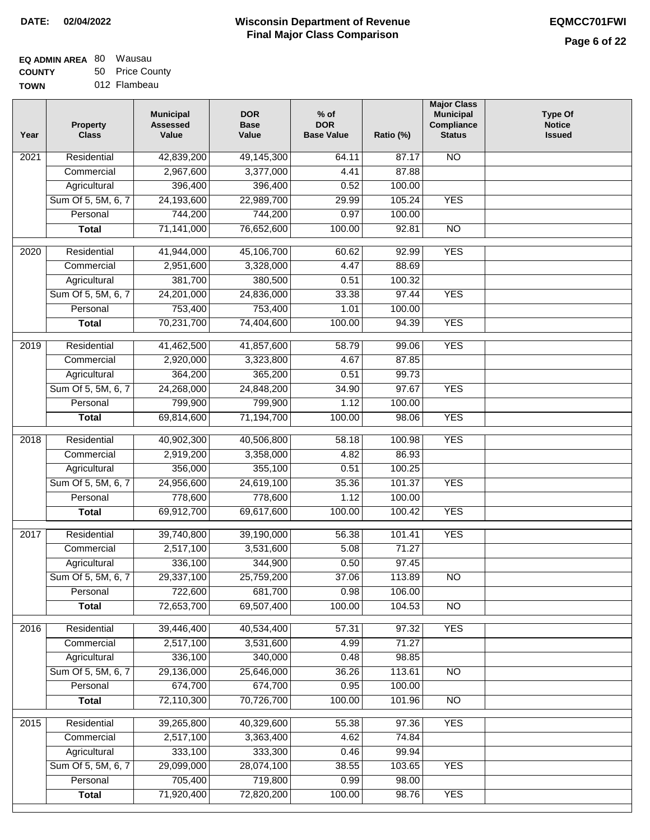# **Wisconsin Department of Revenue DATE: 02/04/2022 EQMCC701FWI Final Major Class Comparison**

| EQ ADMIN AREA 80 Wausau |                 |  |  |
|-------------------------|-----------------|--|--|
| <b>COUNTY</b>           | 50 Price County |  |  |

**TOWN** 012 Flambeau

| Year             | <b>Property</b><br><b>Class</b> | <b>Municipal</b><br><b>Assessed</b><br>Value | <b>DOR</b><br><b>Base</b><br>Value | $%$ of<br><b>DOR</b><br><b>Base Value</b> | Ratio (%) | <b>Major Class</b><br><b>Municipal</b><br>Compliance<br><b>Status</b> | <b>Type Of</b><br><b>Notice</b><br><b>Issued</b> |
|------------------|---------------------------------|----------------------------------------------|------------------------------------|-------------------------------------------|-----------|-----------------------------------------------------------------------|--------------------------------------------------|
| 2021             | Residential                     | 42,839,200                                   | 49,145,300                         | 64.11                                     | 87.17     | $\overline{NO}$                                                       |                                                  |
|                  | Commercial                      | 2,967,600                                    | 3,377,000                          | 4.41                                      | 87.88     |                                                                       |                                                  |
|                  | Agricultural                    | 396,400                                      | 396,400                            | 0.52                                      | 100.00    |                                                                       |                                                  |
|                  | Sum Of 5, 5M, 6, 7              | 24,193,600                                   | 22,989,700                         | 29.99                                     | 105.24    | <b>YES</b>                                                            |                                                  |
|                  | Personal                        | 744,200                                      | 744,200                            | 0.97                                      | 100.00    |                                                                       |                                                  |
|                  | <b>Total</b>                    | 71,141,000                                   | 76,652,600                         | 100.00                                    | 92.81     | $\overline{NO}$                                                       |                                                  |
| $\frac{1}{2020}$ | Residential                     | 41,944,000                                   | 45,106,700                         | 60.62                                     | 92.99     | <b>YES</b>                                                            |                                                  |
|                  | Commercial                      | 2,951,600                                    | 3,328,000                          | 4.47                                      | 88.69     |                                                                       |                                                  |
|                  | Agricultural                    | 381,700                                      | 380,500                            | 0.51                                      | 100.32    |                                                                       |                                                  |
|                  | Sum Of 5, 5M, 6, 7              | 24,201,000                                   | 24,836,000                         | 33.38                                     | 97.44     | <b>YES</b>                                                            |                                                  |
|                  | Personal                        | 753,400                                      | 753,400                            | 1.01                                      | 100.00    |                                                                       |                                                  |
|                  | <b>Total</b>                    | 70,231,700                                   | 74,404,600                         | 100.00                                    | 94.39     | <b>YES</b>                                                            |                                                  |
|                  |                                 |                                              |                                    |                                           |           |                                                                       |                                                  |
| $\frac{1}{2019}$ | Residential                     | 41,462,500                                   | 41,857,600                         | 58.79                                     | 99.06     | <b>YES</b>                                                            |                                                  |
|                  | Commercial                      | 2,920,000                                    | 3,323,800                          | 4.67                                      | 87.85     |                                                                       |                                                  |
|                  | Agricultural                    | 364,200                                      | 365,200                            | 0.51                                      | 99.73     |                                                                       |                                                  |
|                  | Sum Of 5, 5M, 6, 7              | 24,268,000                                   | 24,848,200                         | 34.90                                     | 97.67     | <b>YES</b>                                                            |                                                  |
|                  | Personal                        | 799,900                                      | 799,900                            | 1.12                                      | 100.00    |                                                                       |                                                  |
|                  | <b>Total</b>                    | 69,814,600                                   | 71,194,700                         | 100.00                                    | 98.06     | <b>YES</b>                                                            |                                                  |
| 2018             | Residential                     | 40,902,300                                   | 40,506,800                         | 58.18                                     | 100.98    | <b>YES</b>                                                            |                                                  |
|                  | Commercial                      | 2,919,200                                    | 3,358,000                          | 4.82                                      | 86.93     |                                                                       |                                                  |
|                  | Agricultural                    | 356,000                                      | 355,100                            | 0.51                                      | 100.25    |                                                                       |                                                  |
|                  | Sum Of 5, 5M, 6, 7              | 24,956,600                                   | 24,619,100                         | 35.36                                     | 101.37    | <b>YES</b>                                                            |                                                  |
|                  | Personal                        | 778,600                                      | 778,600                            | 1.12                                      | 100.00    |                                                                       |                                                  |
|                  | <b>Total</b>                    | 69,912,700                                   | 69,617,600                         | 100.00                                    | 100.42    | <b>YES</b>                                                            |                                                  |
| 2017             | Residential                     | 39,740,800                                   | 39,190,000                         | 56.38                                     | 101.41    | <b>YES</b>                                                            |                                                  |
|                  | Commercial                      | 2,517,100                                    | 3,531,600                          | 5.08                                      | 71.27     |                                                                       |                                                  |
|                  | Agricultural                    | 336,100                                      | 344,900                            | 0.50                                      | 97.45     |                                                                       |                                                  |
|                  | Sum Of 5, 5M, 6, 7              | 29,337,100                                   | 25,759,200                         | 37.06                                     | 113.89    | $\overline{NO}$                                                       |                                                  |
|                  | Personal                        | 722,600                                      | 681,700                            | 0.98                                      | 106.00    |                                                                       |                                                  |
|                  | <b>Total</b>                    | 72,653,700                                   | 69,507,400                         | 100.00                                    | 104.53    | NO                                                                    |                                                  |
| 2016             | Residential                     | 39,446,400                                   | 40,534,400                         | 57.31                                     | 97.32     | <b>YES</b>                                                            |                                                  |
|                  | Commercial                      | 2,517,100                                    | 3,531,600                          | 4.99                                      | 71.27     |                                                                       |                                                  |
|                  | Agricultural                    | 336,100                                      | 340,000                            | 0.48                                      | 98.85     |                                                                       |                                                  |
|                  | Sum Of 5, 5M, 6, 7              | 29,136,000                                   | 25,646,000                         | 36.26                                     | 113.61    | N <sub>O</sub>                                                        |                                                  |
|                  | Personal                        | 674,700                                      | 674,700                            | 0.95                                      | 100.00    |                                                                       |                                                  |
|                  | <b>Total</b>                    | 72,110,300                                   | 70,726,700                         | 100.00                                    | 101.96    | $\overline{NO}$                                                       |                                                  |
| 2015             | Residential                     | 39,265,800                                   | 40,329,600                         | 55.38                                     | 97.36     | <b>YES</b>                                                            |                                                  |
|                  | Commercial                      | 2,517,100                                    | 3,363,400                          | 4.62                                      | 74.84     |                                                                       |                                                  |
|                  | Agricultural                    | 333,100                                      | 333,300                            | 0.46                                      | 99.94     |                                                                       |                                                  |
|                  | Sum Of 5, 5M, 6, 7              | 29,099,000                                   | 28,074,100                         | 38.55                                     | 103.65    | <b>YES</b>                                                            |                                                  |
|                  | Personal                        | 705,400                                      | 719,800                            | 0.99                                      | 98.00     |                                                                       |                                                  |
|                  | <b>Total</b>                    | 71,920,400                                   | 72,820,200                         | 100.00                                    | 98.76     | <b>YES</b>                                                            |                                                  |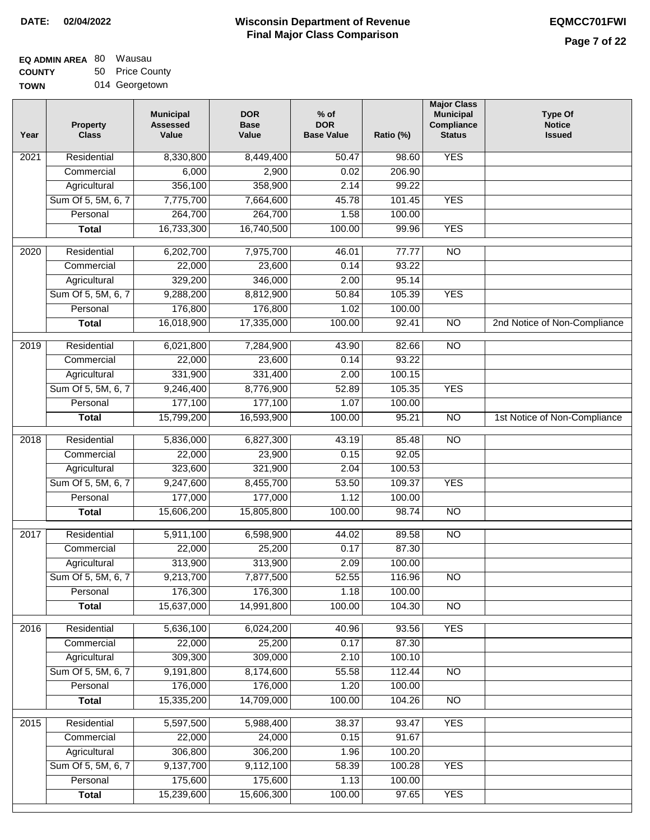# **Wisconsin Department of Revenue DATE: 02/04/2022 EQMCC701FWI Final Major Class Comparison**

| <b>EQ ADMIN AREA 80 Wausau</b> |                 |
|--------------------------------|-----------------|
| <b>COUNTY</b>                  | 50 Price County |
|                                |                 |

**TOWN** 014 Georgetown

| Year | <b>Property</b><br><b>Class</b> | <b>Municipal</b><br><b>Assessed</b><br>Value | <b>DOR</b><br><b>Base</b><br>Value | $%$ of<br><b>DOR</b><br><b>Base Value</b> | Ratio (%) | <b>Major Class</b><br><b>Municipal</b><br>Compliance<br><b>Status</b> | <b>Type Of</b><br><b>Notice</b><br><b>Issued</b> |
|------|---------------------------------|----------------------------------------------|------------------------------------|-------------------------------------------|-----------|-----------------------------------------------------------------------|--------------------------------------------------|
| 2021 | Residential                     | 8,330,800                                    | 8,449,400                          | 50.47                                     | 98.60     | <b>YES</b>                                                            |                                                  |
|      | Commercial                      | 6,000                                        | 2,900                              | 0.02                                      | 206.90    |                                                                       |                                                  |
|      | Agricultural                    | 356,100                                      | 358,900                            | 2.14                                      | 99.22     |                                                                       |                                                  |
|      | Sum Of 5, 5M, 6, 7              | 7,775,700                                    | 7,664,600                          | 45.78                                     | 101.45    | <b>YES</b>                                                            |                                                  |
|      | Personal                        | 264,700                                      | 264,700                            | 1.58                                      | 100.00    |                                                                       |                                                  |
|      | <b>Total</b>                    | 16,733,300                                   | 16,740,500                         | 100.00                                    | 99.96     | <b>YES</b>                                                            |                                                  |
| 2020 | Residential                     | 6,202,700                                    | 7,975,700                          | 46.01                                     | 77.77     | $\overline{NO}$                                                       |                                                  |
|      | Commercial                      | 22,000                                       | 23,600                             | 0.14                                      | 93.22     |                                                                       |                                                  |
|      | Agricultural                    | 329,200                                      | 346,000                            | 2.00                                      | 95.14     |                                                                       |                                                  |
|      | Sum Of 5, 5M, 6, 7              | 9,288,200                                    | 8,812,900                          | 50.84                                     | 105.39    | <b>YES</b>                                                            |                                                  |
|      | Personal                        | 176,800                                      | 176,800                            | 1.02                                      | 100.00    |                                                                       |                                                  |
|      | <b>Total</b>                    | 16,018,900                                   | 17,335,000                         | 100.00                                    | 92.41     | $\overline{NO}$                                                       | 2nd Notice of Non-Compliance                     |
| 2019 | Residential                     | 6,021,800                                    | 7,284,900                          | 43.90                                     | 82.66     | $\overline{10}$                                                       |                                                  |
|      | Commercial                      | 22,000                                       | 23,600                             | 0.14                                      | 93.22     |                                                                       |                                                  |
|      | Agricultural                    | 331,900                                      | 331,400                            | 2.00                                      | 100.15    |                                                                       |                                                  |
|      | Sum Of 5, 5M, 6, 7              | 9,246,400                                    | 8,776,900                          | 52.89                                     | 105.35    | <b>YES</b>                                                            |                                                  |
|      | Personal                        | 177,100                                      | 177,100                            | 1.07                                      | 100.00    |                                                                       |                                                  |
|      | <b>Total</b>                    | 15,799,200                                   | 16,593,900                         | 100.00                                    | 95.21     | $\overline{NO}$                                                       | 1st Notice of Non-Compliance                     |
| 2018 | Residential                     | 5,836,000                                    | 6,827,300                          | 43.19                                     | 85.48     | <b>NO</b>                                                             |                                                  |
|      | Commercial                      | 22,000                                       | 23,900                             | 0.15                                      | 92.05     |                                                                       |                                                  |
|      | Agricultural                    | 323,600                                      | 321,900                            | 2.04                                      | 100.53    |                                                                       |                                                  |
|      | Sum Of 5, 5M, 6, 7              | 9,247,600                                    | 8,455,700                          | 53.50                                     | 109.37    | <b>YES</b>                                                            |                                                  |
|      | Personal                        | 177,000                                      | 177,000                            | 1.12                                      | 100.00    |                                                                       |                                                  |
|      | <b>Total</b>                    | 15,606,200                                   | 15,805,800                         | 100.00                                    | 98.74     | <b>NO</b>                                                             |                                                  |
| 2017 | Residential                     | 5,911,100                                    | 6,598,900                          | 44.02                                     | 89.58     | <b>NO</b>                                                             |                                                  |
|      | Commercial                      | 22,000                                       | 25,200                             | 0.17                                      | 87.30     |                                                                       |                                                  |
|      | Agricultural                    | 313,900                                      | 313,900                            | 2.09                                      | 100.00    |                                                                       |                                                  |
|      | Sum Of 5, 5M, 6, 7              | 9,213,700                                    | 7,877,500                          | 52.55                                     | 116.96    | <b>NO</b>                                                             |                                                  |
|      | Personal                        | 176,300                                      | 176,300                            | 1.18                                      | 100.00    |                                                                       |                                                  |
|      | <b>Total</b>                    | 15,637,000                                   | 14,991,800                         | 100.00                                    | 104.30    | <b>NO</b>                                                             |                                                  |
| 2016 | Residential                     | 5,636,100                                    | 6,024,200                          | 40.96                                     | 93.56     | <b>YES</b>                                                            |                                                  |
|      | Commercial                      | 22,000                                       | 25,200                             | 0.17                                      | 87.30     |                                                                       |                                                  |
|      | Agricultural                    | 309,300                                      | 309,000                            | 2.10                                      | 100.10    |                                                                       |                                                  |
|      | Sum Of 5, 5M, 6, 7              | 9,191,800                                    | 8,174,600                          | 55.58                                     | 112.44    | $\overline{NO}$                                                       |                                                  |
|      | Personal                        | 176,000                                      | 176,000                            | 1.20                                      | 100.00    |                                                                       |                                                  |
|      | <b>Total</b>                    | 15,335,200                                   | 14,709,000                         | 100.00                                    | 104.26    | $\overline{NO}$                                                       |                                                  |
| 2015 | Residential                     | 5,597,500                                    | 5,988,400                          | 38.37                                     | 93.47     | <b>YES</b>                                                            |                                                  |
|      | Commercial                      | 22,000                                       | 24,000                             | 0.15                                      | 91.67     |                                                                       |                                                  |
|      | Agricultural                    | 306,800                                      | 306,200                            | 1.96                                      | 100.20    |                                                                       |                                                  |
|      | Sum Of 5, 5M, 6, 7              | 9,137,700                                    | 9,112,100                          | 58.39                                     | 100.28    | <b>YES</b>                                                            |                                                  |
|      | Personal                        | 175,600                                      | 175,600                            | 1.13                                      | 100.00    |                                                                       |                                                  |
|      | <b>Total</b>                    | 15,239,600                                   | 15,606,300                         | 100.00                                    | 97.65     | <b>YES</b>                                                            |                                                  |
|      |                                 |                                              |                                    |                                           |           |                                                                       |                                                  |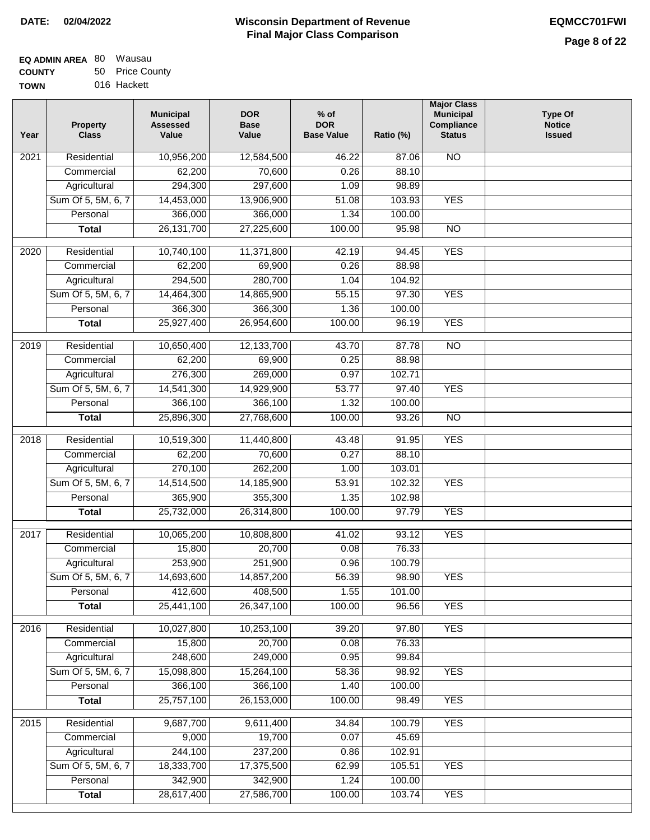| <b>EQ ADMIN AREA 80 Wausau</b> |                 |
|--------------------------------|-----------------|
| <b>COUNTY</b>                  | 50 Price County |
| <b>TOWN</b>                    | 016 Hackett     |

016 Hackett

| Year              | <b>Property</b><br><b>Class</b> | <b>Municipal</b><br><b>Assessed</b><br>Value | <b>DOR</b><br><b>Base</b><br>Value | $%$ of<br><b>DOR</b><br><b>Base Value</b> | Ratio (%) | <b>Major Class</b><br><b>Municipal</b><br>Compliance<br><b>Status</b> | <b>Type Of</b><br><b>Notice</b><br><b>Issued</b> |
|-------------------|---------------------------------|----------------------------------------------|------------------------------------|-------------------------------------------|-----------|-----------------------------------------------------------------------|--------------------------------------------------|
| $\overline{202}1$ | Residential                     | 10,956,200                                   | 12,584,500                         | 46.22                                     | 87.06     | N <sub>O</sub>                                                        |                                                  |
|                   | Commercial                      | 62,200                                       | 70,600                             | 0.26                                      | 88.10     |                                                                       |                                                  |
|                   | Agricultural                    | 294,300                                      | 297,600                            | 1.09                                      | 98.89     |                                                                       |                                                  |
|                   | Sum Of 5, 5M, 6, 7              | 14,453,000                                   | 13,906,900                         | 51.08                                     | 103.93    | <b>YES</b>                                                            |                                                  |
|                   | Personal                        | 366,000                                      | 366,000                            | 1.34                                      | 100.00    |                                                                       |                                                  |
|                   | <b>Total</b>                    | 26, 131, 700                                 | 27,225,600                         | 100.00                                    | 95.98     | $\overline{NO}$                                                       |                                                  |
| $\overline{2020}$ | Residential                     | 10,740,100                                   | 11,371,800                         | 42.19                                     | 94.45     | <b>YES</b>                                                            |                                                  |
|                   | Commercial                      | 62,200                                       | 69,900                             | 0.26                                      | 88.98     |                                                                       |                                                  |
|                   | Agricultural                    | 294,500                                      | 280,700                            | 1.04                                      | 104.92    |                                                                       |                                                  |
|                   | Sum Of 5, 5M, 6, 7              | 14,464,300                                   | 14,865,900                         | 55.15                                     | 97.30     | <b>YES</b>                                                            |                                                  |
|                   | Personal                        | 366,300                                      | 366,300                            | 1.36                                      | 100.00    |                                                                       |                                                  |
|                   | <b>Total</b>                    | 25,927,400                                   | 26,954,600                         | 100.00                                    | 96.19     | <b>YES</b>                                                            |                                                  |
| 2019              | Residential                     | 10,650,400                                   | 12,133,700                         | 43.70                                     | 87.78     | $\overline{NO}$                                                       |                                                  |
|                   | Commercial                      | 62,200                                       | 69,900                             | 0.25                                      | 88.98     |                                                                       |                                                  |
|                   | Agricultural                    | 276,300                                      | 269,000                            | 0.97                                      | 102.71    |                                                                       |                                                  |
|                   | Sum Of 5, 5M, 6, 7              | 14,541,300                                   | 14,929,900                         | 53.77                                     | 97.40     | <b>YES</b>                                                            |                                                  |
|                   | Personal                        | 366,100                                      | 366,100                            | 1.32                                      | 100.00    |                                                                       |                                                  |
|                   | <b>Total</b>                    | 25,896,300                                   | 27,768,600                         | 100.00                                    | 93.26     | $\overline{NO}$                                                       |                                                  |
| 2018              | Residential                     | 10,519,300                                   | 11,440,800                         | 43.48                                     | 91.95     | <b>YES</b>                                                            |                                                  |
|                   | Commercial                      | 62,200                                       | 70,600                             | 0.27                                      | 88.10     |                                                                       |                                                  |
|                   | Agricultural                    | 270,100                                      | 262,200                            | 1.00                                      | 103.01    |                                                                       |                                                  |
|                   | Sum Of 5, 5M, 6, 7              | 14,514,500                                   | 14,185,900                         | 53.91                                     | 102.32    | <b>YES</b>                                                            |                                                  |
|                   | Personal                        | 365,900                                      | 355,300                            | 1.35                                      | 102.98    |                                                                       |                                                  |
|                   | <b>Total</b>                    | 25,732,000                                   | 26,314,800                         | 100.00                                    | 97.79     | <b>YES</b>                                                            |                                                  |
| 2017              | Residential                     | 10,065,200                                   | 10,808,800                         | 41.02                                     | 93.12     | <b>YES</b>                                                            |                                                  |
|                   | Commercial                      | 15,800                                       | 20,700                             | 0.08                                      | 76.33     |                                                                       |                                                  |
|                   | Agricultural                    | 253,900                                      | 251,900                            | 0.96                                      | 100.79    |                                                                       |                                                  |
|                   | Sum Of 5, 5M, 6, 7              | 14,693,600                                   | 14,857,200                         | 56.39                                     | 98.90     | <b>YES</b>                                                            |                                                  |
|                   | Personal                        | 412,600                                      | 408,500                            | 1.55                                      | 101.00    |                                                                       |                                                  |
|                   | <b>Total</b>                    | 25,441,100                                   | 26,347,100                         | 100.00                                    | 96.56     | <b>YES</b>                                                            |                                                  |
| 2016              | Residential                     | 10,027,800                                   | 10,253,100                         | 39.20                                     | 97.80     | <b>YES</b>                                                            |                                                  |
|                   | Commercial                      | 15,800                                       | 20,700                             | 0.08                                      | 76.33     |                                                                       |                                                  |
|                   | Agricultural                    | 248,600                                      | 249,000                            | 0.95                                      | 99.84     |                                                                       |                                                  |
|                   | Sum Of 5, 5M, 6, 7              | 15,098,800                                   | 15,264,100                         | 58.36                                     | 98.92     | <b>YES</b>                                                            |                                                  |
|                   | Personal                        | 366,100                                      | 366,100                            | 1.40                                      | 100.00    |                                                                       |                                                  |
|                   | <b>Total</b>                    | 25,757,100                                   | 26,153,000                         | 100.00                                    | 98.49     | <b>YES</b>                                                            |                                                  |
| 2015              | Residential                     | 9,687,700                                    | 9,611,400                          | 34.84                                     | 100.79    | <b>YES</b>                                                            |                                                  |
|                   | Commercial                      | 9,000                                        | 19,700                             | 0.07                                      | 45.69     |                                                                       |                                                  |
|                   | Agricultural                    | 244,100                                      | 237,200                            | 0.86                                      | 102.91    |                                                                       |                                                  |
|                   | Sum Of 5, 5M, 6, 7              | 18,333,700                                   | 17,375,500                         | 62.99                                     | 105.51    | <b>YES</b>                                                            |                                                  |
|                   | Personal                        | 342,900                                      | 342,900                            | 1.24                                      | 100.00    |                                                                       |                                                  |
|                   | <b>Total</b>                    | 28,617,400                                   | 27,586,700                         | 100.00                                    | 103.74    | <b>YES</b>                                                            |                                                  |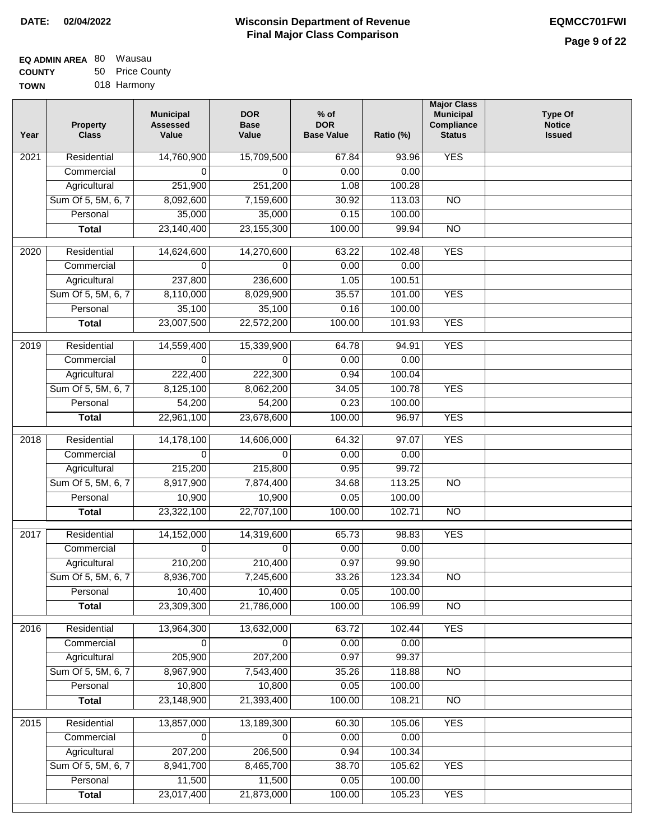# **Wisconsin Department of Revenue DATE: 02/04/2022 EQMCC701FWI Final Major Class Comparison**

| EQ ADMIN AREA 80 | Wausau          |
|------------------|-----------------|
| <b>COUNTY</b>    | 50 Price County |
| <b>TOWN</b>      | 018 Harmony     |

018 Harmony

| Year              | <b>Property</b><br><b>Class</b> | <b>Municipal</b><br><b>Assessed</b><br>Value | <b>DOR</b><br><b>Base</b><br>Value | $%$ of<br><b>DOR</b><br><b>Base Value</b> | Ratio (%)        | <b>Major Class</b><br><b>Municipal</b><br>Compliance<br><b>Status</b> | <b>Type Of</b><br><b>Notice</b><br><b>Issued</b> |
|-------------------|---------------------------------|----------------------------------------------|------------------------------------|-------------------------------------------|------------------|-----------------------------------------------------------------------|--------------------------------------------------|
| $\overline{202}1$ | Residential                     | 14,760,900                                   | 15,709,500                         | 67.84                                     | 93.96            | <b>YES</b>                                                            |                                                  |
|                   | Commercial                      | $\Omega$                                     | 0                                  | 0.00                                      | 0.00             |                                                                       |                                                  |
|                   | Agricultural                    | 251,900                                      | 251,200                            | 1.08                                      | 100.28           |                                                                       |                                                  |
|                   | Sum Of 5, 5M, 6, 7              | 8,092,600                                    | 7,159,600                          | 30.92                                     | 113.03           | $\overline{NO}$                                                       |                                                  |
|                   | Personal                        | 35,000                                       | 35,000                             | 0.15                                      | 100.00           |                                                                       |                                                  |
|                   | <b>Total</b>                    | 23,140,400                                   | 23, 155, 300                       | 100.00                                    | 99.94            | <b>NO</b>                                                             |                                                  |
| $\overline{2020}$ | Residential                     | 14,624,600                                   | 14,270,600                         | 63.22                                     | 102.48           | <b>YES</b>                                                            |                                                  |
|                   | Commercial                      | 0                                            | 0                                  | 0.00                                      | 0.00             |                                                                       |                                                  |
|                   | Agricultural                    | 237,800                                      | 236,600                            | 1.05                                      | 100.51           |                                                                       |                                                  |
|                   | Sum Of 5, 5M, 6, 7              | 8,110,000                                    | 8,029,900                          | 35.57                                     | 101.00           | <b>YES</b>                                                            |                                                  |
|                   | Personal                        | 35,100                                       | 35,100                             | 0.16                                      | 100.00           |                                                                       |                                                  |
|                   | <b>Total</b>                    | 23,007,500                                   | 22,572,200                         | 100.00                                    | 101.93           | <b>YES</b>                                                            |                                                  |
| 2019              | Residential                     | 14,559,400                                   | 15,339,900                         | 64.78                                     | 94.91            | <b>YES</b>                                                            |                                                  |
|                   | Commercial                      | $\Omega$                                     | $\Omega$                           | 0.00                                      | 0.00             |                                                                       |                                                  |
|                   | Agricultural                    | 222,400                                      | 222,300                            | 0.94                                      | 100.04           |                                                                       |                                                  |
|                   | Sum Of 5, 5M, 6, 7              | 8,125,100                                    | 8,062,200                          | 34.05                                     | 100.78           | <b>YES</b>                                                            |                                                  |
|                   | Personal                        | 54,200                                       | 54,200                             | 0.23                                      | 100.00           |                                                                       |                                                  |
|                   | <b>Total</b>                    | 22,961,100                                   | 23,678,600                         | 100.00                                    | 96.97            | <b>YES</b>                                                            |                                                  |
| 2018              | Residential                     | 14,178,100                                   | 14,606,000                         | 64.32                                     | 97.07            | <b>YES</b>                                                            |                                                  |
|                   | Commercial                      | $\Omega$                                     | $\Omega$                           | 0.00                                      | 0.00             |                                                                       |                                                  |
|                   | Agricultural                    | 215,200                                      | 215,800                            | 0.95                                      | 99.72            |                                                                       |                                                  |
|                   | Sum Of 5, 5M, 6, 7              | 8,917,900                                    | 7,874,400                          | 34.68                                     | 113.25           | $\overline{10}$                                                       |                                                  |
|                   | Personal                        | 10,900                                       | 10,900                             | 0.05                                      | 100.00           |                                                                       |                                                  |
|                   | <b>Total</b>                    | 23,322,100                                   | 22,707,100                         | 100.00                                    | 102.71           | $\overline{NO}$                                                       |                                                  |
| 2017              | Residential                     | 14,152,000                                   |                                    | 65.73                                     |                  | <b>YES</b>                                                            |                                                  |
|                   | Commercial                      | 0                                            | 14,319,600<br>0                    | 0.00                                      | 98.83<br>0.00    |                                                                       |                                                  |
|                   | Agricultural                    | 210,200                                      | 210,400                            | 0.97                                      | 99.90            |                                                                       |                                                  |
|                   | Sum Of 5, 5M, 6, 7              | 8,936,700                                    | 7,245,600                          | 33.26                                     | 123.34           | NO                                                                    |                                                  |
|                   | Personal                        | 10,400                                       | 10,400                             | 0.05                                      | 100.00           |                                                                       |                                                  |
|                   | <b>Total</b>                    | 23,309,300                                   | 21,786,000                         | 100.00                                    | 106.99           | <b>NO</b>                                                             |                                                  |
|                   |                                 |                                              |                                    |                                           |                  |                                                                       |                                                  |
| 2016              | Residential                     | 13,964,300                                   | 13,632,000                         | 63.72                                     | 102.44           | <b>YES</b>                                                            |                                                  |
|                   | Commercial                      | 0                                            | 0                                  | 0.00                                      | 0.00             |                                                                       |                                                  |
|                   | Agricultural                    | 205,900                                      | 207,200                            | 0.97                                      | 99.37            |                                                                       |                                                  |
|                   | Sum Of 5, 5M, 6, 7              | 8,967,900                                    | 7,543,400                          | 35.26                                     | 118.88           | $\overline{NO}$                                                       |                                                  |
|                   | Personal                        | 10,800<br>23,148,900                         | 10,800                             | 0.05<br>100.00                            | 100.00<br>108.21 | $\overline{NO}$                                                       |                                                  |
|                   | <b>Total</b>                    |                                              | 21,393,400                         |                                           |                  |                                                                       |                                                  |
| 2015              | Residential                     | 13,857,000                                   | 13,189,300                         | 60.30                                     | 105.06           | <b>YES</b>                                                            |                                                  |
|                   | Commercial                      | 0                                            | $\Omega$                           | 0.00                                      | 0.00             |                                                                       |                                                  |
|                   | Agricultural                    | 207,200                                      | 206,500                            | 0.94                                      | 100.34           |                                                                       |                                                  |
|                   | Sum Of 5, 5M, 6, 7              | 8,941,700                                    | 8,465,700                          | 38.70                                     | 105.62           | <b>YES</b>                                                            |                                                  |
|                   | Personal                        | 11,500                                       | 11,500                             | 0.05                                      | 100.00           |                                                                       |                                                  |
|                   | <b>Total</b>                    | 23,017,400                                   | 21,873,000                         | 100.00                                    | 105.23           | <b>YES</b>                                                            |                                                  |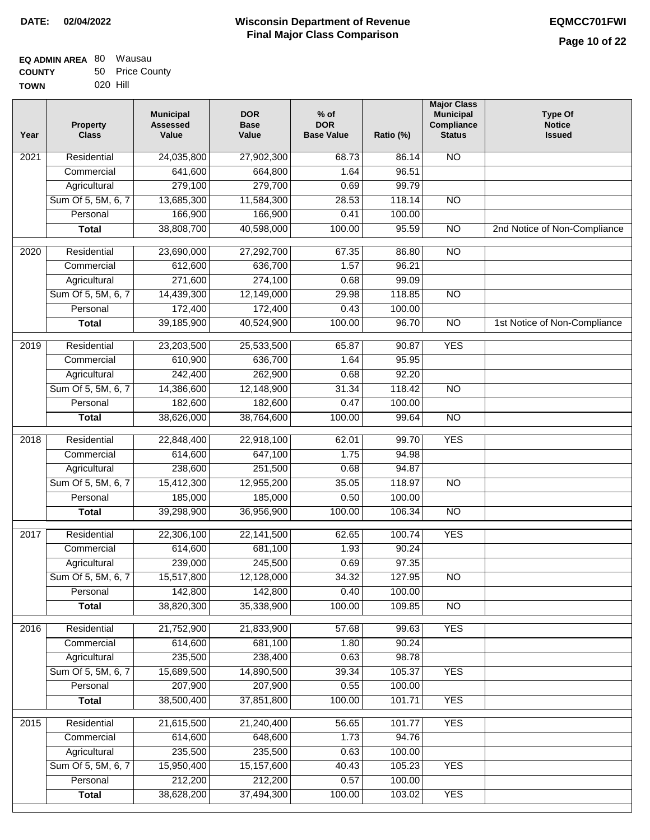# **Wisconsin Department of Revenue DATE: 02/04/2022 EQMCC701FWI Final Major Class Comparison**

| <b>EQ ADMIN AREA 80 Wausau</b> |          |                 |
|--------------------------------|----------|-----------------|
| <b>COUNTY</b>                  |          | 50 Price County |
| <b>TOWN</b>                    | 020 Hill |                 |

| Year              | <b>Property</b><br><b>Class</b> | <b>Municipal</b><br><b>Assessed</b><br>Value | <b>DOR</b><br><b>Base</b><br>Value | $%$ of<br><b>DOR</b><br><b>Base Value</b> | Ratio (%) | <b>Major Class</b><br><b>Municipal</b><br>Compliance<br><b>Status</b> | <b>Type Of</b><br><b>Notice</b><br><b>Issued</b> |
|-------------------|---------------------------------|----------------------------------------------|------------------------------------|-------------------------------------------|-----------|-----------------------------------------------------------------------|--------------------------------------------------|
| $\overline{202}1$ | Residential                     | 24,035,800                                   | 27,902,300                         | 68.73                                     | 86.14     | N <sub>O</sub>                                                        |                                                  |
|                   | Commercial                      | 641,600                                      | 664,800                            | 1.64                                      | 96.51     |                                                                       |                                                  |
|                   | Agricultural                    | 279,100                                      | 279,700                            | 0.69                                      | 99.79     |                                                                       |                                                  |
|                   | Sum Of 5, 5M, 6, 7              | 13,685,300                                   | 11,584,300                         | 28.53                                     | 118.14    | $\overline{NO}$                                                       |                                                  |
|                   | Personal                        | 166,900                                      | 166,900                            | 0.41                                      | 100.00    |                                                                       |                                                  |
|                   | <b>Total</b>                    | 38,808,700                                   | 40,598,000                         | 100.00                                    | 95.59     | $\overline{NO}$                                                       | 2nd Notice of Non-Compliance                     |
| 2020              | Residential                     | 23,690,000                                   | 27,292,700                         | 67.35                                     | 86.80     | $\overline{10}$                                                       |                                                  |
|                   | Commercial                      | 612,600                                      | 636,700                            | 1.57                                      | 96.21     |                                                                       |                                                  |
|                   | Agricultural                    | 271,600                                      | 274,100                            | 0.68                                      | 99.09     |                                                                       |                                                  |
|                   | Sum Of 5, 5M, 6, 7              | 14,439,300                                   | 12,149,000                         | 29.98                                     | 118.85    | $\overline{NO}$                                                       |                                                  |
|                   | Personal                        | 172,400                                      | 172,400                            | 0.43                                      | 100.00    |                                                                       |                                                  |
|                   | <b>Total</b>                    | 39,185,900                                   | 40,524,900                         | 100.00                                    | 96.70     | $\overline{NO}$                                                       | 1st Notice of Non-Compliance                     |
| 2019              | Residential                     | 23,203,500                                   | 25,533,500                         | 65.87                                     | 90.87     | <b>YES</b>                                                            |                                                  |
|                   | Commercial                      | 610,900                                      | 636,700                            | 1.64                                      | 95.95     |                                                                       |                                                  |
|                   | Agricultural                    | 242,400                                      | 262,900                            | 0.68                                      | 92.20     |                                                                       |                                                  |
|                   | Sum Of 5, 5M, 6, 7              | 14,386,600                                   | 12,148,900                         | 31.34                                     | 118.42    | $\overline{NO}$                                                       |                                                  |
|                   | Personal                        | 182,600                                      | 182,600                            | 0.47                                      | 100.00    |                                                                       |                                                  |
|                   | <b>Total</b>                    | 38,626,000                                   | 38,764,600                         | 100.00                                    | 99.64     | $\overline{NO}$                                                       |                                                  |
| 2018              | Residential                     | 22,848,400                                   | 22,918,100                         | 62.01                                     | 99.70     | <b>YES</b>                                                            |                                                  |
|                   | Commercial                      | 614,600                                      | 647,100                            | 1.75                                      | 94.98     |                                                                       |                                                  |
|                   | Agricultural                    | 238,600                                      | 251,500                            | 0.68                                      | 94.87     |                                                                       |                                                  |
|                   | Sum Of 5, 5M, 6, 7              | 15,412,300                                   | 12,955,200                         | 35.05                                     | 118.97    | $\overline{10}$                                                       |                                                  |
|                   | Personal                        | 185,000                                      | 185,000                            | 0.50                                      | 100.00    |                                                                       |                                                  |
|                   | <b>Total</b>                    | 39,298,900                                   | 36,956,900                         | 100.00                                    | 106.34    | $\overline{10}$                                                       |                                                  |
| $\overline{2017}$ | Residential                     | 22,306,100                                   | 22, 141, 500                       | 62.65                                     | 100.74    | <b>YES</b>                                                            |                                                  |
|                   | Commercial                      | 614,600                                      | 681,100                            | 1.93                                      | 90.24     |                                                                       |                                                  |
|                   | Agricultural                    | 239,000                                      | 245,500                            | 0.69                                      | 97.35     |                                                                       |                                                  |
|                   | Sum Of 5, 5M, 6, 7              | 15,517,800                                   | 12,128,000                         | 34.32                                     | 127.95    | <b>NO</b>                                                             |                                                  |
|                   | Personal                        | 142,800                                      | 142,800                            | 0.40                                      | 100.00    |                                                                       |                                                  |
|                   | <b>Total</b>                    | 38,820,300                                   | 35,338,900                         | 100.00                                    | 109.85    | $\overline{NO}$                                                       |                                                  |
| 2016              | Residential                     | 21,752,900                                   | 21,833,900                         | 57.68                                     | 99.63     | <b>YES</b>                                                            |                                                  |
|                   | Commercial                      | 614,600                                      | 681,100                            | 1.80                                      | 90.24     |                                                                       |                                                  |
|                   | Agricultural                    | 235,500                                      | 238,400                            | 0.63                                      | 98.78     |                                                                       |                                                  |
|                   | Sum Of 5, 5M, 6, 7              | 15,689,500                                   | 14,890,500                         | 39.34                                     | 105.37    | <b>YES</b>                                                            |                                                  |
|                   | Personal                        | 207,900                                      | 207,900                            | 0.55                                      | 100.00    |                                                                       |                                                  |
|                   | <b>Total</b>                    | 38,500,400                                   | 37,851,800                         | 100.00                                    | 101.71    | <b>YES</b>                                                            |                                                  |
| 2015              | Residential                     | 21,615,500                                   | 21,240,400                         | 56.65                                     | 101.77    | <b>YES</b>                                                            |                                                  |
|                   | Commercial                      | 614,600                                      | 648,600                            | 1.73                                      | 94.76     |                                                                       |                                                  |
|                   | Agricultural                    | 235,500                                      | 235,500                            | 0.63                                      | 100.00    |                                                                       |                                                  |
|                   | Sum Of 5, 5M, 6, 7              | 15,950,400                                   | 15,157,600                         | 40.43                                     | 105.23    | <b>YES</b>                                                            |                                                  |
|                   | Personal                        | 212,200                                      | 212,200                            | 0.57                                      | 100.00    |                                                                       |                                                  |
|                   | <b>Total</b>                    | 38,628,200                                   | 37,494,300                         | 100.00                                    | 103.02    | <b>YES</b>                                                            |                                                  |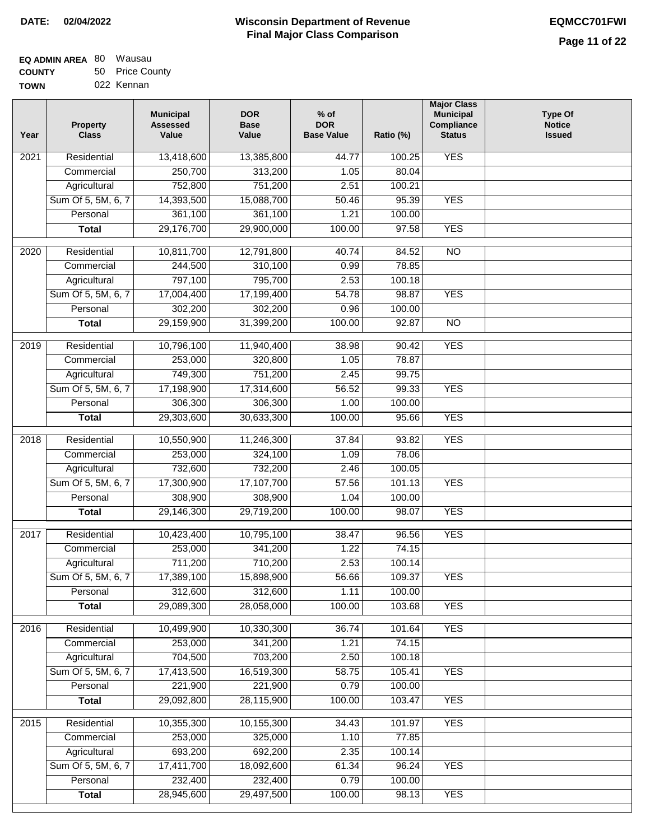| <b>EQ ADMIN AREA 80 Wausau</b> |                 |
|--------------------------------|-----------------|
| <b>COUNTY</b>                  | 50 Price County |
| <b>TOWN</b>                    | 022 Kennan      |

022 Kennan

| Year              | <b>Property</b><br><b>Class</b> | <b>Municipal</b><br><b>Assessed</b><br>Value | <b>DOR</b><br><b>Base</b><br>Value | % of<br><b>DOR</b><br><b>Base Value</b> | Ratio (%) | <b>Major Class</b><br><b>Municipal</b><br>Compliance<br><b>Status</b> | <b>Type Of</b><br><b>Notice</b><br><b>Issued</b> |
|-------------------|---------------------------------|----------------------------------------------|------------------------------------|-----------------------------------------|-----------|-----------------------------------------------------------------------|--------------------------------------------------|
| $\overline{202}1$ | Residential                     | 13,418,600                                   | 13,385,800                         | 44.77                                   | 100.25    | <b>YES</b>                                                            |                                                  |
|                   | Commercial                      | 250,700                                      | 313,200                            | 1.05                                    | 80.04     |                                                                       |                                                  |
|                   | Agricultural                    | 752,800                                      | 751,200                            | 2.51                                    | 100.21    |                                                                       |                                                  |
|                   | Sum Of 5, 5M, 6, 7              | 14,393,500                                   | 15,088,700                         | 50.46                                   | 95.39     | <b>YES</b>                                                            |                                                  |
|                   | Personal                        | 361,100                                      | 361,100                            | 1.21                                    | 100.00    |                                                                       |                                                  |
|                   | <b>Total</b>                    | 29,176,700                                   | 29,900,000                         | 100.00                                  | 97.58     | <b>YES</b>                                                            |                                                  |
| $\overline{2020}$ | Residential                     | 10,811,700                                   | 12,791,800                         | 40.74                                   | 84.52     | $\overline{NO}$                                                       |                                                  |
|                   | Commercial                      | 244,500                                      | 310,100                            | 0.99                                    | 78.85     |                                                                       |                                                  |
|                   | Agricultural                    | 797,100                                      | 795,700                            | 2.53                                    | 100.18    |                                                                       |                                                  |
|                   | Sum Of 5, 5M, 6, 7              | 17,004,400                                   | 17,199,400                         | 54.78                                   | 98.87     | <b>YES</b>                                                            |                                                  |
|                   | Personal                        | 302,200                                      | 302,200                            | 0.96                                    | 100.00    |                                                                       |                                                  |
|                   | <b>Total</b>                    | 29,159,900                                   | 31,399,200                         | 100.00                                  | 92.87     | $\overline{NO}$                                                       |                                                  |
| $\frac{2019}{ }$  | Residential                     | 10,796,100                                   | 11,940,400                         | 38.98                                   | 90.42     | <b>YES</b>                                                            |                                                  |
|                   | Commercial                      | 253,000                                      | 320,800                            | 1.05                                    | 78.87     |                                                                       |                                                  |
|                   | Agricultural                    | 749,300                                      | 751,200                            | 2.45                                    | 99.75     |                                                                       |                                                  |
|                   | Sum Of 5, 5M, 6, 7              | 17,198,900                                   | 17,314,600                         | 56.52                                   | 99.33     | <b>YES</b>                                                            |                                                  |
|                   | Personal                        | 306,300                                      | 306,300                            | 1.00                                    | 100.00    |                                                                       |                                                  |
|                   | <b>Total</b>                    | 29,303,600                                   | 30,633,300                         | 100.00                                  | 95.66     | <b>YES</b>                                                            |                                                  |
| 2018              | Residential                     | 10,550,900                                   | 11,246,300                         | 37.84                                   | 93.82     | <b>YES</b>                                                            |                                                  |
|                   | Commercial                      | 253,000                                      | 324,100                            | 1.09                                    | 78.06     |                                                                       |                                                  |
|                   | Agricultural                    | 732,600                                      | 732,200                            | 2.46                                    | 100.05    |                                                                       |                                                  |
|                   | Sum Of 5, 5M, 6, 7              | 17,300,900                                   | 17,107,700                         | 57.56                                   | 101.13    | <b>YES</b>                                                            |                                                  |
|                   | Personal                        | 308,900                                      | 308,900                            | 1.04                                    | 100.00    |                                                                       |                                                  |
|                   | <b>Total</b>                    | 29,146,300                                   | 29,719,200                         | 100.00                                  | 98.07     | <b>YES</b>                                                            |                                                  |
| $\overline{2017}$ | Residential                     | 10,423,400                                   | 10,795,100                         | 38.47                                   | 96.56     | <b>YES</b>                                                            |                                                  |
|                   | Commercial                      | 253,000                                      | 341,200                            | 1.22                                    | 74.15     |                                                                       |                                                  |
|                   | Agricultural                    | 711,200                                      | 710,200                            | 2.53                                    | 100.14    |                                                                       |                                                  |
|                   | Sum Of 5, 5M, 6, 7              | 17,389,100                                   | 15,898,900                         | 56.66                                   | 109.37    | <b>YES</b>                                                            |                                                  |
|                   | Personal                        | 312,600                                      | 312,600                            | 1.11                                    | 100.00    |                                                                       |                                                  |
|                   | <b>Total</b>                    | 29,089,300                                   | 28,058,000                         | 100.00                                  | 103.68    | <b>YES</b>                                                            |                                                  |
| 2016              | Residential                     | 10,499,900                                   | 10,330,300                         | 36.74                                   | 101.64    | <b>YES</b>                                                            |                                                  |
|                   | Commercial                      | 253,000                                      | 341,200                            | 1.21                                    | 74.15     |                                                                       |                                                  |
|                   | Agricultural                    | 704,500                                      | 703,200                            | 2.50                                    | 100.18    |                                                                       |                                                  |
|                   | Sum Of 5, 5M, 6, 7              | 17,413,500                                   | 16,519,300                         | 58.75                                   | 105.41    | <b>YES</b>                                                            |                                                  |
|                   | Personal                        | 221,900                                      | 221,900                            | 0.79                                    | 100.00    |                                                                       |                                                  |
|                   | <b>Total</b>                    | 29,092,800                                   | 28,115,900                         | 100.00                                  | 103.47    | <b>YES</b>                                                            |                                                  |
| 2015              | Residential                     | 10,355,300                                   | 10,155,300                         | 34.43                                   | 101.97    | <b>YES</b>                                                            |                                                  |
|                   | Commercial                      | 253,000                                      | 325,000                            | 1.10                                    | 77.85     |                                                                       |                                                  |
|                   | Agricultural                    | 693,200                                      | 692,200                            | 2.35                                    | 100.14    |                                                                       |                                                  |
|                   | Sum Of 5, 5M, 6, 7              | 17,411,700                                   | 18,092,600                         | 61.34                                   | 96.24     | <b>YES</b>                                                            |                                                  |
|                   | Personal                        | 232,400                                      | 232,400                            | 0.79                                    | 100.00    |                                                                       |                                                  |
|                   | <b>Total</b>                    | 28,945,600                                   | 29,497,500                         | 100.00                                  | 98.13     | <b>YES</b>                                                            |                                                  |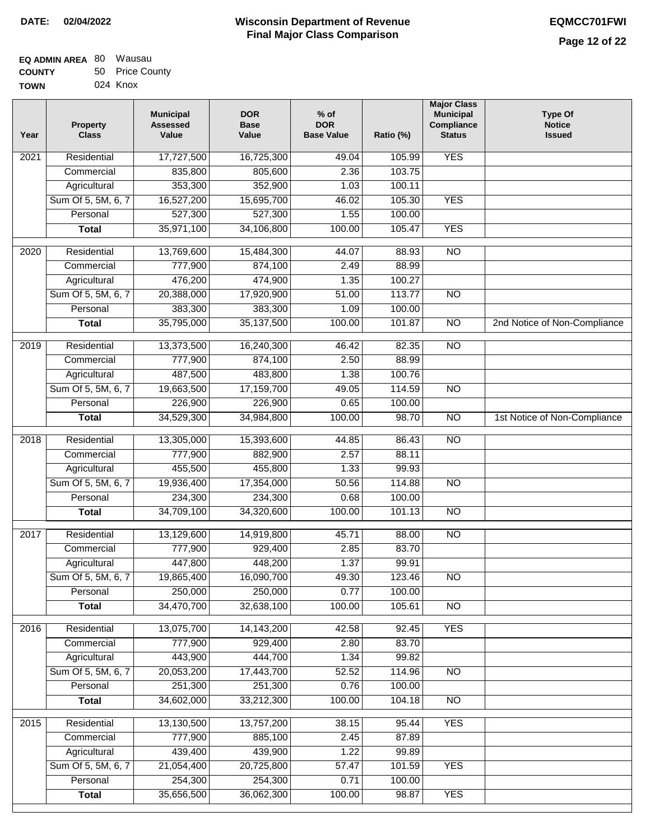| <b>EQ ADMIN AREA 80 Wausau</b> |                 |
|--------------------------------|-----------------|
| <b>COUNTY</b>                  | 50 Price County |
| <b>TOWN</b>                    | 024 Knox        |

| Year              | <b>Property</b><br><b>Class</b> | <b>Municipal</b><br><b>Assessed</b><br>Value | <b>DOR</b><br><b>Base</b><br>Value | % of<br><b>DOR</b><br><b>Base Value</b> | Ratio (%) | <b>Major Class</b><br><b>Municipal</b><br>Compliance<br><b>Status</b> | <b>Type Of</b><br><b>Notice</b><br><b>Issued</b> |
|-------------------|---------------------------------|----------------------------------------------|------------------------------------|-----------------------------------------|-----------|-----------------------------------------------------------------------|--------------------------------------------------|
| $\overline{202}1$ | Residential                     | 17,727,500                                   | 16,725,300                         | 49.04                                   | 105.99    | <b>YES</b>                                                            |                                                  |
|                   | Commercial                      | 835,800                                      | 805,600                            | 2.36                                    | 103.75    |                                                                       |                                                  |
|                   | Agricultural                    | 353,300                                      | 352,900                            | 1.03                                    | 100.11    |                                                                       |                                                  |
|                   | Sum Of 5, 5M, 6, 7              | 16,527,200                                   | 15,695,700                         | 46.02                                   | 105.30    | <b>YES</b>                                                            |                                                  |
|                   | Personal                        | 527,300                                      | 527,300                            | 1.55                                    | 100.00    |                                                                       |                                                  |
|                   | <b>Total</b>                    | 35,971,100                                   | 34,106,800                         | 100.00                                  | 105.47    | <b>YES</b>                                                            |                                                  |
| $\overline{2020}$ | Residential                     | 13,769,600                                   | 15,484,300                         | 44.07                                   | 88.93     | $\overline{NO}$                                                       |                                                  |
|                   | Commercial                      | 777,900                                      | 874,100                            | 2.49                                    | 88.99     |                                                                       |                                                  |
|                   | Agricultural                    | 476,200                                      | 474,900                            | 1.35                                    | 100.27    |                                                                       |                                                  |
|                   | Sum Of 5, 5M, 6, 7              | 20,388,000                                   | 17,920,900                         | 51.00                                   | 113.77    | $\overline{NO}$                                                       |                                                  |
|                   | Personal                        | 383,300                                      | 383,300                            | 1.09                                    | 100.00    |                                                                       |                                                  |
|                   | <b>Total</b>                    | 35,795,000                                   | 35, 137, 500                       | 100.00                                  | 101.87    | $\overline{NO}$                                                       | 2nd Notice of Non-Compliance                     |
| 2019              | Residential                     | 13,373,500                                   | 16,240,300                         | 46.42                                   | 82.35     | $\overline{3}$                                                        |                                                  |
|                   | Commercial                      | 777,900                                      | 874,100                            | 2.50                                    | 88.99     |                                                                       |                                                  |
|                   | Agricultural                    | 487,500                                      | 483,800                            | 1.38                                    | 100.76    |                                                                       |                                                  |
|                   | Sum Of 5, 5M, 6, 7              | 19,663,500                                   | 17,159,700                         | 49.05                                   | 114.59    | $\overline{NO}$                                                       |                                                  |
|                   | Personal                        | 226,900                                      | 226,900                            | 0.65                                    | 100.00    |                                                                       |                                                  |
|                   | <b>Total</b>                    | 34,529,300                                   | 34,984,800                         | 100.00                                  | 98.70     | $\overline{NO}$                                                       | 1st Notice of Non-Compliance                     |
|                   |                                 |                                              |                                    |                                         |           |                                                                       |                                                  |
| 2018              | Residential                     | 13,305,000                                   | 15,393,600                         | 44.85                                   | 86.43     | $\overline{10}$                                                       |                                                  |
|                   | Commercial                      | 777,900                                      | 882,900                            | 2.57                                    | 88.11     |                                                                       |                                                  |
|                   | Agricultural                    | 455,500                                      | 455,800                            | 1.33                                    | 99.93     |                                                                       |                                                  |
|                   | Sum Of 5, 5M, 6, 7              | 19,936,400                                   | 17,354,000                         | 50.56                                   | 114.88    | $\overline{3}$                                                        |                                                  |
|                   | Personal                        | 234,300                                      | 234,300                            | 0.68                                    | 100.00    |                                                                       |                                                  |
|                   | <b>Total</b>                    | 34,709,100                                   | 34,320,600                         | 100.00                                  | 101.13    | <b>NO</b>                                                             |                                                  |
| $\overline{2017}$ | Residential                     | 13,129,600                                   | 14,919,800                         | 45.71                                   | 88.00     | <b>NO</b>                                                             |                                                  |
|                   | Commercial                      | 777,900                                      | 929,400                            | 2.85                                    | 83.70     |                                                                       |                                                  |
|                   | Agricultural                    | 447,800                                      | 448,200                            | 1.37                                    | 99.91     |                                                                       |                                                  |
|                   | Sum Of 5, 5M, 6, 7              | 19,865,400                                   | 16,090,700                         | 49.30                                   | 123.46    | <b>NO</b>                                                             |                                                  |
|                   | Personal                        | 250,000                                      | 250,000                            | 0.77                                    | 100.00    |                                                                       |                                                  |
|                   | <b>Total</b>                    | 34,470,700                                   | 32,638,100                         | 100.00                                  | 105.61    | <b>NO</b>                                                             |                                                  |
| 2016              | Residential                     | 13,075,700                                   | 14,143,200                         | 42.58                                   | 92.45     | <b>YES</b>                                                            |                                                  |
|                   | Commercial                      | 777,900                                      | 929,400                            | 2.80                                    | 83.70     |                                                                       |                                                  |
|                   | Agricultural                    | 443,900                                      | 444,700                            | 1.34                                    | 99.82     |                                                                       |                                                  |
|                   | Sum Of 5, 5M, 6, 7              | 20,053,200                                   | 17,443,700                         | 52.52                                   | 114.96    | $\overline{NO}$                                                       |                                                  |
|                   | Personal                        | 251,300                                      | 251,300                            | 0.76                                    | 100.00    |                                                                       |                                                  |
|                   | <b>Total</b>                    | 34,602,000                                   | 33,212,300                         | 100.00                                  | 104.18    | $\overline{NO}$                                                       |                                                  |
| 2015              | Residential                     | 13,130,500                                   | 13,757,200                         | 38.15                                   | 95.44     | <b>YES</b>                                                            |                                                  |
|                   | Commercial                      | 777,900                                      | 885,100                            | 2.45                                    | 87.89     |                                                                       |                                                  |
|                   | Agricultural                    | 439,400                                      | 439,900                            | 1.22                                    | 99.89     |                                                                       |                                                  |
|                   | Sum Of 5, 5M, 6, 7              | 21,054,400                                   | 20,725,800                         | 57.47                                   | 101.59    | <b>YES</b>                                                            |                                                  |
|                   | Personal                        | 254,300                                      | 254,300                            | 0.71                                    | 100.00    |                                                                       |                                                  |
|                   | <b>Total</b>                    | 35,656,500                                   | 36,062,300                         | 100.00                                  | 98.87     | <b>YES</b>                                                            |                                                  |
|                   |                                 |                                              |                                    |                                         |           |                                                                       |                                                  |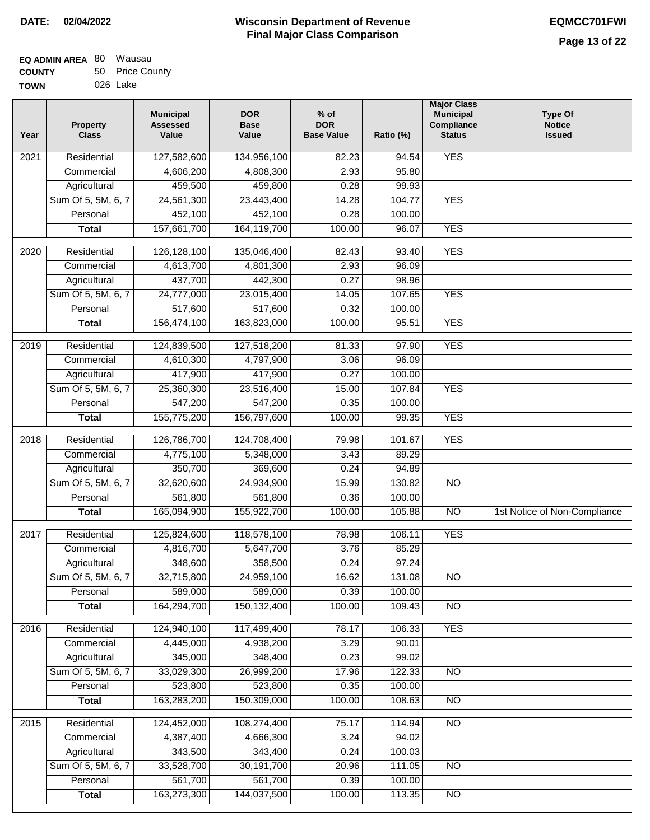| <b>EQ ADMIN AREA 80 Wausau</b> |                 |
|--------------------------------|-----------------|
| <b>COUNTY</b>                  | 50 Price County |
| <b>TOWN</b>                    | 026 Lake        |

| Year              | <b>Property</b><br><b>Class</b> | <b>Municipal</b><br><b>Assessed</b><br>Value | <b>DOR</b><br><b>Base</b><br>Value | $%$ of<br><b>DOR</b><br><b>Base Value</b> | Ratio (%) | <b>Major Class</b><br><b>Municipal</b><br>Compliance<br><b>Status</b> | <b>Type Of</b><br><b>Notice</b><br><b>Issued</b> |
|-------------------|---------------------------------|----------------------------------------------|------------------------------------|-------------------------------------------|-----------|-----------------------------------------------------------------------|--------------------------------------------------|
| $\overline{202}1$ | Residential                     | 127,582,600                                  | 134,956,100                        | 82.23                                     | 94.54     | <b>YES</b>                                                            |                                                  |
|                   | Commercial                      | 4,606,200                                    | 4,808,300                          | 2.93                                      | 95.80     |                                                                       |                                                  |
|                   | Agricultural                    | 459,500                                      | 459,800                            | 0.28                                      | 99.93     |                                                                       |                                                  |
|                   | Sum Of 5, 5M, 6, 7              | 24,561,300                                   | 23,443,400                         | 14.28                                     | 104.77    | <b>YES</b>                                                            |                                                  |
|                   | Personal                        | 452,100                                      | 452,100                            | 0.28                                      | 100.00    |                                                                       |                                                  |
|                   | <b>Total</b>                    | 157,661,700                                  | 164,119,700                        | 100.00                                    | 96.07     | <b>YES</b>                                                            |                                                  |
| $\overline{2020}$ | Residential                     | 126,128,100                                  | 135,046,400                        | 82.43                                     | 93.40     | <b>YES</b>                                                            |                                                  |
|                   | Commercial                      | 4,613,700                                    | 4,801,300                          | 2.93                                      | 96.09     |                                                                       |                                                  |
|                   | Agricultural                    | 437,700                                      | 442,300                            | 0.27                                      | 98.96     |                                                                       |                                                  |
|                   | Sum Of 5, 5M, 6, 7              | 24,777,000                                   | 23,015,400                         | 14.05                                     | 107.65    | <b>YES</b>                                                            |                                                  |
|                   | Personal                        | 517,600                                      | 517,600                            | 0.32                                      | 100.00    |                                                                       |                                                  |
|                   | <b>Total</b>                    | 156,474,100                                  | 163,823,000                        | 100.00                                    | 95.51     | <b>YES</b>                                                            |                                                  |
| 2019              | Residential                     | 124,839,500                                  | 127,518,200                        | 81.33                                     | 97.90     | <b>YES</b>                                                            |                                                  |
|                   | Commercial                      | 4,610,300                                    | 4,797,900                          | 3.06                                      | 96.09     |                                                                       |                                                  |
|                   | Agricultural                    | 417,900                                      | 417,900                            | 0.27                                      | 100.00    |                                                                       |                                                  |
|                   | Sum Of 5, 5M, 6, 7              | 25,360,300                                   | 23,516,400                         | 15.00                                     | 107.84    | <b>YES</b>                                                            |                                                  |
|                   | Personal                        | 547,200                                      | 547,200                            | 0.35                                      | 100.00    |                                                                       |                                                  |
|                   | <b>Total</b>                    | 155,775,200                                  | 156,797,600                        | 100.00                                    | 99.35     | <b>YES</b>                                                            |                                                  |
| 2018              | Residential                     | 126,786,700                                  | 124,708,400                        | 79.98                                     | 101.67    | <b>YES</b>                                                            |                                                  |
|                   | Commercial                      | 4,775,100                                    | 5,348,000                          | 3.43                                      | 89.29     |                                                                       |                                                  |
|                   | Agricultural                    | 350,700                                      | 369,600                            | 0.24                                      | 94.89     |                                                                       |                                                  |
|                   | Sum Of 5, 5M, 6, 7              | 32,620,600                                   | 24,934,900                         | 15.99                                     | 130.82    | $\overline{10}$                                                       |                                                  |
|                   | Personal                        | 561,800                                      | 561,800                            | 0.36                                      | 100.00    |                                                                       |                                                  |
|                   | <b>Total</b>                    | 165,094,900                                  | 155,922,700                        | 100.00                                    | 105.88    | $\overline{NO}$                                                       | 1st Notice of Non-Compliance                     |
| 2017              | Residential                     | 125,824,600                                  | 118,578,100                        | 78.98                                     | 106.11    | <b>YES</b>                                                            |                                                  |
|                   | Commercial                      | 4,816,700                                    | 5,647,700                          | 3.76                                      | 85.29     |                                                                       |                                                  |
|                   | Agricultural                    | 348,600                                      | 358,500                            | 0.24                                      | 97.24     |                                                                       |                                                  |
|                   | Sum Of 5, 5M, 6, 7              | 32,715,800                                   | 24,959,100                         | 16.62                                     | 131.08    | <b>NO</b>                                                             |                                                  |
|                   | Personal                        | 589,000                                      | 589,000                            | 0.39                                      | 100.00    |                                                                       |                                                  |
|                   | <b>Total</b>                    | 164,294,700                                  | 150,132,400                        | 100.00                                    | 109.43    | <b>NO</b>                                                             |                                                  |
| 2016              | Residential                     | 124,940,100                                  | 117,499,400                        | 78.17                                     | 106.33    | <b>YES</b>                                                            |                                                  |
|                   | Commercial                      | 4,445,000                                    | 4,938,200                          | 3.29                                      | 90.01     |                                                                       |                                                  |
|                   | Agricultural                    | 345,000                                      | 348,400                            | 0.23                                      | 99.02     |                                                                       |                                                  |
|                   | Sum Of 5, 5M, 6, 7              | 33,029,300                                   | 26,999,200                         | 17.96                                     | 122.33    | $\overline{NO}$                                                       |                                                  |
|                   | Personal                        | 523,800                                      | 523,800                            | 0.35                                      | 100.00    |                                                                       |                                                  |
|                   | <b>Total</b>                    | 163,283,200                                  | 150,309,000                        | 100.00                                    | 108.63    | $\overline{NO}$                                                       |                                                  |
| 2015              | Residential                     | 124,452,000                                  | 108,274,400                        | 75.17                                     | 114.94    | <b>NO</b>                                                             |                                                  |
|                   | Commercial                      | 4,387,400                                    | 4,666,300                          | 3.24                                      | 94.02     |                                                                       |                                                  |
|                   | Agricultural                    | 343,500                                      | 343,400                            | 0.24                                      | 100.03    |                                                                       |                                                  |
|                   | Sum Of 5, 5M, 6, 7              | 33,528,700                                   | 30,191,700                         | 20.96                                     | 111.05    | <b>NO</b>                                                             |                                                  |
|                   | Personal                        | 561,700                                      | 561,700                            | 0.39                                      | 100.00    |                                                                       |                                                  |
|                   | <b>Total</b>                    | 163,273,300                                  | 144,037,500                        | 100.00                                    | 113.35    | NO                                                                    |                                                  |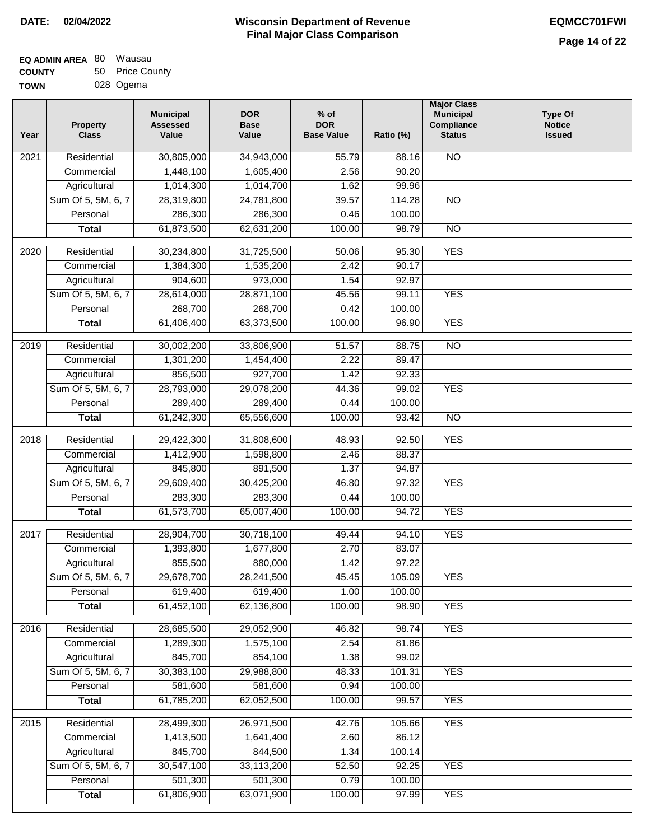| <b>EQ ADMIN AREA 80 Wausau</b> |                 |
|--------------------------------|-----------------|
| <b>COUNTY</b>                  | 50 Price County |
| <b>TOWN</b>                    | 028 Ogema       |

| Year              | <b>Property</b><br><b>Class</b> | <b>Municipal</b><br><b>Assessed</b><br>Value | <b>DOR</b><br><b>Base</b><br>Value | % of<br><b>DOR</b><br><b>Base Value</b> | Ratio (%) | <b>Major Class</b><br><b>Municipal</b><br>Compliance<br><b>Status</b> | <b>Type Of</b><br><b>Notice</b><br><b>Issued</b> |
|-------------------|---------------------------------|----------------------------------------------|------------------------------------|-----------------------------------------|-----------|-----------------------------------------------------------------------|--------------------------------------------------|
| $\overline{202}1$ | Residential                     | 30,805,000                                   | 34,943,000                         | 55.79                                   | 88.16     | <b>NO</b>                                                             |                                                  |
|                   | Commercial                      | 1,448,100                                    | 1,605,400                          | 2.56                                    | 90.20     |                                                                       |                                                  |
|                   | Agricultural                    | 1,014,300                                    | 1,014,700                          | 1.62                                    | 99.96     |                                                                       |                                                  |
|                   | Sum Of 5, 5M, 6, 7              | 28,319,800                                   | 24,781,800                         | 39.57                                   | 114.28    | $\overline{NO}$                                                       |                                                  |
|                   | Personal                        | 286,300                                      | 286,300                            | 0.46                                    | 100.00    |                                                                       |                                                  |
|                   | <b>Total</b>                    | 61,873,500                                   | 62,631,200                         | 100.00                                  | 98.79     | $\overline{NO}$                                                       |                                                  |
| $\overline{2020}$ | Residential                     | 30,234,800                                   | 31,725,500                         | 50.06                                   | 95.30     | <b>YES</b>                                                            |                                                  |
|                   | Commercial                      | 1,384,300                                    | 1,535,200                          | 2.42                                    | 90.17     |                                                                       |                                                  |
|                   | Agricultural                    | 904,600                                      | 973,000                            | 1.54                                    | 92.97     |                                                                       |                                                  |
|                   | Sum Of 5, 5M, 6, 7              | 28,614,000                                   | 28,871,100                         | 45.56                                   | 99.11     | <b>YES</b>                                                            |                                                  |
|                   | Personal                        | 268,700                                      | 268,700                            | 0.42                                    | 100.00    |                                                                       |                                                  |
|                   | <b>Total</b>                    | 61,406,400                                   | 63,373,500                         | 100.00                                  | 96.90     | <b>YES</b>                                                            |                                                  |
| $\frac{1}{2019}$  | Residential                     | 30,002,200                                   | 33,806,900                         | 51.57                                   | 88.75     | $\overline{3}$                                                        |                                                  |
|                   | Commercial                      | 1,301,200                                    | 1,454,400                          | 2.22                                    | 89.47     |                                                                       |                                                  |
|                   | Agricultural                    | 856,500                                      | 927,700                            | 1.42                                    | 92.33     |                                                                       |                                                  |
|                   | Sum Of 5, 5M, 6, 7              | 28,793,000                                   | 29,078,200                         | 44.36                                   | 99.02     | <b>YES</b>                                                            |                                                  |
|                   | Personal                        | 289,400                                      | 289,400                            | 0.44                                    | 100.00    |                                                                       |                                                  |
|                   | <b>Total</b>                    | 61,242,300                                   | 65,556,600                         | 100.00                                  | 93.42     | $\overline{NO}$                                                       |                                                  |
| 2018              | Residential                     | 29,422,300                                   | 31,808,600                         | 48.93                                   | 92.50     | <b>YES</b>                                                            |                                                  |
|                   | Commercial                      | 1,412,900                                    | 1,598,800                          | 2.46                                    | 88.37     |                                                                       |                                                  |
|                   | Agricultural                    | 845,800                                      | 891,500                            | 1.37                                    | 94.87     |                                                                       |                                                  |
|                   | Sum Of 5, 5M, 6, 7              | 29,609,400                                   | 30,425,200                         | 46.80                                   | 97.32     | <b>YES</b>                                                            |                                                  |
|                   | Personal                        | 283,300                                      | 283,300                            | 0.44                                    | 100.00    |                                                                       |                                                  |
|                   | <b>Total</b>                    | 61,573,700                                   | 65,007,400                         | 100.00                                  | 94.72     | <b>YES</b>                                                            |                                                  |
| 2017              | Residential                     | 28,904,700                                   | 30,718,100                         | 49.44                                   | 94.10     | <b>YES</b>                                                            |                                                  |
|                   | Commercial                      | 1,393,800                                    | 1,677,800                          | 2.70                                    | 83.07     |                                                                       |                                                  |
|                   | Agricultural                    | 855,500                                      | 880,000                            | 1.42                                    | 97.22     |                                                                       |                                                  |
|                   | Sum Of 5, 5M, 6, 7              | 29,678,700                                   | 28,241,500                         | 45.45                                   | 105.09    | <b>YES</b>                                                            |                                                  |
|                   | Personal                        | 619,400                                      | 619,400                            | 1.00                                    | 100.00    |                                                                       |                                                  |
|                   | <b>Total</b>                    | 61,452,100                                   | 62,136,800                         | 100.00                                  | 98.90     | <b>YES</b>                                                            |                                                  |
|                   |                                 |                                              |                                    |                                         |           |                                                                       |                                                  |
| 2016              | Residential                     | 28,685,500                                   | 29,052,900                         | 46.82                                   | 98.74     | <b>YES</b>                                                            |                                                  |
|                   | Commercial                      | 1,289,300                                    | 1,575,100                          | 2.54                                    | 81.86     |                                                                       |                                                  |
|                   | Agricultural                    | 845,700                                      | 854,100                            | 1.38                                    | 99.02     |                                                                       |                                                  |
|                   | Sum Of 5, 5M, 6, 7              | 30,383,100                                   | 29,988,800                         | 48.33                                   | 101.31    | <b>YES</b>                                                            |                                                  |
|                   | Personal                        | 581,600                                      | 581,600                            | 0.94                                    | 100.00    |                                                                       |                                                  |
|                   | <b>Total</b>                    | 61,785,200                                   | 62,052,500                         | 100.00                                  | 99.57     | <b>YES</b>                                                            |                                                  |
| 2015              | Residential                     | 28,499,300                                   | 26,971,500                         | 42.76                                   | 105.66    | <b>YES</b>                                                            |                                                  |
|                   | Commercial                      | 1,413,500                                    | 1,641,400                          | 2.60                                    | 86.12     |                                                                       |                                                  |
|                   | Agricultural                    | 845,700                                      | 844,500                            | 1.34                                    | 100.14    |                                                                       |                                                  |
|                   | Sum Of 5, 5M, 6, 7              | 30,547,100                                   | 33,113,200                         | 52.50                                   | 92.25     | <b>YES</b>                                                            |                                                  |
|                   | Personal                        | 501,300                                      | 501,300                            | 0.79                                    | 100.00    |                                                                       |                                                  |
|                   | <b>Total</b>                    | 61,806,900                                   | 63,071,900                         | 100.00                                  | 97.99     | <b>YES</b>                                                            |                                                  |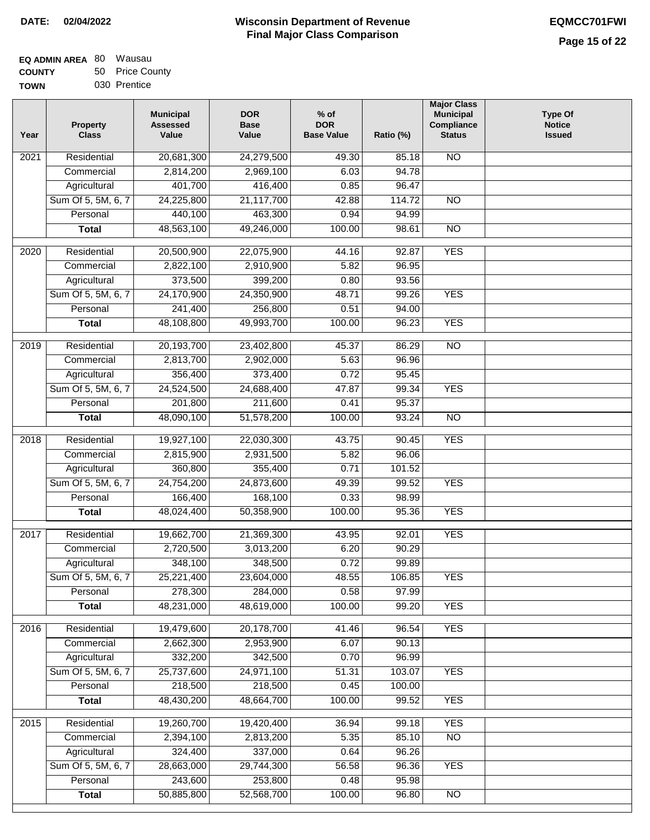| <b>EQ ADMIN AREA 80 Wausau</b> |                 |
|--------------------------------|-----------------|
| <b>COUNTY</b>                  | 50 Price County |
| <b>TOWN</b>                    | 030 Prentice    |

| Year              | <b>Property</b><br><b>Class</b> | <b>Municipal</b><br><b>Assessed</b><br>Value | <b>DOR</b><br><b>Base</b><br>Value | % of<br><b>DOR</b><br><b>Base Value</b> | Ratio (%) | <b>Major Class</b><br><b>Municipal</b><br>Compliance<br><b>Status</b> | <b>Type Of</b><br><b>Notice</b><br><b>Issued</b> |
|-------------------|---------------------------------|----------------------------------------------|------------------------------------|-----------------------------------------|-----------|-----------------------------------------------------------------------|--------------------------------------------------|
| $\overline{202}1$ | Residential                     | 20,681,300                                   | 24,279,500                         | 49.30                                   | 85.18     | <b>NO</b>                                                             |                                                  |
|                   | Commercial                      | 2,814,200                                    | 2,969,100                          | 6.03                                    | 94.78     |                                                                       |                                                  |
|                   | Agricultural                    | 401,700                                      | 416,400                            | 0.85                                    | 96.47     |                                                                       |                                                  |
|                   | Sum Of 5, 5M, 6, 7              | 24,225,800                                   | 21,117,700                         | 42.88                                   | 114.72    | $\overline{NO}$                                                       |                                                  |
|                   | Personal                        | 440,100                                      | 463,300                            | 0.94                                    | 94.99     |                                                                       |                                                  |
|                   | <b>Total</b>                    | 48,563,100                                   | 49,246,000                         | 100.00                                  | 98.61     | $\overline{NO}$                                                       |                                                  |
| $\overline{2020}$ | Residential                     | 20,500,900                                   | 22,075,900                         | 44.16                                   | 92.87     | <b>YES</b>                                                            |                                                  |
|                   | Commercial                      | 2,822,100                                    | 2,910,900                          | 5.82                                    | 96.95     |                                                                       |                                                  |
|                   | Agricultural                    | 373,500                                      | 399,200                            | 0.80                                    | 93.56     |                                                                       |                                                  |
|                   | Sum Of 5, 5M, 6, 7              | 24,170,900                                   | 24,350,900                         | 48.71                                   | 99.26     | <b>YES</b>                                                            |                                                  |
|                   | Personal                        | 241,400                                      | 256,800                            | 0.51                                    | 94.00     |                                                                       |                                                  |
|                   | <b>Total</b>                    | 48,108,800                                   | 49,993,700                         | 100.00                                  | 96.23     | <b>YES</b>                                                            |                                                  |
| 2019              | Residential                     | 20,193,700                                   | 23,402,800                         | 45.37                                   | 86.29     | $\overline{3}$                                                        |                                                  |
|                   | Commercial                      | 2,813,700                                    | 2,902,000                          | 5.63                                    | 96.96     |                                                                       |                                                  |
|                   | Agricultural                    | 356,400                                      | 373,400                            | 0.72                                    | 95.45     |                                                                       |                                                  |
|                   | Sum Of 5, 5M, 6, 7              | 24,524,500                                   | 24,688,400                         | 47.87                                   | 99.34     | <b>YES</b>                                                            |                                                  |
|                   | Personal                        | 201,800                                      | 211,600                            | 0.41                                    | 95.37     |                                                                       |                                                  |
|                   | <b>Total</b>                    | 48,090,100                                   | 51,578,200                         | 100.00                                  | 93.24     | $\overline{NO}$                                                       |                                                  |
|                   | Residential                     |                                              |                                    |                                         | 90.45     | <b>YES</b>                                                            |                                                  |
| 2018              | Commercial                      | 19,927,100<br>2,815,900                      | 22,030,300<br>2,931,500            | 43.75<br>5.82                           | 96.06     |                                                                       |                                                  |
|                   | Agricultural                    | 360,800                                      | 355,400                            | 0.71                                    | 101.52    |                                                                       |                                                  |
|                   | Sum Of 5, 5M, 6, 7              | 24,754,200                                   | 24,873,600                         | 49.39                                   | 99.52     | <b>YES</b>                                                            |                                                  |
|                   | Personal                        | 166,400                                      | 168,100                            | 0.33                                    | 98.99     |                                                                       |                                                  |
|                   | <b>Total</b>                    | 48,024,400                                   | 50,358,900                         | 100.00                                  | 95.36     | <b>YES</b>                                                            |                                                  |
|                   |                                 |                                              |                                    |                                         |           |                                                                       |                                                  |
| 2017              | Residential                     | 19,662,700                                   | 21,369,300                         | 43.95                                   | 92.01     | <b>YES</b>                                                            |                                                  |
|                   | Commercial                      | 2,720,500                                    | 3,013,200                          | 6.20                                    | 90.29     |                                                                       |                                                  |
|                   | Agricultural                    | 348,100                                      | 348,500                            | 0.72                                    | 99.89     |                                                                       |                                                  |
|                   | Sum Of 5, 5M, 6, 7              | 25,221,400                                   | 23,604,000                         | 48.55                                   | 106.85    | <b>YES</b>                                                            |                                                  |
|                   | Personal                        | 278,300                                      | 284,000                            | 0.58                                    | 97.99     |                                                                       |                                                  |
|                   | <b>Total</b>                    | 48,231,000                                   | 48,619,000                         | 100.00                                  | 99.20     | <b>YES</b>                                                            |                                                  |
| 2016              | Residential                     | 19,479,600                                   | 20,178,700                         | 41.46                                   | 96.54     | <b>YES</b>                                                            |                                                  |
|                   | Commercial                      | 2,662,300                                    | 2,953,900                          | 6.07                                    | 90.13     |                                                                       |                                                  |
|                   | Agricultural                    | 332,200                                      | 342,500                            | 0.70                                    | 96.99     |                                                                       |                                                  |
|                   | Sum Of 5, 5M, 6, 7              | 25,737,600                                   | 24,971,100                         | 51.31                                   | 103.07    | <b>YES</b>                                                            |                                                  |
|                   | Personal                        | 218,500                                      | 218,500                            | 0.45                                    | 100.00    |                                                                       |                                                  |
|                   | <b>Total</b>                    | 48,430,200                                   | 48,664,700                         | 100.00                                  | 99.52     | <b>YES</b>                                                            |                                                  |
| 2015              | Residential                     | 19,260,700                                   | 19,420,400                         | 36.94                                   | 99.18     | <b>YES</b>                                                            |                                                  |
|                   | Commercial                      | 2,394,100                                    | 2,813,200                          | 5.35                                    | 85.10     | N <sub>O</sub>                                                        |                                                  |
|                   | Agricultural                    | 324,400                                      | 337,000                            | 0.64                                    | 96.26     |                                                                       |                                                  |
|                   | Sum Of 5, 5M, 6, 7              | 28,663,000                                   | 29,744,300                         | 56.58                                   | 96.36     | <b>YES</b>                                                            |                                                  |
|                   | Personal                        | 243,600                                      | 253,800                            | 0.48                                    | 95.98     |                                                                       |                                                  |
|                   | <b>Total</b>                    | 50,885,800                                   | 52,568,700                         | 100.00                                  | 96.80     | N <sub>O</sub>                                                        |                                                  |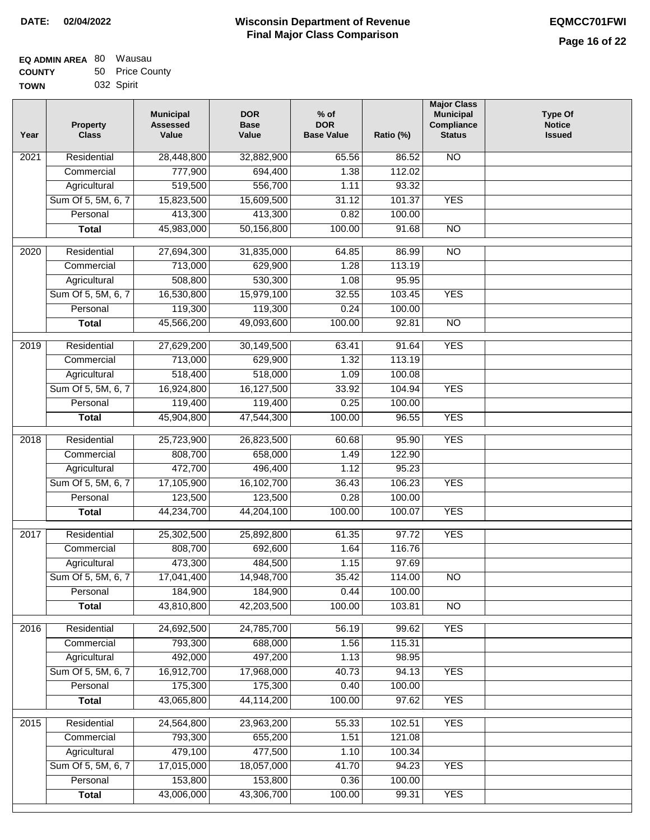| <b>EQ ADMIN AREA 80 Wausau</b> |                 |
|--------------------------------|-----------------|
| <b>COUNTY</b>                  | 50 Price County |
| <b>TOWN</b>                    | 032 Spirit      |

| Year              | <b>Property</b><br><b>Class</b> | <b>Municipal</b><br><b>Assessed</b><br>Value | <b>DOR</b><br><b>Base</b><br>Value | $%$ of<br><b>DOR</b><br><b>Base Value</b> | Ratio (%) | <b>Major Class</b><br><b>Municipal</b><br>Compliance<br><b>Status</b> | <b>Type Of</b><br><b>Notice</b><br><b>Issued</b> |
|-------------------|---------------------------------|----------------------------------------------|------------------------------------|-------------------------------------------|-----------|-----------------------------------------------------------------------|--------------------------------------------------|
| 2021              | Residential                     | 28,448,800                                   | 32,882,900                         | 65.56                                     | 86.52     | <b>NO</b>                                                             |                                                  |
|                   | Commercial                      | 777,900                                      | 694,400                            | 1.38                                      | 112.02    |                                                                       |                                                  |
|                   | Agricultural                    | 519,500                                      | 556,700                            | 1.11                                      | 93.32     |                                                                       |                                                  |
|                   | Sum Of 5, 5M, 6, 7              | 15,823,500                                   | 15,609,500                         | 31.12                                     | 101.37    | <b>YES</b>                                                            |                                                  |
|                   | Personal                        | 413,300                                      | 413,300                            | 0.82                                      | 100.00    |                                                                       |                                                  |
|                   | <b>Total</b>                    | 45,983,000                                   | 50,156,800                         | 100.00                                    | 91.68     | $\overline{NO}$                                                       |                                                  |
| $\overline{2020}$ | Residential                     | 27,694,300                                   | 31,835,000                         | 64.85                                     | 86.99     | $\overline{NO}$                                                       |                                                  |
|                   | Commercial                      | 713,000                                      | 629,900                            | 1.28                                      | 113.19    |                                                                       |                                                  |
|                   | Agricultural                    | 508,800                                      | 530,300                            | 1.08                                      | 95.95     |                                                                       |                                                  |
|                   | Sum Of 5, 5M, 6, 7              | 16,530,800                                   | 15,979,100                         | 32.55                                     | 103.45    | <b>YES</b>                                                            |                                                  |
|                   | Personal                        | 119,300                                      | 119,300                            | 0.24                                      | 100.00    |                                                                       |                                                  |
|                   | <b>Total</b>                    | 45,566,200                                   | 49,093,600                         | 100.00                                    | 92.81     | $\overline{NO}$                                                       |                                                  |
| 2019              | Residential                     | 27,629,200                                   | 30,149,500                         | 63.41                                     | 91.64     | <b>YES</b>                                                            |                                                  |
|                   | Commercial                      | 713,000                                      | 629,900                            | 1.32                                      | 113.19    |                                                                       |                                                  |
|                   | Agricultural                    | 518,400                                      | 518,000                            | 1.09                                      | 100.08    |                                                                       |                                                  |
|                   | Sum Of 5, 5M, 6, 7              | 16,924,800                                   | 16,127,500                         | 33.92                                     | 104.94    | <b>YES</b>                                                            |                                                  |
|                   | Personal                        | 119,400                                      | 119,400                            | 0.25                                      | 100.00    |                                                                       |                                                  |
|                   | <b>Total</b>                    | 45,904,800                                   | 47,544,300                         | 100.00                                    | 96.55     | <b>YES</b>                                                            |                                                  |
| 2018              | Residential                     | 25,723,900                                   | 26,823,500                         | 60.68                                     | 95.90     | <b>YES</b>                                                            |                                                  |
|                   | Commercial                      | 808,700                                      | 658,000                            | 1.49                                      | 122.90    |                                                                       |                                                  |
|                   | Agricultural                    | 472,700                                      | 496,400                            | 1.12                                      | 95.23     |                                                                       |                                                  |
|                   | Sum Of 5, 5M, 6, 7              | 17,105,900                                   | 16,102,700                         | 36.43                                     | 106.23    | <b>YES</b>                                                            |                                                  |
|                   | Personal                        | 123,500                                      | 123,500                            | 0.28                                      | 100.00    |                                                                       |                                                  |
|                   | <b>Total</b>                    | 44,234,700                                   | 44,204,100                         | 100.00                                    | 100.07    | <b>YES</b>                                                            |                                                  |
| 2017              | Residential                     | 25,302,500                                   | 25,892,800                         | 61.35                                     | 97.72     | <b>YES</b>                                                            |                                                  |
|                   | Commercial                      | 808,700                                      | 692,600                            | 1.64                                      | 116.76    |                                                                       |                                                  |
|                   | Agricultural                    | 473,300                                      | 484,500                            | 1.15                                      | 97.69     |                                                                       |                                                  |
|                   | Sum Of 5, 5M, 6, 7              | 17,041,400                                   | 14,948,700                         | 35.42                                     | 114.00    | <b>NO</b>                                                             |                                                  |
|                   | Personal                        | 184,900                                      | 184,900                            | 0.44                                      | 100.00    |                                                                       |                                                  |
|                   | <b>Total</b>                    | 43,810,800                                   | 42,203,500                         | 100.00                                    | 103.81    | <b>NO</b>                                                             |                                                  |
| 2016              | Residential                     | 24,692,500                                   | 24,785,700                         | 56.19                                     | 99.62     | <b>YES</b>                                                            |                                                  |
|                   | Commercial                      | 793,300                                      | 688,000                            | 1.56                                      | 115.31    |                                                                       |                                                  |
|                   | Agricultural                    | 492,000                                      | 497,200                            | 1.13                                      | 98.95     |                                                                       |                                                  |
|                   | Sum Of 5, 5M, 6, 7              | 16,912,700                                   | 17,968,000                         | 40.73                                     | 94.13     | <b>YES</b>                                                            |                                                  |
|                   | Personal                        | 175,300                                      | 175,300                            | 0.40                                      | 100.00    |                                                                       |                                                  |
|                   | <b>Total</b>                    | 43,065,800                                   | 44,114,200                         | 100.00                                    | 97.62     | <b>YES</b>                                                            |                                                  |
| 2015              | Residential                     | 24,564,800                                   | 23,963,200                         | 55.33                                     | 102.51    | <b>YES</b>                                                            |                                                  |
|                   | Commercial                      | 793,300                                      | 655,200                            | 1.51                                      | 121.08    |                                                                       |                                                  |
|                   | Agricultural                    | 479,100                                      | 477,500                            | 1.10                                      | 100.34    |                                                                       |                                                  |
|                   | Sum Of 5, 5M, 6, 7              | 17,015,000                                   | 18,057,000                         | 41.70                                     | 94.23     | <b>YES</b>                                                            |                                                  |
|                   | Personal                        | 153,800                                      | 153,800                            | 0.36                                      | 100.00    |                                                                       |                                                  |
|                   | <b>Total</b>                    | 43,006,000                                   | 43,306,700                         | 100.00                                    | 99.31     | <b>YES</b>                                                            |                                                  |
|                   |                                 |                                              |                                    |                                           |           |                                                                       |                                                  |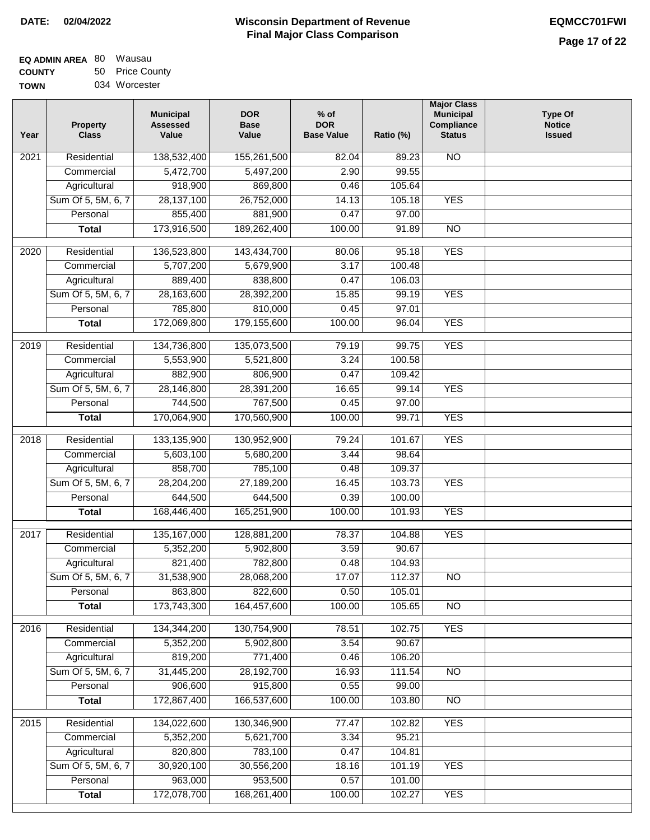# **Wisconsin Department of Revenue DATE: 02/04/2022 EQMCC701FWI Final Major Class Comparison**

| EQ ADMIN AREA 80 | Wausau          |
|------------------|-----------------|
| <b>COUNTY</b>    | 50 Price County |
| <b>TOWN</b>      | 034 Worcester   |

| <b>NO</b><br>Residential<br>138,532,400<br>155,261,500<br>2021<br>82.04<br>89.23<br>5,472,700<br>5,497,200<br>2.90<br>99.55<br>Commercial<br>918,900<br>869,800<br>105.64<br>Agricultural<br>0.46<br>Sum Of 5, 5M, 6, 7<br>28,137,100<br>26,752,000<br><b>YES</b><br>14.13<br>105.18<br>Personal<br>855,400<br>881,900<br>0.47<br>97.00<br>173,916,500<br>189,262,400<br>100.00<br>91.89<br>$\overline{NO}$<br><b>Total</b><br><b>YES</b><br>136,523,800<br>143,434,700<br>80.06<br>95.18<br>2020<br>Residential<br>Commercial<br>5,707,200<br>5,679,900<br>3.17<br>100.48<br>889,400<br>838,800<br>Agricultural<br>0.47<br>106.03<br>Sum Of 5, 5M, 6, 7<br>28,163,600<br>28,392,200<br>15.85<br><b>YES</b><br>99.19<br>785,800<br>810,000<br>Personal<br>0.45<br>97.01<br>172,069,800<br>179,155,600<br><b>YES</b><br><b>Total</b><br>100.00<br>96.04<br><b>YES</b><br>Residential<br>134,736,800<br>135,073,500<br>79.19<br>99.75<br>2019<br>3.24<br>100.58<br>Commercial<br>5,553,900<br>5,521,800<br>882,900<br>806,900<br>Agricultural<br>0.47<br>109.42<br><b>YES</b><br>Sum Of 5, 5M, 6, 7<br>28,146,800<br>28,391,200<br>16.65<br>99.14<br>744,500<br>767,500<br>Personal<br>0.45<br>97.00<br><b>YES</b><br>170,064,900<br>170,560,900<br>100.00<br>99.71<br><b>Total</b><br><b>YES</b><br>2018<br>Residential<br>133, 135, 900<br>130,952,900<br>79.24<br>101.67<br>5,603,100<br>5,680,200<br>3.44<br>98.64<br>Commercial<br>858,700<br>785,100<br>Agricultural<br>0.48<br>109.37<br>Sum Of 5, 5M, 6, 7<br>27,189,200<br><b>YES</b><br>28,204,200<br>16.45<br>103.73<br>644,500<br>644,500<br>100.00<br>Personal<br>0.39<br>168,446,400<br>165,251,900<br><b>YES</b><br>100.00<br>101.93<br><b>Total</b><br><b>YES</b><br>Residential<br>135, 167, 000<br>128,881,200<br>78.37<br>104.88<br>2017<br>5,352,200<br>5,902,800<br>90.67<br>Commercial<br>3.59<br>821,400<br>782,800<br>104.93<br>Agricultural<br>0.48<br>Sum Of 5, 5M, 6, 7<br>31,538,900<br>28,068,200<br>17.07<br>112.37<br>NO.<br>863,800<br>822,600<br>0.50<br>105.01<br>Personal<br>173,743,300<br>164,457,600<br><b>NO</b><br>100.00<br>105.65<br><b>Total</b><br><b>YES</b><br>Residential<br>134,344,200<br>130,754,900<br>78.51<br>102.75<br>2016<br>5,902,800<br>90.67<br>Commercial<br>5,352,200<br>3.54<br>819,200<br>771,400<br>Agricultural<br>0.46<br>106.20<br>Sum Of 5, 5M, 6, 7<br>31,445,200<br>28,192,700<br>111.54<br>N <sub>O</sub><br>16.93<br>915,800<br>906,600<br>Personal<br>0.55<br>99.00<br>172,867,400<br><b>Total</b><br>166,537,600<br>100.00<br>103.80<br>N <sub>O</sub><br>134,022,600<br>130,346,900<br><b>YES</b><br>2015<br>Residential<br>77.47<br>102.82<br>5,352,200<br>5,621,700<br>3.34<br>95.21<br>Commercial<br>820,800<br>783,100<br>104.81<br>Agricultural<br>0.47<br>Sum Of 5, 5M, 6, 7<br>30,920,100<br>30,556,200<br>18.16<br>101.19<br><b>YES</b><br>963,000<br>953,500<br>Personal<br>0.57<br>101.00<br>172,078,700<br>168,261,400<br>100.00<br>102.27<br><b>YES</b><br><b>Total</b> | Year | <b>Property</b><br><b>Class</b> | <b>Municipal</b><br><b>Assessed</b><br>Value | <b>DOR</b><br><b>Base</b><br>Value | $%$ of<br><b>DOR</b><br><b>Base Value</b> | Ratio (%) | <b>Major Class</b><br><b>Municipal</b><br>Compliance<br><b>Status</b> | <b>Type Of</b><br><b>Notice</b><br><b>Issued</b> |
|--------------------------------------------------------------------------------------------------------------------------------------------------------------------------------------------------------------------------------------------------------------------------------------------------------------------------------------------------------------------------------------------------------------------------------------------------------------------------------------------------------------------------------------------------------------------------------------------------------------------------------------------------------------------------------------------------------------------------------------------------------------------------------------------------------------------------------------------------------------------------------------------------------------------------------------------------------------------------------------------------------------------------------------------------------------------------------------------------------------------------------------------------------------------------------------------------------------------------------------------------------------------------------------------------------------------------------------------------------------------------------------------------------------------------------------------------------------------------------------------------------------------------------------------------------------------------------------------------------------------------------------------------------------------------------------------------------------------------------------------------------------------------------------------------------------------------------------------------------------------------------------------------------------------------------------------------------------------------------------------------------------------------------------------------------------------------------------------------------------------------------------------------------------------------------------------------------------------------------------------------------------------------------------------------------------------------------------------------------------------------------------------------------------------------------------------------------------------------------------------------------------------------------------------------------------------------------------------------------------------------------------------------------------------------------------------------------------------------------------------------------------------------------------------------------------------------------------------------------------------------------------------------------------------------------------------------------------------------------------------------------------|------|---------------------------------|----------------------------------------------|------------------------------------|-------------------------------------------|-----------|-----------------------------------------------------------------------|--------------------------------------------------|
|                                                                                                                                                                                                                                                                                                                                                                                                                                                                                                                                                                                                                                                                                                                                                                                                                                                                                                                                                                                                                                                                                                                                                                                                                                                                                                                                                                                                                                                                                                                                                                                                                                                                                                                                                                                                                                                                                                                                                                                                                                                                                                                                                                                                                                                                                                                                                                                                                                                                                                                                                                                                                                                                                                                                                                                                                                                                                                                                                                                                              |      |                                 |                                              |                                    |                                           |           |                                                                       |                                                  |
|                                                                                                                                                                                                                                                                                                                                                                                                                                                                                                                                                                                                                                                                                                                                                                                                                                                                                                                                                                                                                                                                                                                                                                                                                                                                                                                                                                                                                                                                                                                                                                                                                                                                                                                                                                                                                                                                                                                                                                                                                                                                                                                                                                                                                                                                                                                                                                                                                                                                                                                                                                                                                                                                                                                                                                                                                                                                                                                                                                                                              |      |                                 |                                              |                                    |                                           |           |                                                                       |                                                  |
|                                                                                                                                                                                                                                                                                                                                                                                                                                                                                                                                                                                                                                                                                                                                                                                                                                                                                                                                                                                                                                                                                                                                                                                                                                                                                                                                                                                                                                                                                                                                                                                                                                                                                                                                                                                                                                                                                                                                                                                                                                                                                                                                                                                                                                                                                                                                                                                                                                                                                                                                                                                                                                                                                                                                                                                                                                                                                                                                                                                                              |      |                                 |                                              |                                    |                                           |           |                                                                       |                                                  |
|                                                                                                                                                                                                                                                                                                                                                                                                                                                                                                                                                                                                                                                                                                                                                                                                                                                                                                                                                                                                                                                                                                                                                                                                                                                                                                                                                                                                                                                                                                                                                                                                                                                                                                                                                                                                                                                                                                                                                                                                                                                                                                                                                                                                                                                                                                                                                                                                                                                                                                                                                                                                                                                                                                                                                                                                                                                                                                                                                                                                              |      |                                 |                                              |                                    |                                           |           |                                                                       |                                                  |
|                                                                                                                                                                                                                                                                                                                                                                                                                                                                                                                                                                                                                                                                                                                                                                                                                                                                                                                                                                                                                                                                                                                                                                                                                                                                                                                                                                                                                                                                                                                                                                                                                                                                                                                                                                                                                                                                                                                                                                                                                                                                                                                                                                                                                                                                                                                                                                                                                                                                                                                                                                                                                                                                                                                                                                                                                                                                                                                                                                                                              |      |                                 |                                              |                                    |                                           |           |                                                                       |                                                  |
|                                                                                                                                                                                                                                                                                                                                                                                                                                                                                                                                                                                                                                                                                                                                                                                                                                                                                                                                                                                                                                                                                                                                                                                                                                                                                                                                                                                                                                                                                                                                                                                                                                                                                                                                                                                                                                                                                                                                                                                                                                                                                                                                                                                                                                                                                                                                                                                                                                                                                                                                                                                                                                                                                                                                                                                                                                                                                                                                                                                                              |      |                                 |                                              |                                    |                                           |           |                                                                       |                                                  |
|                                                                                                                                                                                                                                                                                                                                                                                                                                                                                                                                                                                                                                                                                                                                                                                                                                                                                                                                                                                                                                                                                                                                                                                                                                                                                                                                                                                                                                                                                                                                                                                                                                                                                                                                                                                                                                                                                                                                                                                                                                                                                                                                                                                                                                                                                                                                                                                                                                                                                                                                                                                                                                                                                                                                                                                                                                                                                                                                                                                                              |      |                                 |                                              |                                    |                                           |           |                                                                       |                                                  |
|                                                                                                                                                                                                                                                                                                                                                                                                                                                                                                                                                                                                                                                                                                                                                                                                                                                                                                                                                                                                                                                                                                                                                                                                                                                                                                                                                                                                                                                                                                                                                                                                                                                                                                                                                                                                                                                                                                                                                                                                                                                                                                                                                                                                                                                                                                                                                                                                                                                                                                                                                                                                                                                                                                                                                                                                                                                                                                                                                                                                              |      |                                 |                                              |                                    |                                           |           |                                                                       |                                                  |
|                                                                                                                                                                                                                                                                                                                                                                                                                                                                                                                                                                                                                                                                                                                                                                                                                                                                                                                                                                                                                                                                                                                                                                                                                                                                                                                                                                                                                                                                                                                                                                                                                                                                                                                                                                                                                                                                                                                                                                                                                                                                                                                                                                                                                                                                                                                                                                                                                                                                                                                                                                                                                                                                                                                                                                                                                                                                                                                                                                                                              |      |                                 |                                              |                                    |                                           |           |                                                                       |                                                  |
|                                                                                                                                                                                                                                                                                                                                                                                                                                                                                                                                                                                                                                                                                                                                                                                                                                                                                                                                                                                                                                                                                                                                                                                                                                                                                                                                                                                                                                                                                                                                                                                                                                                                                                                                                                                                                                                                                                                                                                                                                                                                                                                                                                                                                                                                                                                                                                                                                                                                                                                                                                                                                                                                                                                                                                                                                                                                                                                                                                                                              |      |                                 |                                              |                                    |                                           |           |                                                                       |                                                  |
|                                                                                                                                                                                                                                                                                                                                                                                                                                                                                                                                                                                                                                                                                                                                                                                                                                                                                                                                                                                                                                                                                                                                                                                                                                                                                                                                                                                                                                                                                                                                                                                                                                                                                                                                                                                                                                                                                                                                                                                                                                                                                                                                                                                                                                                                                                                                                                                                                                                                                                                                                                                                                                                                                                                                                                                                                                                                                                                                                                                                              |      |                                 |                                              |                                    |                                           |           |                                                                       |                                                  |
|                                                                                                                                                                                                                                                                                                                                                                                                                                                                                                                                                                                                                                                                                                                                                                                                                                                                                                                                                                                                                                                                                                                                                                                                                                                                                                                                                                                                                                                                                                                                                                                                                                                                                                                                                                                                                                                                                                                                                                                                                                                                                                                                                                                                                                                                                                                                                                                                                                                                                                                                                                                                                                                                                                                                                                                                                                                                                                                                                                                                              |      |                                 |                                              |                                    |                                           |           |                                                                       |                                                  |
|                                                                                                                                                                                                                                                                                                                                                                                                                                                                                                                                                                                                                                                                                                                                                                                                                                                                                                                                                                                                                                                                                                                                                                                                                                                                                                                                                                                                                                                                                                                                                                                                                                                                                                                                                                                                                                                                                                                                                                                                                                                                                                                                                                                                                                                                                                                                                                                                                                                                                                                                                                                                                                                                                                                                                                                                                                                                                                                                                                                                              |      |                                 |                                              |                                    |                                           |           |                                                                       |                                                  |
|                                                                                                                                                                                                                                                                                                                                                                                                                                                                                                                                                                                                                                                                                                                                                                                                                                                                                                                                                                                                                                                                                                                                                                                                                                                                                                                                                                                                                                                                                                                                                                                                                                                                                                                                                                                                                                                                                                                                                                                                                                                                                                                                                                                                                                                                                                                                                                                                                                                                                                                                                                                                                                                                                                                                                                                                                                                                                                                                                                                                              |      |                                 |                                              |                                    |                                           |           |                                                                       |                                                  |
|                                                                                                                                                                                                                                                                                                                                                                                                                                                                                                                                                                                                                                                                                                                                                                                                                                                                                                                                                                                                                                                                                                                                                                                                                                                                                                                                                                                                                                                                                                                                                                                                                                                                                                                                                                                                                                                                                                                                                                                                                                                                                                                                                                                                                                                                                                                                                                                                                                                                                                                                                                                                                                                                                                                                                                                                                                                                                                                                                                                                              |      |                                 |                                              |                                    |                                           |           |                                                                       |                                                  |
|                                                                                                                                                                                                                                                                                                                                                                                                                                                                                                                                                                                                                                                                                                                                                                                                                                                                                                                                                                                                                                                                                                                                                                                                                                                                                                                                                                                                                                                                                                                                                                                                                                                                                                                                                                                                                                                                                                                                                                                                                                                                                                                                                                                                                                                                                                                                                                                                                                                                                                                                                                                                                                                                                                                                                                                                                                                                                                                                                                                                              |      |                                 |                                              |                                    |                                           |           |                                                                       |                                                  |
|                                                                                                                                                                                                                                                                                                                                                                                                                                                                                                                                                                                                                                                                                                                                                                                                                                                                                                                                                                                                                                                                                                                                                                                                                                                                                                                                                                                                                                                                                                                                                                                                                                                                                                                                                                                                                                                                                                                                                                                                                                                                                                                                                                                                                                                                                                                                                                                                                                                                                                                                                                                                                                                                                                                                                                                                                                                                                                                                                                                                              |      |                                 |                                              |                                    |                                           |           |                                                                       |                                                  |
|                                                                                                                                                                                                                                                                                                                                                                                                                                                                                                                                                                                                                                                                                                                                                                                                                                                                                                                                                                                                                                                                                                                                                                                                                                                                                                                                                                                                                                                                                                                                                                                                                                                                                                                                                                                                                                                                                                                                                                                                                                                                                                                                                                                                                                                                                                                                                                                                                                                                                                                                                                                                                                                                                                                                                                                                                                                                                                                                                                                                              |      |                                 |                                              |                                    |                                           |           |                                                                       |                                                  |
|                                                                                                                                                                                                                                                                                                                                                                                                                                                                                                                                                                                                                                                                                                                                                                                                                                                                                                                                                                                                                                                                                                                                                                                                                                                                                                                                                                                                                                                                                                                                                                                                                                                                                                                                                                                                                                                                                                                                                                                                                                                                                                                                                                                                                                                                                                                                                                                                                                                                                                                                                                                                                                                                                                                                                                                                                                                                                                                                                                                                              |      |                                 |                                              |                                    |                                           |           |                                                                       |                                                  |
|                                                                                                                                                                                                                                                                                                                                                                                                                                                                                                                                                                                                                                                                                                                                                                                                                                                                                                                                                                                                                                                                                                                                                                                                                                                                                                                                                                                                                                                                                                                                                                                                                                                                                                                                                                                                                                                                                                                                                                                                                                                                                                                                                                                                                                                                                                                                                                                                                                                                                                                                                                                                                                                                                                                                                                                                                                                                                                                                                                                                              |      |                                 |                                              |                                    |                                           |           |                                                                       |                                                  |
|                                                                                                                                                                                                                                                                                                                                                                                                                                                                                                                                                                                                                                                                                                                                                                                                                                                                                                                                                                                                                                                                                                                                                                                                                                                                                                                                                                                                                                                                                                                                                                                                                                                                                                                                                                                                                                                                                                                                                                                                                                                                                                                                                                                                                                                                                                                                                                                                                                                                                                                                                                                                                                                                                                                                                                                                                                                                                                                                                                                                              |      |                                 |                                              |                                    |                                           |           |                                                                       |                                                  |
|                                                                                                                                                                                                                                                                                                                                                                                                                                                                                                                                                                                                                                                                                                                                                                                                                                                                                                                                                                                                                                                                                                                                                                                                                                                                                                                                                                                                                                                                                                                                                                                                                                                                                                                                                                                                                                                                                                                                                                                                                                                                                                                                                                                                                                                                                                                                                                                                                                                                                                                                                                                                                                                                                                                                                                                                                                                                                                                                                                                                              |      |                                 |                                              |                                    |                                           |           |                                                                       |                                                  |
|                                                                                                                                                                                                                                                                                                                                                                                                                                                                                                                                                                                                                                                                                                                                                                                                                                                                                                                                                                                                                                                                                                                                                                                                                                                                                                                                                                                                                                                                                                                                                                                                                                                                                                                                                                                                                                                                                                                                                                                                                                                                                                                                                                                                                                                                                                                                                                                                                                                                                                                                                                                                                                                                                                                                                                                                                                                                                                                                                                                                              |      |                                 |                                              |                                    |                                           |           |                                                                       |                                                  |
|                                                                                                                                                                                                                                                                                                                                                                                                                                                                                                                                                                                                                                                                                                                                                                                                                                                                                                                                                                                                                                                                                                                                                                                                                                                                                                                                                                                                                                                                                                                                                                                                                                                                                                                                                                                                                                                                                                                                                                                                                                                                                                                                                                                                                                                                                                                                                                                                                                                                                                                                                                                                                                                                                                                                                                                                                                                                                                                                                                                                              |      |                                 |                                              |                                    |                                           |           |                                                                       |                                                  |
|                                                                                                                                                                                                                                                                                                                                                                                                                                                                                                                                                                                                                                                                                                                                                                                                                                                                                                                                                                                                                                                                                                                                                                                                                                                                                                                                                                                                                                                                                                                                                                                                                                                                                                                                                                                                                                                                                                                                                                                                                                                                                                                                                                                                                                                                                                                                                                                                                                                                                                                                                                                                                                                                                                                                                                                                                                                                                                                                                                                                              |      |                                 |                                              |                                    |                                           |           |                                                                       |                                                  |
|                                                                                                                                                                                                                                                                                                                                                                                                                                                                                                                                                                                                                                                                                                                                                                                                                                                                                                                                                                                                                                                                                                                                                                                                                                                                                                                                                                                                                                                                                                                                                                                                                                                                                                                                                                                                                                                                                                                                                                                                                                                                                                                                                                                                                                                                                                                                                                                                                                                                                                                                                                                                                                                                                                                                                                                                                                                                                                                                                                                                              |      |                                 |                                              |                                    |                                           |           |                                                                       |                                                  |
|                                                                                                                                                                                                                                                                                                                                                                                                                                                                                                                                                                                                                                                                                                                                                                                                                                                                                                                                                                                                                                                                                                                                                                                                                                                                                                                                                                                                                                                                                                                                                                                                                                                                                                                                                                                                                                                                                                                                                                                                                                                                                                                                                                                                                                                                                                                                                                                                                                                                                                                                                                                                                                                                                                                                                                                                                                                                                                                                                                                                              |      |                                 |                                              |                                    |                                           |           |                                                                       |                                                  |
|                                                                                                                                                                                                                                                                                                                                                                                                                                                                                                                                                                                                                                                                                                                                                                                                                                                                                                                                                                                                                                                                                                                                                                                                                                                                                                                                                                                                                                                                                                                                                                                                                                                                                                                                                                                                                                                                                                                                                                                                                                                                                                                                                                                                                                                                                                                                                                                                                                                                                                                                                                                                                                                                                                                                                                                                                                                                                                                                                                                                              |      |                                 |                                              |                                    |                                           |           |                                                                       |                                                  |
|                                                                                                                                                                                                                                                                                                                                                                                                                                                                                                                                                                                                                                                                                                                                                                                                                                                                                                                                                                                                                                                                                                                                                                                                                                                                                                                                                                                                                                                                                                                                                                                                                                                                                                                                                                                                                                                                                                                                                                                                                                                                                                                                                                                                                                                                                                                                                                                                                                                                                                                                                                                                                                                                                                                                                                                                                                                                                                                                                                                                              |      |                                 |                                              |                                    |                                           |           |                                                                       |                                                  |
|                                                                                                                                                                                                                                                                                                                                                                                                                                                                                                                                                                                                                                                                                                                                                                                                                                                                                                                                                                                                                                                                                                                                                                                                                                                                                                                                                                                                                                                                                                                                                                                                                                                                                                                                                                                                                                                                                                                                                                                                                                                                                                                                                                                                                                                                                                                                                                                                                                                                                                                                                                                                                                                                                                                                                                                                                                                                                                                                                                                                              |      |                                 |                                              |                                    |                                           |           |                                                                       |                                                  |
|                                                                                                                                                                                                                                                                                                                                                                                                                                                                                                                                                                                                                                                                                                                                                                                                                                                                                                                                                                                                                                                                                                                                                                                                                                                                                                                                                                                                                                                                                                                                                                                                                                                                                                                                                                                                                                                                                                                                                                                                                                                                                                                                                                                                                                                                                                                                                                                                                                                                                                                                                                                                                                                                                                                                                                                                                                                                                                                                                                                                              |      |                                 |                                              |                                    |                                           |           |                                                                       |                                                  |
|                                                                                                                                                                                                                                                                                                                                                                                                                                                                                                                                                                                                                                                                                                                                                                                                                                                                                                                                                                                                                                                                                                                                                                                                                                                                                                                                                                                                                                                                                                                                                                                                                                                                                                                                                                                                                                                                                                                                                                                                                                                                                                                                                                                                                                                                                                                                                                                                                                                                                                                                                                                                                                                                                                                                                                                                                                                                                                                                                                                                              |      |                                 |                                              |                                    |                                           |           |                                                                       |                                                  |
|                                                                                                                                                                                                                                                                                                                                                                                                                                                                                                                                                                                                                                                                                                                                                                                                                                                                                                                                                                                                                                                                                                                                                                                                                                                                                                                                                                                                                                                                                                                                                                                                                                                                                                                                                                                                                                                                                                                                                                                                                                                                                                                                                                                                                                                                                                                                                                                                                                                                                                                                                                                                                                                                                                                                                                                                                                                                                                                                                                                                              |      |                                 |                                              |                                    |                                           |           |                                                                       |                                                  |
|                                                                                                                                                                                                                                                                                                                                                                                                                                                                                                                                                                                                                                                                                                                                                                                                                                                                                                                                                                                                                                                                                                                                                                                                                                                                                                                                                                                                                                                                                                                                                                                                                                                                                                                                                                                                                                                                                                                                                                                                                                                                                                                                                                                                                                                                                                                                                                                                                                                                                                                                                                                                                                                                                                                                                                                                                                                                                                                                                                                                              |      |                                 |                                              |                                    |                                           |           |                                                                       |                                                  |
|                                                                                                                                                                                                                                                                                                                                                                                                                                                                                                                                                                                                                                                                                                                                                                                                                                                                                                                                                                                                                                                                                                                                                                                                                                                                                                                                                                                                                                                                                                                                                                                                                                                                                                                                                                                                                                                                                                                                                                                                                                                                                                                                                                                                                                                                                                                                                                                                                                                                                                                                                                                                                                                                                                                                                                                                                                                                                                                                                                                                              |      |                                 |                                              |                                    |                                           |           |                                                                       |                                                  |
|                                                                                                                                                                                                                                                                                                                                                                                                                                                                                                                                                                                                                                                                                                                                                                                                                                                                                                                                                                                                                                                                                                                                                                                                                                                                                                                                                                                                                                                                                                                                                                                                                                                                                                                                                                                                                                                                                                                                                                                                                                                                                                                                                                                                                                                                                                                                                                                                                                                                                                                                                                                                                                                                                                                                                                                                                                                                                                                                                                                                              |      |                                 |                                              |                                    |                                           |           |                                                                       |                                                  |
|                                                                                                                                                                                                                                                                                                                                                                                                                                                                                                                                                                                                                                                                                                                                                                                                                                                                                                                                                                                                                                                                                                                                                                                                                                                                                                                                                                                                                                                                                                                                                                                                                                                                                                                                                                                                                                                                                                                                                                                                                                                                                                                                                                                                                                                                                                                                                                                                                                                                                                                                                                                                                                                                                                                                                                                                                                                                                                                                                                                                              |      |                                 |                                              |                                    |                                           |           |                                                                       |                                                  |
|                                                                                                                                                                                                                                                                                                                                                                                                                                                                                                                                                                                                                                                                                                                                                                                                                                                                                                                                                                                                                                                                                                                                                                                                                                                                                                                                                                                                                                                                                                                                                                                                                                                                                                                                                                                                                                                                                                                                                                                                                                                                                                                                                                                                                                                                                                                                                                                                                                                                                                                                                                                                                                                                                                                                                                                                                                                                                                                                                                                                              |      |                                 |                                              |                                    |                                           |           |                                                                       |                                                  |
|                                                                                                                                                                                                                                                                                                                                                                                                                                                                                                                                                                                                                                                                                                                                                                                                                                                                                                                                                                                                                                                                                                                                                                                                                                                                                                                                                                                                                                                                                                                                                                                                                                                                                                                                                                                                                                                                                                                                                                                                                                                                                                                                                                                                                                                                                                                                                                                                                                                                                                                                                                                                                                                                                                                                                                                                                                                                                                                                                                                                              |      |                                 |                                              |                                    |                                           |           |                                                                       |                                                  |
|                                                                                                                                                                                                                                                                                                                                                                                                                                                                                                                                                                                                                                                                                                                                                                                                                                                                                                                                                                                                                                                                                                                                                                                                                                                                                                                                                                                                                                                                                                                                                                                                                                                                                                                                                                                                                                                                                                                                                                                                                                                                                                                                                                                                                                                                                                                                                                                                                                                                                                                                                                                                                                                                                                                                                                                                                                                                                                                                                                                                              |      |                                 |                                              |                                    |                                           |           |                                                                       |                                                  |
|                                                                                                                                                                                                                                                                                                                                                                                                                                                                                                                                                                                                                                                                                                                                                                                                                                                                                                                                                                                                                                                                                                                                                                                                                                                                                                                                                                                                                                                                                                                                                                                                                                                                                                                                                                                                                                                                                                                                                                                                                                                                                                                                                                                                                                                                                                                                                                                                                                                                                                                                                                                                                                                                                                                                                                                                                                                                                                                                                                                                              |      |                                 |                                              |                                    |                                           |           |                                                                       |                                                  |
|                                                                                                                                                                                                                                                                                                                                                                                                                                                                                                                                                                                                                                                                                                                                                                                                                                                                                                                                                                                                                                                                                                                                                                                                                                                                                                                                                                                                                                                                                                                                                                                                                                                                                                                                                                                                                                                                                                                                                                                                                                                                                                                                                                                                                                                                                                                                                                                                                                                                                                                                                                                                                                                                                                                                                                                                                                                                                                                                                                                                              |      |                                 |                                              |                                    |                                           |           |                                                                       |                                                  |
|                                                                                                                                                                                                                                                                                                                                                                                                                                                                                                                                                                                                                                                                                                                                                                                                                                                                                                                                                                                                                                                                                                                                                                                                                                                                                                                                                                                                                                                                                                                                                                                                                                                                                                                                                                                                                                                                                                                                                                                                                                                                                                                                                                                                                                                                                                                                                                                                                                                                                                                                                                                                                                                                                                                                                                                                                                                                                                                                                                                                              |      |                                 |                                              |                                    |                                           |           |                                                                       |                                                  |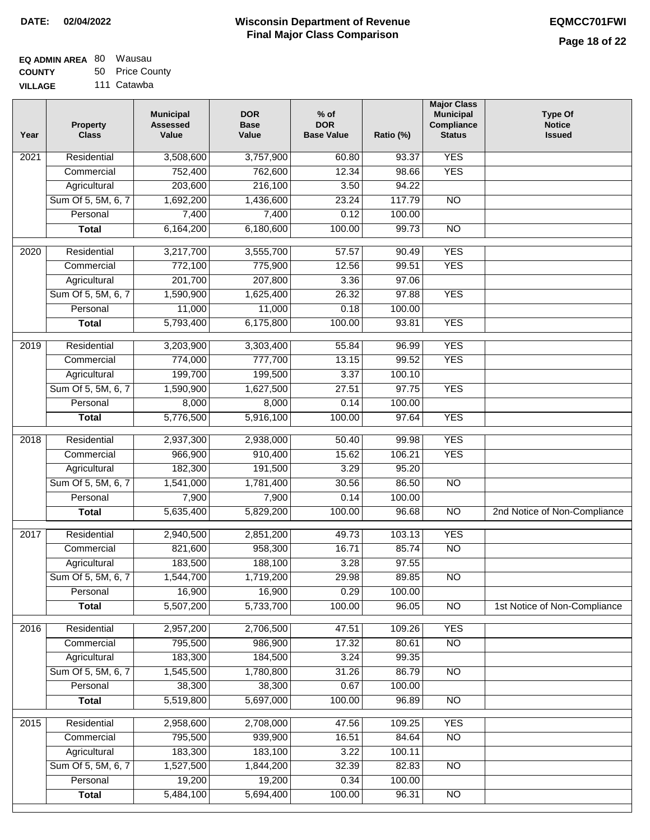### **Wisconsin Department of Revenue Final Major Class Comparison DATE: 02/04/2022 EQMCC701FWI**

| EQ ADMIN AREA 80 Wausau |                 |
|-------------------------|-----------------|
| <b>COUNTY</b>           | 50 Price County |

**VILLAGE** 111 Catawba

| Year             | <b>Property</b><br><b>Class</b> | <b>Municipal</b><br><b>Assessed</b><br>Value | <b>DOR</b><br><b>Base</b><br>Value | $%$ of<br><b>DOR</b><br><b>Base Value</b> | Ratio (%) | <b>Major Class</b><br><b>Municipal</b><br>Compliance<br><b>Status</b> | <b>Type Of</b><br><b>Notice</b><br><b>Issued</b> |
|------------------|---------------------------------|----------------------------------------------|------------------------------------|-------------------------------------------|-----------|-----------------------------------------------------------------------|--------------------------------------------------|
| 2021             | Residential                     | 3,508,600                                    | 3,757,900                          | 60.80                                     | 93.37     | <b>YES</b>                                                            |                                                  |
|                  | Commercial                      | 752,400                                      | 762,600                            | 12.34                                     | 98.66     | <b>YES</b>                                                            |                                                  |
|                  | Agricultural                    | 203,600                                      | 216,100                            | 3.50                                      | 94.22     |                                                                       |                                                  |
|                  | Sum Of 5, 5M, 6, 7              | 1,692,200                                    | 1,436,600                          | 23.24                                     | 117.79    | $\overline{NO}$                                                       |                                                  |
|                  | Personal                        | 7,400                                        | 7,400                              | 0.12                                      | 100.00    |                                                                       |                                                  |
|                  | <b>Total</b>                    | 6,164,200                                    | 6,180,600                          | 100.00                                    | 99.73     | $\overline{NO}$                                                       |                                                  |
| $\frac{1}{2020}$ | Residential                     | 3,217,700                                    | 3,555,700                          | 57.57                                     | 90.49     | <b>YES</b>                                                            |                                                  |
|                  | Commercial                      | 772,100                                      | 775,900                            | 12.56                                     | 99.51     | <b>YES</b>                                                            |                                                  |
|                  | Agricultural                    | 201,700                                      | 207,800                            | 3.36                                      | 97.06     |                                                                       |                                                  |
|                  | Sum Of 5, 5M, 6, 7              | 1,590,900                                    | 1,625,400                          | 26.32                                     | 97.88     | <b>YES</b>                                                            |                                                  |
|                  | Personal                        | 11,000                                       | 11,000                             | 0.18                                      | 100.00    |                                                                       |                                                  |
|                  | <b>Total</b>                    | 5,793,400                                    | 6,175,800                          | 100.00                                    | 93.81     | <b>YES</b>                                                            |                                                  |
|                  |                                 |                                              |                                    |                                           |           |                                                                       |                                                  |
| $\frac{1}{2019}$ | Residential                     | 3,203,900                                    | 3,303,400                          | 55.84                                     | 96.99     | <b>YES</b>                                                            |                                                  |
|                  | Commercial                      | 774,000                                      | 777,700                            | 13.15                                     | 99.52     | <b>YES</b>                                                            |                                                  |
|                  | Agricultural                    | 199,700                                      | 199,500                            | 3.37                                      | 100.10    |                                                                       |                                                  |
|                  | Sum Of 5, 5M, 6, 7              | 1,590,900                                    | 1,627,500                          | 27.51                                     | 97.75     | <b>YES</b>                                                            |                                                  |
|                  | Personal                        | 8,000                                        | 8,000                              | 0.14                                      | 100.00    |                                                                       |                                                  |
|                  | <b>Total</b>                    | 5,776,500                                    | 5,916,100                          | 100.00                                    | 97.64     | <b>YES</b>                                                            |                                                  |
| 2018             | Residential                     | 2,937,300                                    | 2,938,000                          | 50.40                                     | 99.98     | <b>YES</b>                                                            |                                                  |
|                  | Commercial                      | 966,900                                      | 910,400                            | 15.62                                     | 106.21    | <b>YES</b>                                                            |                                                  |
|                  | Agricultural                    | 182,300                                      | 191,500                            | 3.29                                      | 95.20     |                                                                       |                                                  |
|                  | Sum Of 5, 5M, 6, 7              | 1,541,000                                    | 1,781,400                          | 30.56                                     | 86.50     | <b>NO</b>                                                             |                                                  |
|                  | Personal                        | 7,900                                        | 7,900                              | 0.14                                      | 100.00    |                                                                       |                                                  |
|                  | <b>Total</b>                    | 5,635,400                                    | 5,829,200                          | 100.00                                    | 96.68     | <b>NO</b>                                                             | 2nd Notice of Non-Compliance                     |
| 2017             | Residential                     | 2,940,500                                    | 2,851,200                          | 49.73                                     | 103.13    | <b>YES</b>                                                            |                                                  |
|                  | Commercial                      | 821,600                                      | 958,300                            | 16.71                                     | 85.74     | <b>NO</b>                                                             |                                                  |
|                  | Agricultural                    | 183,500                                      | 188,100                            | 3.28                                      | 97.55     |                                                                       |                                                  |
|                  | Sum Of 5, 5M, 6, 7              | 1,544,700                                    | 1,719,200                          | 29.98                                     | 89.85     | $\overline{NO}$                                                       |                                                  |
|                  | Personal                        | 16,900                                       | 16,900                             | 0.29                                      | 100.00    |                                                                       |                                                  |
|                  | <b>Total</b>                    | 5,507,200                                    | 5,733,700                          | 100.00                                    | 96.05     | N <sub>O</sub>                                                        | 1st Notice of Non-Compliance                     |
| 2016             | Residential                     | 2,957,200                                    | 2,706,500                          | 47.51                                     | 109.26    | <b>YES</b>                                                            |                                                  |
|                  | Commercial                      | 795,500                                      | 986,900                            | 17.32                                     | 80.61     | $\overline{NO}$                                                       |                                                  |
|                  | Agricultural                    | 183,300                                      | 184,500                            | 3.24                                      | 99.35     |                                                                       |                                                  |
|                  | Sum Of 5, 5M, 6, 7              | 1,545,500                                    | 1,780,800                          | 31.26                                     | 86.79     | N <sub>O</sub>                                                        |                                                  |
|                  | Personal                        | 38,300                                       | 38,300                             | 0.67                                      | 100.00    |                                                                       |                                                  |
|                  | <b>Total</b>                    | 5,519,800                                    | 5,697,000                          | 100.00                                    | 96.89     | $\overline{NO}$                                                       |                                                  |
| 2015             | Residential                     | 2,958,600                                    | 2,708,000                          | 47.56                                     | 109.25    | <b>YES</b>                                                            |                                                  |
|                  | Commercial                      | 795,500                                      | 939,900                            | 16.51                                     | 84.64     | $\overline{NO}$                                                       |                                                  |
|                  | Agricultural                    | 183,300                                      | 183,100                            | 3.22                                      | 100.11    |                                                                       |                                                  |
|                  | Sum Of 5, 5M, 6, 7              | 1,527,500                                    | 1,844,200                          | 32.39                                     | 82.83     | $\overline{NO}$                                                       |                                                  |
|                  | Personal                        | 19,200                                       | 19,200                             | 0.34                                      | 100.00    |                                                                       |                                                  |
|                  | <b>Total</b>                    | 5,484,100                                    | 5,694,400                          | 100.00                                    | 96.31     | $\overline{NO}$                                                       |                                                  |
|                  |                                 |                                              |                                    |                                           |           |                                                                       |                                                  |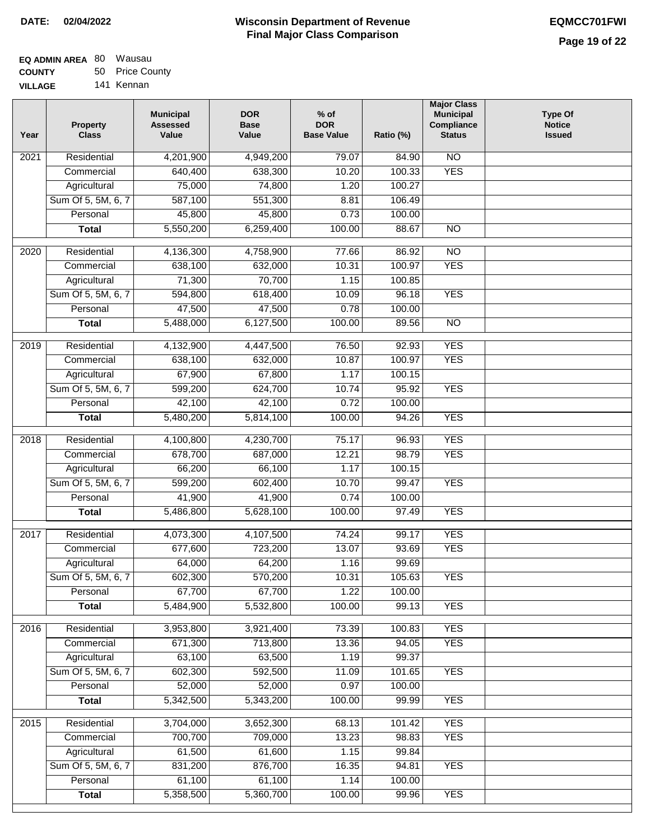### **Wisconsin Department of Revenue Final Major Class Comparison DATE: 02/04/2022 EQMCC701FWI**

| <b>EQ ADMIN AREA 80 Wausau</b> |                 |
|--------------------------------|-----------------|
| <b>COUNTY</b>                  | 50 Price County |
| <b>VILLAGE</b>                 | 141 Kennan      |

141 Kennan

| Year              | <b>Property</b><br><b>Class</b>    | <b>Municipal</b><br><b>Assessed</b><br>Value | <b>DOR</b><br><b>Base</b><br>Value | $%$ of<br><b>DOR</b><br><b>Base Value</b> | Ratio (%) | <b>Major Class</b><br><b>Municipal</b><br>Compliance<br><b>Status</b> | <b>Type Of</b><br><b>Notice</b><br><b>Issued</b> |
|-------------------|------------------------------------|----------------------------------------------|------------------------------------|-------------------------------------------|-----------|-----------------------------------------------------------------------|--------------------------------------------------|
| 2021              | Residential                        | 4,201,900                                    | 4,949,200                          | 79.07                                     | 84.90     | <b>NO</b>                                                             |                                                  |
|                   | Commercial                         | 640,400                                      | 638,300                            | 10.20                                     | 100.33    | <b>YES</b>                                                            |                                                  |
|                   | Agricultural                       | 75,000                                       | 74,800                             | 1.20                                      | 100.27    |                                                                       |                                                  |
|                   | Sum Of 5, 5M, 6, 7                 | 587,100                                      | 551,300                            | 8.81                                      | 106.49    |                                                                       |                                                  |
|                   | Personal                           | 45,800                                       | 45,800                             | 0.73                                      | 100.00    |                                                                       |                                                  |
|                   | <b>Total</b>                       | 5,550,200                                    | 6,259,400                          | 100.00                                    | 88.67     | $\overline{NO}$                                                       |                                                  |
| $\overline{2020}$ | Residential                        | 4,136,300                                    | 4,758,900                          | 77.66                                     | 86.92     | $\overline{10}$                                                       |                                                  |
|                   | Commercial                         | 638,100                                      | 632,000                            | 10.31                                     | 100.97    | <b>YES</b>                                                            |                                                  |
|                   | Agricultural                       | 71,300                                       | 70,700                             | 1.15                                      | 100.85    |                                                                       |                                                  |
|                   | Sum Of 5, 5M, 6, 7                 | 594,800                                      | 618,400                            | 10.09                                     | 96.18     | <b>YES</b>                                                            |                                                  |
|                   | Personal                           | 47,500                                       | 47,500                             | 0.78                                      | 100.00    |                                                                       |                                                  |
|                   | <b>Total</b>                       | 5,488,000                                    | 6,127,500                          | 100.00                                    | 89.56     | $\overline{NO}$                                                       |                                                  |
|                   |                                    |                                              |                                    |                                           |           |                                                                       |                                                  |
| 2019              | Residential                        | 4,132,900                                    | 4,447,500                          | 76.50                                     | 92.93     | <b>YES</b>                                                            |                                                  |
|                   | Commercial                         | 638,100                                      | 632,000                            | 10.87                                     | 100.97    | <b>YES</b>                                                            |                                                  |
|                   | Agricultural                       | 67,900                                       | 67,800                             | 1.17                                      | 100.15    |                                                                       |                                                  |
|                   | Sum Of 5, 5M, 6, 7                 | 599,200                                      | 624,700                            | 10.74                                     | 95.92     | <b>YES</b>                                                            |                                                  |
|                   | Personal                           | 42,100                                       | 42,100                             | 0.72                                      | 100.00    |                                                                       |                                                  |
|                   | <b>Total</b>                       | 5,480,200                                    | 5,814,100                          | 100.00                                    | 94.26     | <b>YES</b>                                                            |                                                  |
| 2018              | Residential                        | 4,100,800                                    | 4,230,700                          | 75.17                                     | 96.93     | <b>YES</b>                                                            |                                                  |
|                   | Commercial                         | 678,700                                      | 687,000                            | 12.21                                     | 98.79     | <b>YES</b>                                                            |                                                  |
|                   | Agricultural                       | 66,200                                       | 66,100                             | 1.17                                      | 100.15    |                                                                       |                                                  |
|                   | Sum Of 5, 5M, 6, 7                 | 599,200                                      | 602,400                            | 10.70                                     | 99.47     | <b>YES</b>                                                            |                                                  |
|                   | Personal                           | 41,900                                       | 41,900                             | 0.74                                      | 100.00    |                                                                       |                                                  |
|                   | <b>Total</b>                       | 5,486,800                                    | 5,628,100                          | 100.00                                    | 97.49     | <b>YES</b>                                                            |                                                  |
| 2017              | Residential                        | 4,073,300                                    | 4,107,500                          | 74.24                                     | 99.17     | <b>YES</b>                                                            |                                                  |
|                   | Commercial                         | 677,600                                      | 723,200                            | 13.07                                     | 93.69     | <b>YES</b>                                                            |                                                  |
|                   | Agricultural                       | 64,000                                       | 64,200                             | 1.16                                      | 99.69     |                                                                       |                                                  |
|                   | Sum Of 5, 5M, 6, 7                 | 602,300                                      | 570,200                            | 10.31                                     | 105.63    | <b>YES</b>                                                            |                                                  |
|                   | Personal                           | 67,700                                       | 67,700                             | 1.22                                      | 100.00    |                                                                       |                                                  |
|                   | <b>Total</b>                       | 5,484,900                                    | 5,532,800                          | 100.00                                    | 99.13     | <b>YES</b>                                                            |                                                  |
| 2016              | Residential                        | 3,953,800                                    | 3,921,400                          | 73.39                                     | 100.83    | <b>YES</b>                                                            |                                                  |
|                   | Commercial                         | 671,300                                      | 713,800                            | 13.36                                     | 94.05     | <b>YES</b>                                                            |                                                  |
|                   |                                    | 63,100                                       | 63,500                             | 1.19                                      | 99.37     |                                                                       |                                                  |
|                   | Agricultural<br>Sum Of 5, 5M, 6, 7 | 602,300                                      | 592,500                            | 11.09                                     | 101.65    | <b>YES</b>                                                            |                                                  |
|                   | Personal                           | 52,000                                       | 52,000                             | 0.97                                      | 100.00    |                                                                       |                                                  |
|                   |                                    | 5,342,500                                    |                                    | 100.00                                    | 99.99     | <b>YES</b>                                                            |                                                  |
|                   | <b>Total</b>                       |                                              | 5,343,200                          |                                           |           |                                                                       |                                                  |
| 2015              | Residential                        | 3,704,000                                    | 3,652,300                          | 68.13                                     | 101.42    | <b>YES</b>                                                            |                                                  |
|                   | Commercial                         | 700,700                                      | 709,000                            | 13.23                                     | 98.83     | <b>YES</b>                                                            |                                                  |
|                   | Agricultural                       | 61,500                                       | 61,600                             | 1.15                                      | 99.84     |                                                                       |                                                  |
|                   | Sum Of 5, 5M, 6, 7                 | 831,200                                      | 876,700                            | 16.35                                     | 94.81     | <b>YES</b>                                                            |                                                  |
|                   | Personal                           | 61,100                                       | 61,100                             | 1.14                                      | 100.00    |                                                                       |                                                  |
|                   | <b>Total</b>                       | 5,358,500                                    | 5,360,700                          | 100.00                                    | 99.96     | <b>YES</b>                                                            |                                                  |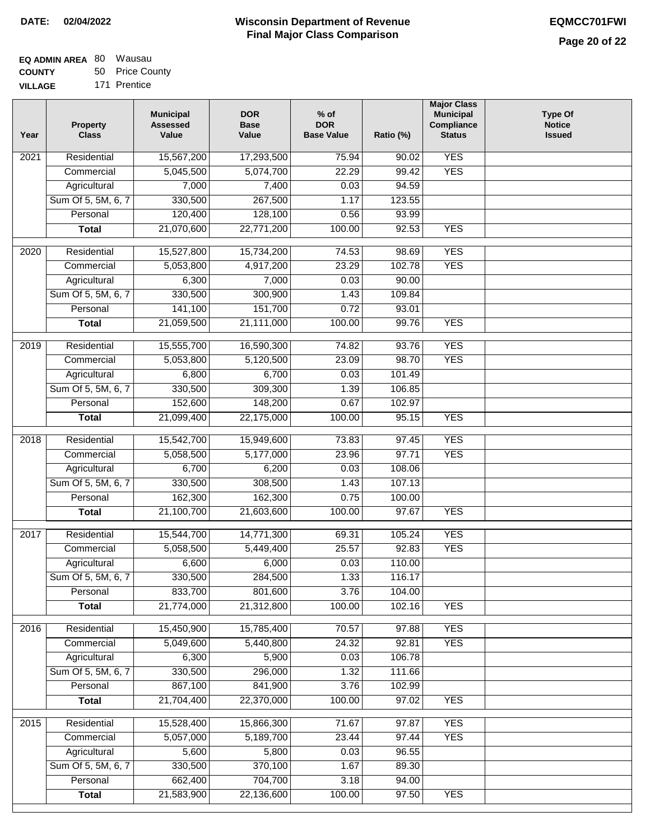| EQ ADMIN AREA 80 Wausau |                 |
|-------------------------|-----------------|
| <b>COUNTY</b>           | 50 Price County |

**VILLAGE** 171 Prentice

| Year | <b>Property</b><br><b>Class</b> | <b>Municipal</b><br><b>Assessed</b><br>Value | <b>DOR</b><br><b>Base</b><br>Value | $%$ of<br><b>DOR</b><br><b>Base Value</b> | Ratio (%)        | <b>Major Class</b><br><b>Municipal</b><br>Compliance<br><b>Status</b> | <b>Type Of</b><br><b>Notice</b><br><b>Issued</b> |
|------|---------------------------------|----------------------------------------------|------------------------------------|-------------------------------------------|------------------|-----------------------------------------------------------------------|--------------------------------------------------|
| 2021 | Residential                     | 15,567,200                                   | 17,293,500                         | 75.94                                     | 90.02            | <b>YES</b>                                                            |                                                  |
|      | Commercial                      | 5,045,500                                    | 5,074,700                          | 22.29                                     | 99.42            | <b>YES</b>                                                            |                                                  |
|      | Agricultural                    | 7,000                                        | 7,400                              | 0.03                                      | 94.59            |                                                                       |                                                  |
|      | Sum Of 5, 5M, 6, 7              | 330,500                                      | 267,500                            | 1.17                                      | 123.55           |                                                                       |                                                  |
|      | Personal                        | 120,400                                      | 128,100                            | 0.56                                      | 93.99            |                                                                       |                                                  |
|      | <b>Total</b>                    | 21,070,600                                   | 22,771,200                         | 100.00                                    | 92.53            | <b>YES</b>                                                            |                                                  |
| 2020 | Residential                     | 15,527,800                                   | 15,734,200                         | 74.53                                     | 98.69            | <b>YES</b>                                                            |                                                  |
|      | Commercial                      | 5,053,800                                    | 4,917,200                          | 23.29                                     | 102.78           | <b>YES</b>                                                            |                                                  |
|      | Agricultural                    | 6,300                                        | 7,000                              | 0.03                                      | 90.00            |                                                                       |                                                  |
|      | Sum Of 5, 5M, 6, 7              | 330,500                                      | 300,900                            | 1.43                                      | 109.84           |                                                                       |                                                  |
|      | Personal                        | 141,100                                      | 151,700                            | 0.72                                      | 93.01            |                                                                       |                                                  |
|      | <b>Total</b>                    | 21,059,500                                   | 21,111,000                         | 100.00                                    | 99.76            | <b>YES</b>                                                            |                                                  |
|      |                                 |                                              |                                    |                                           |                  |                                                                       |                                                  |
| 2019 | Residential                     | 15,555,700                                   | 16,590,300                         | 74.82                                     | 93.76            | <b>YES</b>                                                            |                                                  |
|      | Commercial                      | 5,053,800                                    | 5,120,500                          | 23.09                                     | 98.70            | <b>YES</b>                                                            |                                                  |
|      | Agricultural                    | 6,800<br>330,500                             | 6,700<br>309,300                   | 0.03<br>1.39                              | 101.49<br>106.85 |                                                                       |                                                  |
|      | Sum Of 5, 5M, 6, 7<br>Personal  | 152,600                                      | 148,200                            | 0.67                                      | 102.97           |                                                                       |                                                  |
|      | <b>Total</b>                    | 21,099,400                                   | 22,175,000                         | 100.00                                    | 95.15            | <b>YES</b>                                                            |                                                  |
|      |                                 |                                              |                                    |                                           |                  |                                                                       |                                                  |
| 2018 | Residential                     | 15,542,700                                   | 15,949,600                         | 73.83                                     | 97.45            | <b>YES</b>                                                            |                                                  |
|      | Commercial                      | 5,058,500                                    | 5,177,000                          | 23.96                                     | 97.71            | <b>YES</b>                                                            |                                                  |
|      | Agricultural                    | 6,700                                        | 6,200                              | 0.03                                      | 108.06           |                                                                       |                                                  |
|      | Sum Of 5, 5M, 6, 7              | 330,500                                      | 308,500                            | 1.43                                      | 107.13           |                                                                       |                                                  |
|      | Personal                        | 162,300                                      | 162,300                            | 0.75                                      | 100.00           |                                                                       |                                                  |
|      | <b>Total</b>                    | 21,100,700                                   | 21,603,600                         | 100.00                                    | 97.67            | <b>YES</b>                                                            |                                                  |
| 2017 | Residential                     | 15,544,700                                   | 14,771,300                         | 69.31                                     | 105.24           | <b>YES</b>                                                            |                                                  |
|      | Commercial                      | 5,058,500                                    | 5,449,400                          | 25.57                                     | 92.83            | <b>YES</b>                                                            |                                                  |
|      | Agricultural                    | 6,600                                        | 6,000                              | 0.03                                      | 110.00           |                                                                       |                                                  |
|      | Sum Of 5, 5M, 6, 7              | 330,500                                      | 284,500                            | 1.33                                      | 116.17           |                                                                       |                                                  |
|      | Personal                        | 833,700                                      | 801,600                            | 3.76                                      | 104.00           |                                                                       |                                                  |
|      | <b>Total</b>                    | 21,774,000                                   | 21,312,800                         | 100.00                                    | 102.16           | <b>YES</b>                                                            |                                                  |
| 2016 | Residential                     | 15,450,900                                   | 15,785,400                         | 70.57                                     | 97.88            | <b>YES</b>                                                            |                                                  |
|      | Commercial                      | 5,049,600                                    | 5,440,800                          | 24.32                                     | 92.81            | <b>YES</b>                                                            |                                                  |
|      | Agricultural                    | 6,300                                        | 5,900                              | 0.03                                      | 106.78           |                                                                       |                                                  |
|      | Sum Of 5, 5M, 6, 7              | 330,500                                      | 296,000                            | 1.32                                      | 111.66           |                                                                       |                                                  |
|      | Personal                        | 867,100                                      | 841,900                            | 3.76                                      | 102.99           |                                                                       |                                                  |
|      | <b>Total</b>                    | 21,704,400                                   | 22,370,000                         | 100.00                                    | 97.02            | <b>YES</b>                                                            |                                                  |
|      |                                 |                                              |                                    |                                           |                  |                                                                       |                                                  |
| 2015 | Residential                     | 15,528,400                                   | 15,866,300                         | 71.67                                     | 97.87            | <b>YES</b>                                                            |                                                  |
|      | Commercial                      | 5,057,000                                    | 5,189,700                          | 23.44                                     | 97.44            | <b>YES</b>                                                            |                                                  |
|      | Agricultural                    | 5,600                                        | 5,800                              | 0.03                                      | 96.55            |                                                                       |                                                  |
|      | Sum Of 5, 5M, 6, 7              | 330,500                                      | 370,100                            | 1.67                                      | 89.30            |                                                                       |                                                  |
|      | Personal                        | 662,400                                      | 704,700                            | 3.18                                      | 94.00            |                                                                       |                                                  |
|      | <b>Total</b>                    | 21,583,900                                   | 22,136,600                         | 100.00                                    | 97.50            | <b>YES</b>                                                            |                                                  |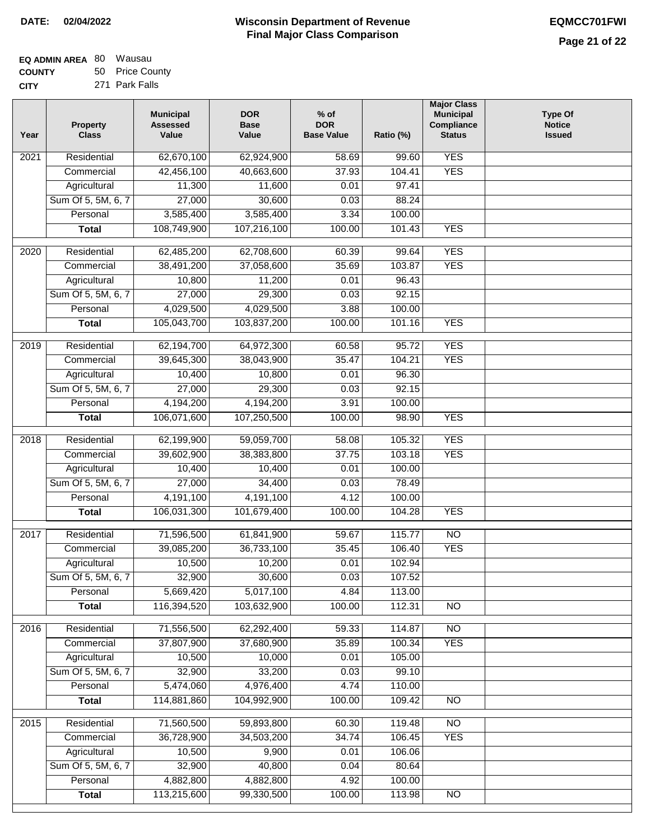| EQ ADMIN AREA 80 Wausau |                 |
|-------------------------|-----------------|
| <b>COUNTY</b>           | 50 Price County |

**CITY** 271 Park Falls

| Year              | <b>Property</b><br><b>Class</b> | <b>Municipal</b><br><b>Assessed</b><br>Value | <b>DOR</b><br><b>Base</b><br>Value | $%$ of<br><b>DOR</b><br><b>Base Value</b> | Ratio (%) | <b>Major Class</b><br><b>Municipal</b><br>Compliance<br><b>Status</b> | <b>Type Of</b><br><b>Notice</b><br><b>Issued</b> |
|-------------------|---------------------------------|----------------------------------------------|------------------------------------|-------------------------------------------|-----------|-----------------------------------------------------------------------|--------------------------------------------------|
| $\overline{202}1$ | Residential                     | 62,670,100                                   | 62,924,900                         | 58.69                                     | 99.60     | <b>YES</b>                                                            |                                                  |
|                   | Commercial                      | 42,456,100                                   | 40,663,600                         | 37.93                                     | 104.41    | <b>YES</b>                                                            |                                                  |
|                   | Agricultural                    | 11,300                                       | 11,600                             | 0.01                                      | 97.41     |                                                                       |                                                  |
|                   | Sum Of 5, 5M, 6, 7              | 27,000                                       | 30,600                             | 0.03                                      | 88.24     |                                                                       |                                                  |
|                   | Personal                        | 3,585,400                                    | 3,585,400                          | 3.34                                      | 100.00    |                                                                       |                                                  |
|                   | <b>Total</b>                    | 108,749,900                                  | 107,216,100                        | 100.00                                    | 101.43    | <b>YES</b>                                                            |                                                  |
| $\overline{2020}$ | Residential                     | 62,485,200                                   | 62,708,600                         | 60.39                                     | 99.64     | <b>YES</b>                                                            |                                                  |
|                   | Commercial                      | 38,491,200                                   | 37,058,600                         | 35.69                                     | 103.87    | <b>YES</b>                                                            |                                                  |
|                   | Agricultural                    | 10,800                                       | 11,200                             | 0.01                                      | 96.43     |                                                                       |                                                  |
|                   | Sum Of 5, 5M, 6, 7              | 27,000                                       | 29,300                             | 0.03                                      | 92.15     |                                                                       |                                                  |
|                   | Personal                        | 4,029,500                                    | 4,029,500                          | 3.88                                      | 100.00    |                                                                       |                                                  |
|                   | <b>Total</b>                    | 105,043,700                                  | 103,837,200                        | 100.00                                    | 101.16    | <b>YES</b>                                                            |                                                  |
| $\frac{1}{2019}$  | Residential                     | 62,194,700                                   | 64,972,300                         | 60.58                                     | 95.72     | <b>YES</b>                                                            |                                                  |
|                   | Commercial                      | 39,645,300                                   | 38,043,900                         | 35.47                                     | 104.21    | <b>YES</b>                                                            |                                                  |
|                   | Agricultural                    | 10,400                                       | 10,800                             | 0.01                                      | 96.30     |                                                                       |                                                  |
|                   | Sum Of 5, 5M, 6, 7              | 27,000                                       | 29,300                             | 0.03                                      | 92.15     |                                                                       |                                                  |
|                   | Personal                        | 4,194,200                                    | 4,194,200                          | 3.91                                      | 100.00    |                                                                       |                                                  |
|                   | <b>Total</b>                    | 106,071,600                                  | 107,250,500                        | 100.00                                    | 98.90     | <b>YES</b>                                                            |                                                  |
| 2018              | Residential                     | 62,199,900                                   | 59,059,700                         | 58.08                                     | 105.32    | <b>YES</b>                                                            |                                                  |
|                   | Commercial                      | 39,602,900                                   | 38,383,800                         | 37.75                                     | 103.18    | <b>YES</b>                                                            |                                                  |
|                   | Agricultural                    | 10,400                                       | 10,400                             | 0.01                                      | 100.00    |                                                                       |                                                  |
|                   | Sum Of 5, 5M, 6, 7              | 27,000                                       | 34,400                             | 0.03                                      | 78.49     |                                                                       |                                                  |
|                   | Personal                        | 4,191,100                                    | 4,191,100                          | 4.12                                      | 100.00    |                                                                       |                                                  |
|                   | <b>Total</b>                    | 106,031,300                                  | 101,679,400                        | 100.00                                    | 104.28    | <b>YES</b>                                                            |                                                  |
| $\overline{2017}$ | Residential                     | 71,596,500                                   | 61,841,900                         | 59.67                                     | 115.77    | $\overline{NO}$                                                       |                                                  |
|                   | Commercial                      | 39,085,200                                   | 36,733,100                         | 35.45                                     | 106.40    | <b>YES</b>                                                            |                                                  |
|                   | Agricultural                    | 10,500                                       | 10,200                             | 0.01                                      | 102.94    |                                                                       |                                                  |
|                   | Sum Of 5, 5M, 6, 7              | 32,900                                       | 30,600                             | 0.03                                      | 107.52    |                                                                       |                                                  |
|                   | Personal                        | 5,669,420                                    | 5,017,100                          | 4.84                                      | 113.00    |                                                                       |                                                  |
|                   | <b>Total</b>                    | 116,394,520                                  | 103,632,900                        | 100.00                                    | 112.31    | <b>NO</b>                                                             |                                                  |
| 2016              | Residential                     | 71,556,500                                   | 62,292,400                         | 59.33                                     | 114.87    | $\overline{NO}$                                                       |                                                  |
|                   | Commercial                      | 37,807,900                                   | 37,680,900                         | 35.89                                     | 100.34    | <b>YES</b>                                                            |                                                  |
|                   | Agricultural                    | 10,500                                       | 10,000                             | 0.01                                      | 105.00    |                                                                       |                                                  |
|                   | Sum Of 5, 5M, 6, 7              | 32,900                                       | 33,200                             | 0.03                                      | 99.10     |                                                                       |                                                  |
|                   | Personal                        | 5,474,060                                    | 4,976,400                          | 4.74                                      | 110.00    |                                                                       |                                                  |
|                   | <b>Total</b>                    | 114,881,860                                  | 104,992,900                        | 100.00                                    | 109.42    | $\overline{NO}$                                                       |                                                  |
| 2015              | Residential                     | 71,560,500                                   | 59,893,800                         | 60.30                                     | 119.48    | $\overline{NO}$                                                       |                                                  |
|                   | Commercial                      | 36,728,900                                   | 34,503,200                         | 34.74                                     | 106.45    | <b>YES</b>                                                            |                                                  |
|                   | Agricultural                    | 10,500                                       | 9,900                              | 0.01                                      | 106.06    |                                                                       |                                                  |
|                   | Sum Of 5, 5M, 6, 7              | 32,900                                       | 40,800                             | 0.04                                      | 80.64     |                                                                       |                                                  |
|                   | Personal                        | 4,882,800                                    | 4,882,800                          | 4.92                                      | 100.00    |                                                                       |                                                  |
|                   | <b>Total</b>                    | 113,215,600                                  | 99,330,500                         | 100.00                                    | 113.98    | <b>NO</b>                                                             |                                                  |
|                   |                                 |                                              |                                    |                                           |           |                                                                       |                                                  |